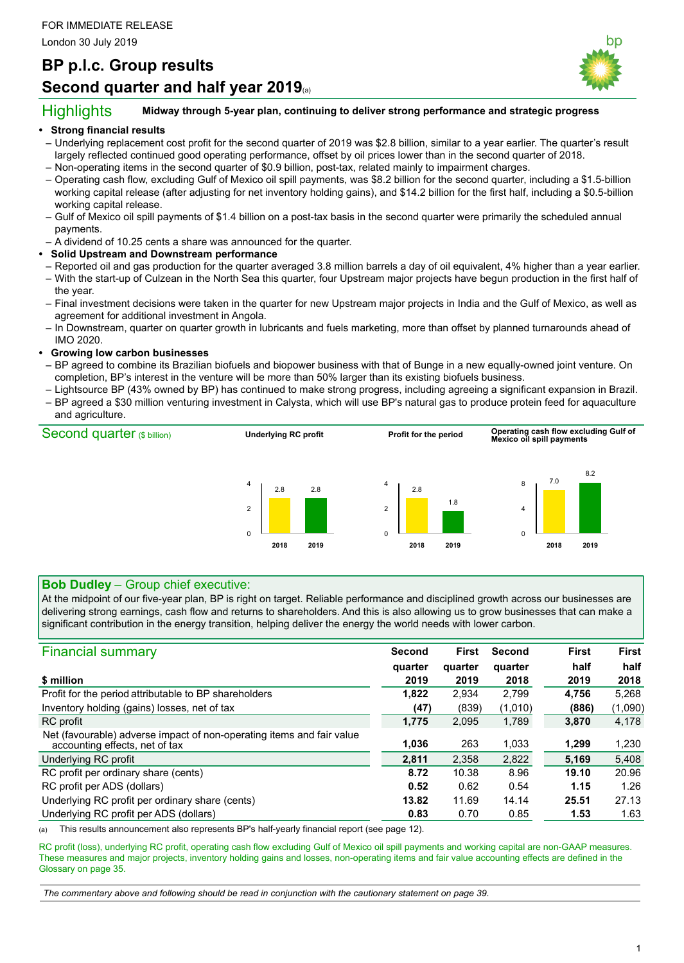London 30 July 2019

## **BP p.l.c. Group results**

**Second quarter and half year 2019**(a)



# Highlights **Midway through 5-year plan, continuing to deliver strong performance and strategic progress**

### **• Strong financial results**

- Underlying replacement cost profit for the second quarter of 2019 was \$2.8 billion, similar to a year earlier. The quarter's result largely reflected continued good operating performance, offset by oil prices lower than in the second quarter of 2018.
- Non-operating items in the second quarter of \$0.9 billion, post-tax, related mainly to impairment charges.
- Operating cash flow, excluding Gulf of Mexico oil spill payments, was \$8.2 billion for the second quarter, including a \$1.5-billion working capital release (after adjusting for net inventory holding gains), and \$14.2 billion for the first half, including a \$0.5-billion working capital release.
- Gulf of Mexico oil spill payments of \$1.4 billion on a post-tax basis in the second quarter were primarily the scheduled annual payments.
- A dividend of 10.25 cents a share was announced for the quarter.
- **• Solid Upstream and Downstream performance**
- Reported oil and gas production for the quarter averaged 3.8 million barrels a day of oil equivalent, 4% higher than a year earlier.
- With the start-up of Culzean in the North Sea this quarter, four Upstream major projects have begun production in the first half of the year.
- Final investment decisions were taken in the quarter for new Upstream major projects in India and the Gulf of Mexico, as well as agreement for additional investment in Angola.
- In Downstream, quarter on quarter growth in lubricants and fuels marketing, more than offset by planned turnarounds ahead of IMO 2020.
- **• Growing low carbon businesses**
- BP agreed to combine its Brazilian biofuels and biopower business with that of Bunge in a new equally-owned joint venture. On completion, BP's interest in the venture will be more than 50% larger than its existing biofuels business.
- Lightsource BP (43% owned by BP) has continued to make strong progress, including agreeing a significant expansion in Brazil. – BP agreed a \$30 million venturing investment in Calysta, which will use BP's natural gas to produce protein feed for aquaculture
- and agriculture.



### **Bob Dudley** – Group chief executive:

At the midpoint of our five-year plan, BP is right on target. Reliable performance and disciplined growth across our businesses are delivering strong earnings, cash flow and returns to shareholders. And this is also allowing us to grow businesses that can make a significant contribution in the energy transition, helping deliver the energy the world needs with lower carbon.

| <b>Financial summary</b>                                                                                | Second  | <b>First</b> | Second  | <b>First</b> | <b>First</b> |
|---------------------------------------------------------------------------------------------------------|---------|--------------|---------|--------------|--------------|
|                                                                                                         | quarter | quarter      | quarter | half         | half         |
| \$ million                                                                                              | 2019    | 2019         | 2018    | 2019         | 2018         |
| Profit for the period attributable to BP shareholders                                                   | 1,822   | 2,934        | 2,799   | 4,756        | 5,268        |
| Inventory holding (gains) losses, net of tax                                                            | (47)    | (839)        | (1,010) | (886)        | (1,090)      |
| <b>RC</b> profit                                                                                        | 1.775   | 2,095        | 1,789   | 3,870        | 4,178        |
| Net (favourable) adverse impact of non-operating items and fair value<br>accounting effects, net of tax | 1.036   | 263          | 1.033   | 1.299        | 1,230        |
| Underlying RC profit                                                                                    | 2.811   | 2.358        | 2,822   | 5.169        | 5.408        |
| RC profit per ordinary share (cents)                                                                    | 8.72    | 10.38        | 8.96    | 19.10        | 20.96        |
| RC profit per ADS (dollars)                                                                             | 0.52    | 0.62         | 0.54    | 1.15         | 1.26         |
| Underlying RC profit per ordinary share (cents)                                                         | 13.82   | 11.69        | 14.14   | 25.51        | 27.13        |
| Underlying RC profit per ADS (dollars)                                                                  | 0.83    | 0.70         | 0.85    | 1.53         | 1.63         |

(a) This results announcement also represents BP's half-yearly financial report (see page 12).

RC profit (loss), underlying RC profit, operating cash flow excluding Gulf of Mexico oil spill payments and working capital are non-GAAP measures. These measures and major projects, inventory holding gains and losses, non-operating items and fair value accounting effects are defined in the Glossary on page 35.

*The commentary above and following should be read in conjunction with the cautionary statement on page 39.*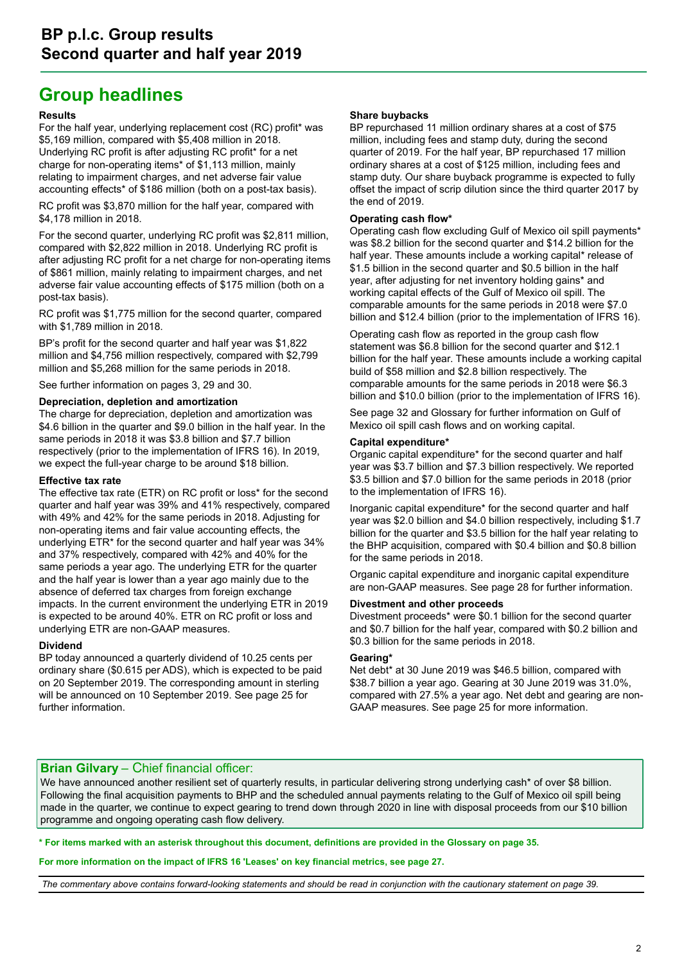# **Group headlines**

#### **Results**

For the half year, underlying replacement cost (RC) profit\* was \$5,169 million, compared with \$5,408 million in 2018. Underlying RC profit is after adjusting RC profit\* for a net charge for non-operating items\* of \$1,113 million, mainly relating to impairment charges, and net adverse fair value accounting effects\* of \$186 million (both on a post-tax basis).

RC profit was \$3,870 million for the half year, compared with \$4,178 million in 2018.

For the second quarter, underlying RC profit was \$2,811 million, compared with \$2,822 million in 2018. Underlying RC profit is after adjusting RC profit for a net charge for non-operating items of \$861 million, mainly relating to impairment charges, and net adverse fair value accounting effects of \$175 million (both on a post-tax basis).

RC profit was \$1,775 million for the second quarter, compared with \$1,789 million in 2018.

BP's profit for the second quarter and half year was \$1,822 million and \$4,756 million respectively, compared with \$2,799 million and \$5,268 million for the same periods in 2018.

See further information on pages 3, 29 and 30.

#### **Depreciation, depletion and amortization**

The charge for depreciation, depletion and amortization was \$4.6 billion in the quarter and \$9.0 billion in the half year. In the same periods in 2018 it was \$3.8 billion and \$7.7 billion respectively (prior to the implementation of IFRS 16). In 2019, we expect the full-year charge to be around \$18 billion.

#### **Effective tax rate**

The effective tax rate (ETR) on RC profit or loss\* for the second quarter and half year was 39% and 41% respectively, compared with 49% and 42% for the same periods in 2018. Adjusting for non-operating items and fair value accounting effects, the underlying ETR\* for the second quarter and half year was 34% and 37% respectively, compared with 42% and 40% for the same periods a year ago. The underlying ETR for the quarter and the half year is lower than a year ago mainly due to the absence of deferred tax charges from foreign exchange impacts. In the current environment the underlying ETR in 2019 is expected to be around 40%. ETR on RC profit or loss and underlying ETR are non-GAAP measures.

#### **Dividend**

BP today announced a quarterly dividend of 10.25 cents per ordinary share (\$0.615 per ADS), which is expected to be paid on 20 September 2019. The corresponding amount in sterling will be announced on 10 September 2019. See page 25 for further information.

#### **Share buybacks**

BP repurchased 11 million ordinary shares at a cost of \$75 million, including fees and stamp duty, during the second quarter of 2019. For the half year, BP repurchased 17 million ordinary shares at a cost of \$125 million, including fees and stamp duty. Our share buyback programme is expected to fully offset the impact of scrip dilution since the third quarter 2017 by the end of 2019.

#### **Operating cash flow\***

Operating cash flow excluding Gulf of Mexico oil spill payments\* was \$8.2 billion for the second quarter and \$14.2 billion for the half year. These amounts include a working capital\* release of \$1.5 billion in the second quarter and \$0.5 billion in the half year, after adjusting for net inventory holding gains\* and working capital effects of the Gulf of Mexico oil spill. The comparable amounts for the same periods in 2018 were \$7.0 billion and \$12.4 billion (prior to the implementation of IFRS 16).

Operating cash flow as reported in the group cash flow statement was \$6.8 billion for the second quarter and \$12.1 billion for the half year. These amounts include a working capital build of \$58 million and \$2.8 billion respectively. The comparable amounts for the same periods in 2018 were \$6.3 billion and \$10.0 billion (prior to the implementation of IFRS 16).

See page 32 and Glossary for further information on Gulf of Mexico oil spill cash flows and on working capital.

#### **Capital expenditure\***

Organic capital expenditure\* for the second quarter and half year was \$3.7 billion and \$7.3 billion respectively. We reported \$3.5 billion and \$7.0 billion for the same periods in 2018 (prior to the implementation of IFRS 16).

Inorganic capital expenditure\* for the second quarter and half year was \$2.0 billion and \$4.0 billion respectively, including \$1.7 billion for the quarter and \$3.5 billion for the half year relating to the BHP acquisition, compared with \$0.4 billion and \$0.8 billion for the same periods in 2018.

Organic capital expenditure and inorganic capital expenditure are non-GAAP measures. See page 28 for further information.

#### **Divestment and other proceeds**

Divestment proceeds\* were \$0.1 billion for the second quarter and \$0.7 billion for the half year, compared with \$0.2 billion and \$0.3 billion for the same periods in 2018.

#### **Gearing\***

Net debt\* at 30 June 2019 was \$46.5 billion, compared with \$38.7 billion a year ago. Gearing at 30 June 2019 was 31.0%, compared with 27.5% a year ago. Net debt and gearing are non-GAAP measures. See page 25 for more information.

#### **Brian Gilvary** – Chief financial officer:

We have announced another resilient set of quarterly results, in particular delivering strong underlying cash\* of over \$8 billion. Following the final acquisition payments to BHP and the scheduled annual payments relating to the Gulf of Mexico oil spill being made in the quarter, we continue to expect gearing to trend down through 2020 in line with disposal proceeds from our \$10 billion programme and ongoing operating cash flow delivery.

**\* For items marked with an asterisk throughout this document, definitions are provided in the Glossary on page 35.**

**For more information on the impact of IFRS 16 'Leases' on key financial metrics, see page 27.**

*The commentary above contains forward-looking statements and should be read in conjunction with the cautionary statement on page 39.*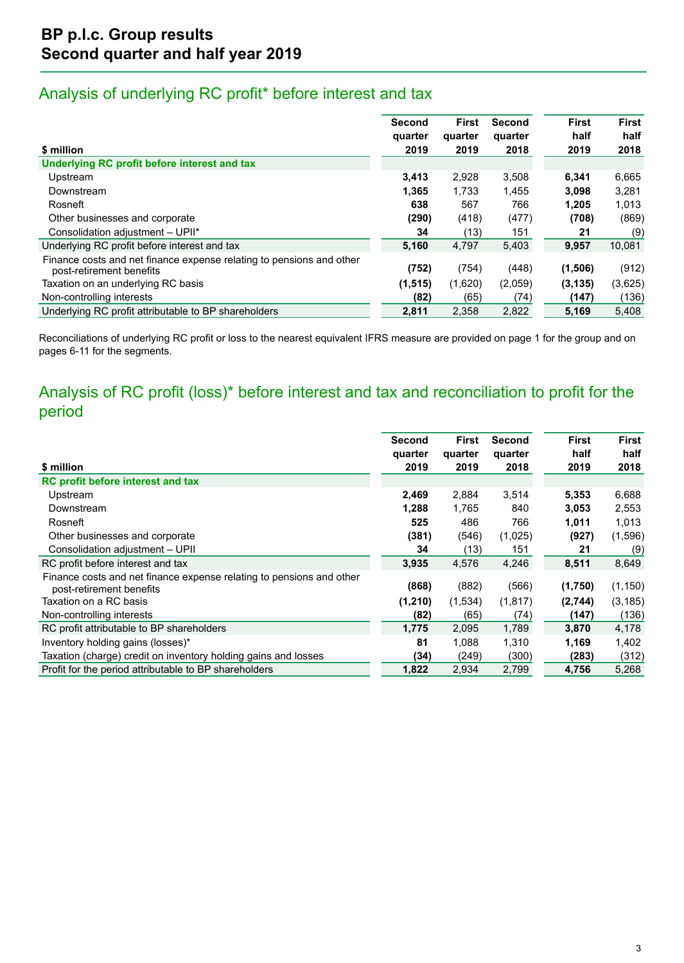## Analysis of underlying RC profit\* before interest and tax

| \$ million                                                                                       | <b>Second</b><br>quarter<br>2019 | First<br>quarter<br>2019 | <b>Second</b><br>quarter<br>2018 | <b>First</b><br>half<br>2019 | <b>First</b><br>half<br>2018 |
|--------------------------------------------------------------------------------------------------|----------------------------------|--------------------------|----------------------------------|------------------------------|------------------------------|
| Underlying RC profit before interest and tax                                                     |                                  |                          |                                  |                              |                              |
| Upstream                                                                                         | 3,413                            | 2,928                    | 3,508                            | 6,341                        | 6,665                        |
| Downstream                                                                                       | 1,365                            | 1,733                    | 1,455                            | 3,098                        | 3,281                        |
| Rosneft                                                                                          | 638                              | 567                      | 766                              | 1.205                        | 1,013                        |
| Other businesses and corporate                                                                   | (290)                            | (418)                    | (477)                            | (708)                        | (869)                        |
| Consolidation adjustment - UPII*                                                                 | 34                               | (13)                     | 151                              | 21                           | (9)                          |
| Underlying RC profit before interest and tax                                                     | 5,160                            | 4,797                    | 5,403                            | 9,957                        | 10,081                       |
| Finance costs and net finance expense relating to pensions and other<br>post-retirement benefits | (752)                            | (754)                    | (448)                            | (1,506)                      | (912)                        |
| Taxation on an underlying RC basis                                                               | (1, 515)                         | (1,620)                  | (2,059)                          | (3, 135)                     | (3,625)                      |
| Non-controlling interests                                                                        | (82)                             | (65)                     | (74)                             | (147)                        | (136)                        |
| Underlying RC profit attributable to BP shareholders                                             | 2,811                            | 2,358                    | 2,822                            | 5,169                        | 5,408                        |

Reconciliations of underlying RC profit or loss to the nearest equivalent IFRS measure are provided on page 1 for the group and on pages 6-11 for the segments.

# Analysis of RC profit (loss)\* before interest and tax and reconciliation to profit for the period

|                                                                                                  | <b>Second</b> | First   | <b>Second</b> | <b>First</b> | First    |
|--------------------------------------------------------------------------------------------------|---------------|---------|---------------|--------------|----------|
|                                                                                                  | quarter       | quarter | quarter       | half         | half     |
| \$ million                                                                                       | 2019          | 2019    | 2018          | 2019         | 2018     |
| <b>RC</b> profit before interest and tax                                                         |               |         |               |              |          |
| Upstream                                                                                         | 2,469         | 2,884   | 3,514         | 5,353        | 6,688    |
| Downstream                                                                                       | 1,288         | 1,765   | 840           | 3,053        | 2,553    |
| Rosneft                                                                                          | 525           | 486     | 766           | 1,011        | 1,013    |
| Other businesses and corporate                                                                   | (381)         | (546)   | (1,025)       | (927)        | (1,596)  |
| Consolidation adjustment - UPII                                                                  | 34            | (13)    | 151           | 21           | (9)      |
| RC profit before interest and tax                                                                | 3,935         | 4,576   | 4,246         | 8,511        | 8,649    |
| Finance costs and net finance expense relating to pensions and other<br>post-retirement benefits | (868)         | (882)   | (566)         | (1,750)      | (1, 150) |
| Taxation on a RC basis                                                                           | (1,210)       | (1,534) | (1, 817)      | (2,744)      | (3, 185) |
| Non-controlling interests                                                                        | (82)          | (65)    | (74)          | (147)        | (136)    |
| RC profit attributable to BP shareholders                                                        | 1,775         | 2,095   | 1,789         | 3,870        | 4,178    |
| Inventory holding gains (losses)*                                                                | 81            | 1,088   | 1,310         | 1,169        | 1,402    |
| Taxation (charge) credit on inventory holding gains and losses                                   | (34)          | (249)   | (300)         | (283)        | (312)    |
| Profit for the period attributable to BP shareholders                                            | 1,822         | 2,934   | 2,799         | 4,756        | 5,268    |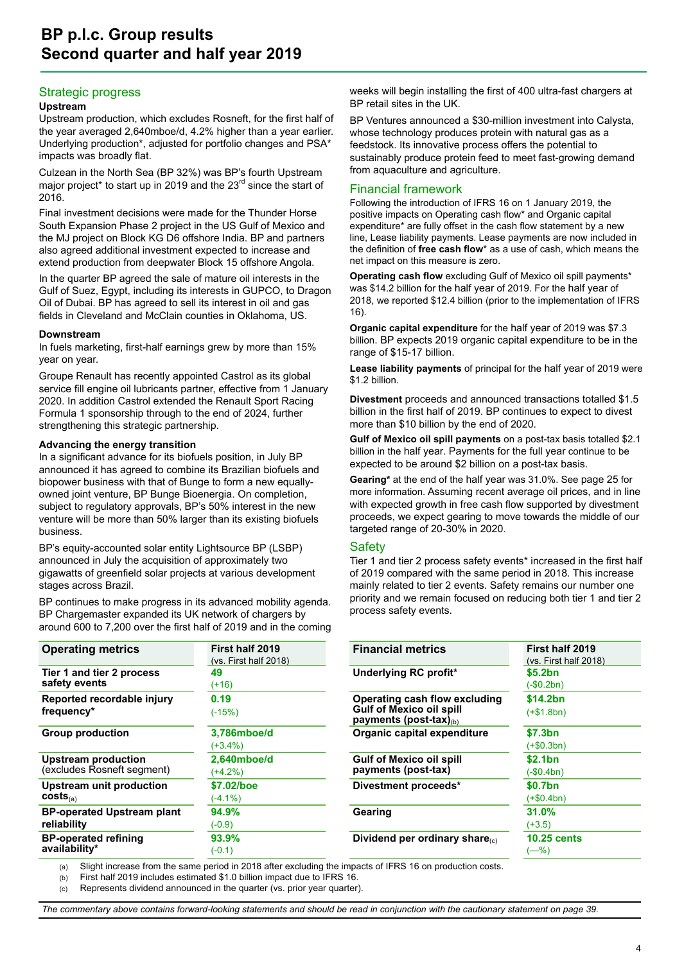### Strategic progress

#### **Upstream**

Upstream production, which excludes Rosneft, for the first half of the year averaged 2,640mboe/d, 4.2% higher than a year earlier. Underlying production\*, adjusted for portfolio changes and PSA\* impacts was broadly flat.

Culzean in the North Sea (BP 32%) was BP's fourth Upstream major project\* to start up in 2019 and the  $23<sup>rd</sup>$  since the start of 2016.

Final investment decisions were made for the Thunder Horse South Expansion Phase 2 project in the US Gulf of Mexico and the MJ project on Block KG D6 offshore India. BP and partners also agreed additional investment expected to increase and extend production from deepwater Block 15 offshore Angola.

In the quarter BP agreed the sale of mature oil interests in the Gulf of Suez, Egypt, including its interests in GUPCO, to Dragon Oil of Dubai. BP has agreed to sell its interest in oil and gas fields in Cleveland and McClain counties in Oklahoma, US.

#### **Downstream**

In fuels marketing, first-half earnings grew by more than 15% year on year.

Groupe Renault has recently appointed Castrol as its global service fill engine oil lubricants partner, effective from 1 January 2020. In addition Castrol extended the Renault Sport Racing Formula 1 sponsorship through to the end of 2024, further strengthening this strategic partnership.

#### **Advancing the energy transition**

In a significant advance for its biofuels position, in July BP announced it has agreed to combine its Brazilian biofuels and biopower business with that of Bunge to form a new equallyowned joint venture, BP Bunge Bioenergia. On completion, subject to regulatory approvals, BP's 50% interest in the new venture will be more than 50% larger than its existing biofuels business.

BP's equity-accounted solar entity Lightsource BP (LSBP) announced in July the acquisition of approximately two gigawatts of greenfield solar projects at various development stages across Brazil.

BP continues to make progress in its advanced mobility agenda. BP Chargemaster expanded its UK network of chargers by around 600 to 7,200 over the first half of 2019 and in the coming

| <b>Operating metrics</b>                 | First half 2019<br>(vs. First half 2018) | <b>Financial metrics</b>                                                                         | First half 2019<br>(vs. First half 201 |
|------------------------------------------|------------------------------------------|--------------------------------------------------------------------------------------------------|----------------------------------------|
| Tier 1 and tier 2 process                | 49                                       | Underlying RC profit*                                                                            | \$5.2bn                                |
| safety events                            | $(+16)$                                  |                                                                                                  | $(-$0.2bn)$                            |
| Reported recordable injury<br>frequency* | 0.19<br>$(-15%)$                         | Operating cash flow excluding<br><b>Gulf of Mexico oil spill</b><br>payments (post-tax) $_{(b)}$ | \$14.2bn<br>$(+$1.8bn)$                |
| <b>Group production</b>                  | 3,786mboe/d<br>(+3.4%)                   | Organic capital expenditure                                                                      | \$7.3bn<br>$(+$0.3bn)$                 |
| Upstream production                      | 2,640mboe/d                              | <b>Gulf of Mexico oil spill</b>                                                                  | \$2.1bn                                |
| (excludes Rosneft segment)               | (+4.2%)                                  | payments (post-tax)                                                                              | $(-$0.4bn)$                            |
| <b>Upstream unit production</b>          | \$7.02/boe                               | Divestment proceeds*                                                                             | \$0.7bn                                |
| costs <sub>(a)</sub>                     | $(-4.1\%)$                               |                                                                                                  | $(+$0.4bn)$                            |
| <b>BP-operated Upstream plant</b>        | 94.9%                                    | Gearing                                                                                          | 31.0%                                  |
| reliability                              | $(-0.9)$                                 |                                                                                                  | $(+3.5)$                               |
| <b>BP-operated refining</b>              | 93.9%                                    | Dividend per ordinary share $_{\text{(c)}}$                                                      | <b>10.25 cents</b>                     |
| availability*                            | $(-0.1)$                                 |                                                                                                  | (—%)                                   |
|                                          |                                          |                                                                                                  |                                        |

weeks will begin installing the first of 400 ultra-fast chargers at BP retail sites in the UK.

BP Ventures announced a \$30-million investment into Calysta, whose technology produces protein with natural gas as a feedstock. Its innovative process offers the potential to sustainably produce protein feed to meet fast-growing demand from aquaculture and agriculture.

#### Financial framework

Following the introduction of IFRS 16 on 1 January 2019, the positive impacts on Operating cash flow\* and Organic capital expenditure\* are fully offset in the cash flow statement by a new line, Lease liability payments. Lease payments are now included in the definition of **free cash flow**\* as a use of cash, which means the net impact on this measure is zero.

**Operating cash flow** excluding Gulf of Mexico oil spill payments\* was \$14.2 billion for the half year of 2019. For the half year of 2018, we reported \$12.4 billion (prior to the implementation of IFRS 16).

**Organic capital expenditure** for the half year of 2019 was \$7.3 billion. BP expects 2019 organic capital expenditure to be in the range of \$15-17 billion.

**Lease liability payments** of principal for the half year of 2019 were \$1.2 billion.

**Divestment** proceeds and announced transactions totalled \$1.5 billion in the first half of 2019. BP continues to expect to divest more than \$10 billion by the end of 2020.

**Gulf of Mexico oil spill payments** on a post-tax basis totalled \$2.1 billion in the half year. Payments for the full year continue to be expected to be around \$2 billion on a post-tax basis.

**Gearing\*** at the end of the half year was 31.0%. See page 25 for more information. Assuming recent average oil prices, and in line with expected growth in free cash flow supported by divestment proceeds, we expect gearing to move towards the middle of our targeted range of 20-30% in 2020.

#### **Safety**

Tier 1 and tier 2 process safety events\* increased in the first half of 2019 compared with the same period in 2018. This increase mainly related to tier 2 events. Safety remains our number one priority and we remain focused on reducing both tier 1 and tier 2 process safety events.

| First half 2019<br>(vs. First half 2018) | <b>Financial metrics</b>                                                                         | First half 2019<br>(vs. First half 2018) |
|------------------------------------------|--------------------------------------------------------------------------------------------------|------------------------------------------|
| 49<br>$(+16)$                            | Underlying RC profit*                                                                            | \$5.2bn<br>$(-$0.2bn)$                   |
| 0.19<br>$(-15%)$                         | Operating cash flow excluding<br><b>Gulf of Mexico oil spill</b><br>payments (post-tax) $_{(b)}$ | \$14.2bn<br>$(+$1.8bn)$                  |
| 3,786mboe/d<br>$(+3.4\%)$                | Organic capital expenditure                                                                      | \$7.3bn<br>$(+$0.3bn)$                   |
| 2,640mboe/d<br>$(+4.2%)$                 | <b>Gulf of Mexico oil spill</b><br>payments (post-tax)                                           | \$2.1bn<br>$(-\$0.4bn)$                  |
| \$7.02/boe<br>$(-4.1\%)$                 | Divestment proceeds*                                                                             | \$0.7bn<br>$(+$0.4bn)$                   |
| 94.9%<br>$(-0.9)$                        | Gearing                                                                                          | 31.0%<br>$(+3.5)$                        |
| 93.9%<br>$(-0.1)$                        | Dividend per ordinary share $_{\text{(c)}}$                                                      | <b>10.25 cents</b><br>$(-\%)$            |
|                                          |                                                                                                  |                                          |

(a) Slight increase from the same period in 2018 after excluding the impacts of IFRS 16 on production costs.

(b) First half 2019 includes estimated \$1.0 billion impact due to IFRS 16.

(c) Represents dividend announced in the quarter (vs. prior year quarter).

*The commentary above contains forward-looking statements and should be read in conjunction with the cautionary statement on page 39.*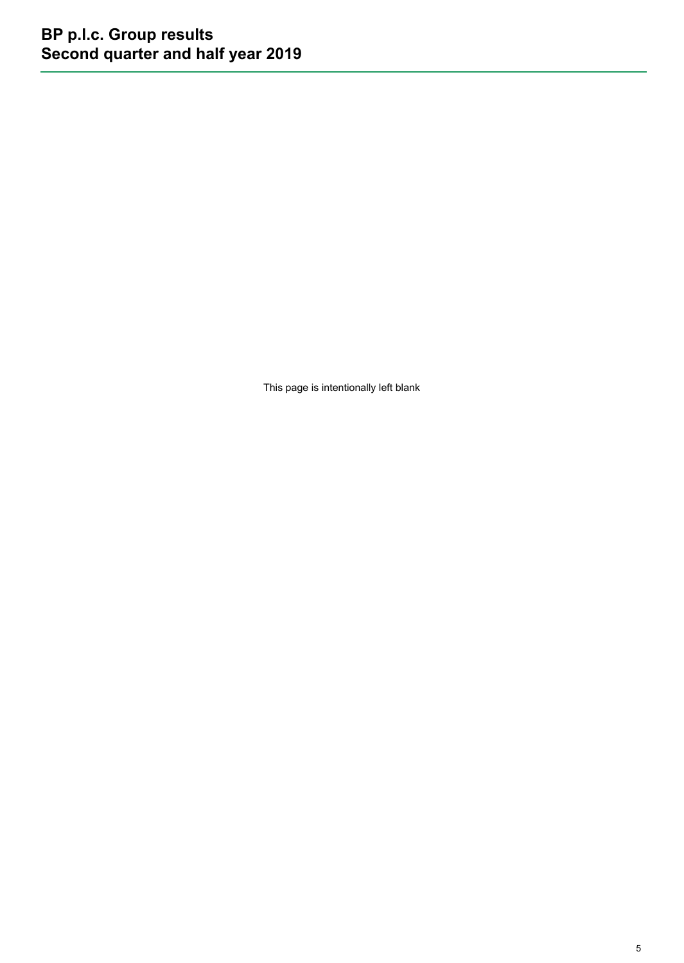This page is intentionally left blank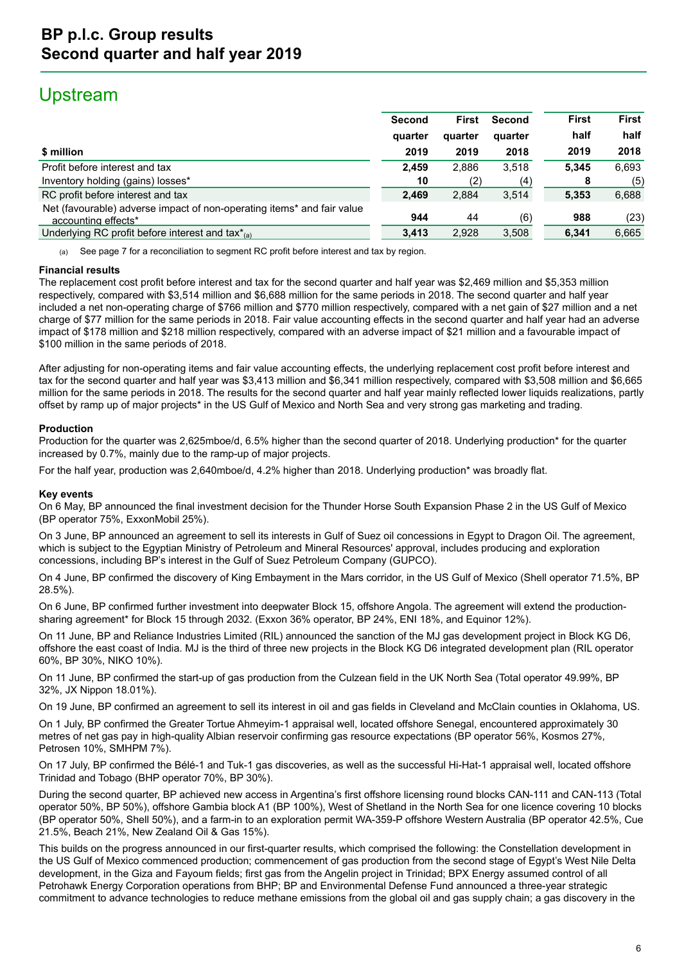# Upstream

|                                                                                               | Second  | First   | Second  | First | <b>First</b> |
|-----------------------------------------------------------------------------------------------|---------|---------|---------|-------|--------------|
|                                                                                               | quarter | quarter | quarter | half  | half         |
| \$ million                                                                                    | 2019    | 2019    | 2018    | 2019  | 2018         |
| Profit before interest and tax                                                                | 2.459   | 2.886   | 3.518   | 5.345 | 6,693        |
| Inventory holding (gains) losses*                                                             | 10      | (2)     | (4)     | 8     | (5)          |
| RC profit before interest and tax                                                             | 2,469   | 2,884   | 3,514   | 5,353 | 6,688        |
| Net (favourable) adverse impact of non-operating items* and fair value<br>accounting effects* | 944     | 44      | (6)     | 988   | (23)         |
| Underlying RC profit before interest and tax $t_{(a)}$                                        | 3,413   | 2.928   | 3,508   | 6,341 | 6,665        |

(a) See page 7 for a reconciliation to segment RC profit before interest and tax by region.

#### **Financial results**

The replacement cost profit before interest and tax for the second quarter and half year was \$2,469 million and \$5,353 million respectively, compared with \$3,514 million and \$6,688 million for the same periods in 2018. The second quarter and half year included a net non-operating charge of \$766 million and \$770 million respectively, compared with a net gain of \$27 million and a net charge of \$77 million for the same periods in 2018. Fair value accounting effects in the second quarter and half year had an adverse impact of \$178 million and \$218 million respectively, compared with an adverse impact of \$21 million and a favourable impact of \$100 million in the same periods of 2018.

After adjusting for non-operating items and fair value accounting effects, the underlying replacement cost profit before interest and tax for the second quarter and half year was \$3,413 million and \$6,341 million respectively, compared with \$3,508 million and \$6,665 million for the same periods in 2018. The results for the second quarter and half year mainly reflected lower liquids realizations, partly offset by ramp up of major projects\* in the US Gulf of Mexico and North Sea and very strong gas marketing and trading.

#### **Production**

Production for the quarter was 2,625mboe/d, 6.5% higher than the second quarter of 2018. Underlying production\* for the quarter increased by 0.7%, mainly due to the ramp-up of major projects.

For the half year, production was 2,640mboe/d, 4.2% higher than 2018. Underlying production\* was broadly flat.

#### **Key events**

On 6 May, BP announced the final investment decision for the Thunder Horse South Expansion Phase 2 in the US Gulf of Mexico (BP operator 75%, ExxonMobil 25%).

On 3 June, BP announced an agreement to sell its interests in Gulf of Suez oil concessions in Egypt to Dragon Oil. The agreement, which is subject to the Egyptian Ministry of Petroleum and Mineral Resources' approval, includes producing and exploration concessions, including BP's interest in the Gulf of Suez Petroleum Company (GUPCO).

On 4 June, BP confirmed the discovery of King Embayment in the Mars corridor, in the US Gulf of Mexico (Shell operator 71.5%, BP 28.5%).

On 6 June, BP confirmed further investment into deepwater Block 15, offshore Angola. The agreement will extend the productionsharing agreement\* for Block 15 through 2032. (Exxon 36% operator, BP 24%, ENI 18%, and Equinor 12%).

On 11 June, BP and Reliance Industries Limited (RIL) announced the sanction of the MJ gas development project in Block KG D6, offshore the east coast of India. MJ is the third of three new projects in the Block KG D6 integrated development plan (RIL operator 60%, BP 30%, NIKO 10%).

On 11 June, BP confirmed the start-up of gas production from the Culzean field in the UK North Sea (Total operator 49.99%, BP 32%, JX Nippon 18.01%).

On 19 June, BP confirmed an agreement to sell its interest in oil and gas fields in Cleveland and McClain counties in Oklahoma, US.

On 1 July, BP confirmed the Greater Tortue Ahmeyim-1 appraisal well, located offshore Senegal, encountered approximately 30 metres of net gas pay in high-quality Albian reservoir confirming gas resource expectations (BP operator 56%, Kosmos 27%, Petrosen 10%, SMHPM 7%).

On 17 July, BP confirmed the Bélé-1 and Tuk-1 gas discoveries, as well as the successful Hi-Hat-1 appraisal well, located offshore Trinidad and Tobago (BHP operator 70%, BP 30%).

During the second quarter, BP achieved new access in Argentina's first offshore licensing round blocks CAN-111 and CAN-113 (Total operator 50%, BP 50%), offshore Gambia block A1 (BP 100%), West of Shetland in the North Sea for one licence covering 10 blocks (BP operator 50%, Shell 50%), and a farm-in to an exploration permit WA-359-P offshore Western Australia (BP operator 42.5%, Cue 21.5%, Beach 21%, New Zealand Oil & Gas 15%).

This builds on the progress announced in our first-quarter results, which comprised the following: the Constellation development in the US Gulf of Mexico commenced production; commencement of gas production from the second stage of Egypt's West Nile Delta development, in the Giza and Fayoum fields; first gas from the Angelin project in Trinidad; BPX Energy assumed control of all Petrohawk Energy Corporation operations from BHP; BP and Environmental Defense Fund announced a three-year strategic commitment to advance technologies to reduce methane emissions from the global oil and gas supply chain; a gas discovery in the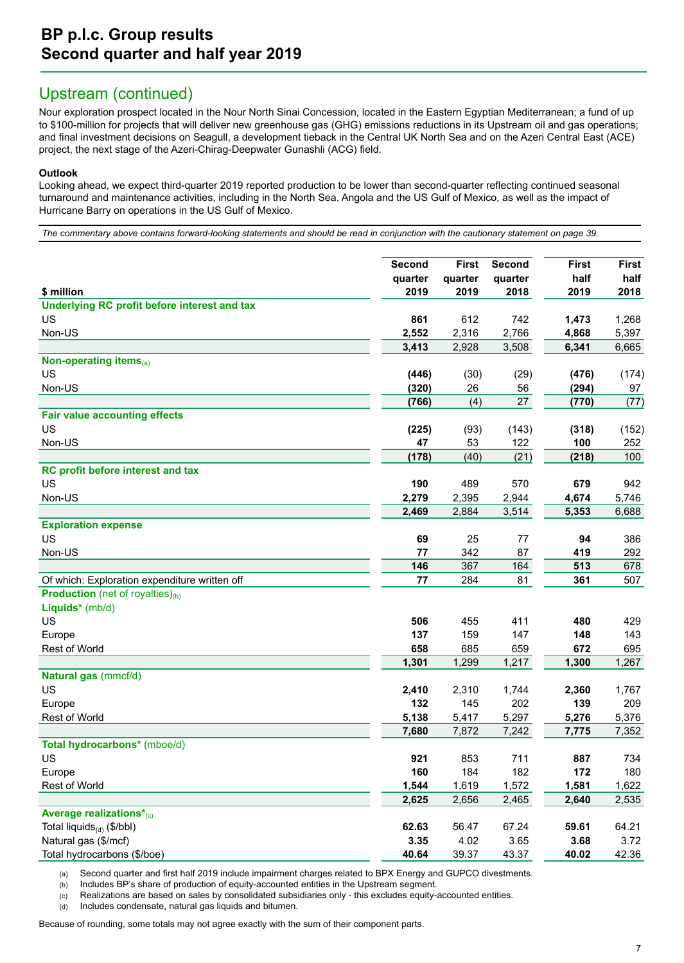### Upstream (continued)

Nour exploration prospect located in the Nour North Sinai Concession, located in the Eastern Egyptian Mediterranean; a fund of up to \$100-million for projects that will deliver new greenhouse gas (GHG) emissions reductions in its Upstream oil and gas operations; and final investment decisions on Seagull, a development tieback in the Central UK North Sea and on the Azeri Central East (ACE) project, the next stage of the Azeri-Chirag-Deepwater Gunashli (ACG) field.

#### **Outlook**

Looking ahead, we expect third-quarter 2019 reported production to be lower than second-quarter reflecting continued seasonal turnaround and maintenance activities, including in the North Sea, Angola and the US Gulf of Mexico, as well as the impact of Hurricane Barry on operations in the US Gulf of Mexico.

*The commentary above contains forward-looking statements and should be read in conjunction with the cautionary statement on page 39.*

|                                                     | Second  | <b>First</b> | <b>Second</b> | <b>First</b> | <b>First</b> |
|-----------------------------------------------------|---------|--------------|---------------|--------------|--------------|
|                                                     | quarter | quarter      | quarter       | half         | half         |
| \$ million                                          | 2019    | 2019         | 2018          | 2019         | 2018         |
| <b>Underlying RC profit before interest and tax</b> |         |              |               |              |              |
| <b>US</b>                                           | 861     | 612          | 742           | 1,473        | 1,268        |
| Non-US                                              | 2,552   | 2,316        | 2,766         | 4,868        | 5,397        |
|                                                     | 3,413   | 2,928        | 3,508         | 6,341        | 6,665        |
| Non-operating items(a)                              |         |              |               |              |              |
| <b>US</b>                                           |         |              |               |              |              |
|                                                     | (446)   | (30)         | (29)          | (476)        | (174)        |
| Non-US                                              | (320)   | 26           | 56            | (294)        | 97           |
|                                                     | (766)   | (4)          | 27            | (770)        | (77)         |
| <b>Fair value accounting effects</b>                |         |              |               |              |              |
| <b>US</b>                                           | (225)   | (93)         | (143)         | (318)        | (152)        |
| Non-US                                              | 47      | 53           | 122           | 100          | 252          |
|                                                     | (178)   | (40)         | (21)          | (218)        | 100          |
| RC profit before interest and tax                   |         |              |               |              |              |
| <b>US</b>                                           | 190     | 489          | 570           | 679          | 942          |
| Non-US                                              | 2,279   | 2,395        | 2,944         | 4,674        | 5,746        |
|                                                     | 2,469   | 2,884        | 3,514         | 5,353        | 6,688        |
|                                                     |         |              |               |              |              |
| <b>Exploration expense</b>                          |         |              |               |              |              |
| <b>US</b>                                           | 69      | 25           | 77            | 94           | 386          |
| Non-US                                              | 77      | 342          | 87            | 419          | 292          |
|                                                     | 146     | 367          | 164           | 513          | 678          |
| Of which: Exploration expenditure written off       | 77      | 284          | 81            | 361          | 507          |
| <b>Production</b> (net of royalties) $_{(b)}$       |         |              |               |              |              |
| Liquids $*$ (mb/d)                                  |         |              |               |              |              |
| <b>US</b>                                           | 506     | 455          | 411           | 480          | 429          |
| Europe                                              | 137     | 159          | 147           | 148          | 143          |
| <b>Rest of World</b>                                | 658     | 685          | 659           | 672          | 695          |
|                                                     | 1,301   | 1,299        | 1,217         | 1,300        | 1,267        |
|                                                     |         |              |               |              |              |
| Natural gas (mmcf/d)                                |         |              |               |              |              |
| US                                                  | 2,410   | 2,310        | 1,744         | 2,360        | 1,767        |
| Europe                                              | 132     | 145          | 202           | 139          | 209          |
| <b>Rest of World</b>                                | 5,138   | 5,417        | 5,297         | 5,276        | 5,376        |
|                                                     | 7,680   | 7,872        | 7,242         | 7,775        | 7,352        |
| Total hydrocarbons* (mboe/d)                        |         |              |               |              |              |
| US                                                  | 921     | 853          | 711           | 887          | 734          |
| Europe                                              | 160     | 184          | 182           | 172          | 180          |
| Rest of World                                       | 1,544   | 1,619        | 1,572         | 1,581        | 1,622        |
|                                                     | 2,625   | 2,656        | 2,465         | 2,640        | 2,535        |
| Average realizations $*_{(c)}$                      |         |              |               |              |              |
| Total liquids <sub>(d)</sub> (\$/bbl)               | 62.63   | 56.47        | 67.24         | 59.61        | 64.21        |
|                                                     |         |              |               |              |              |
| Natural gas (\$/mcf)                                | 3.35    | 4.02         | 3.65          | 3.68         | 3.72         |
| Total hydrocarbons (\$/boe)                         | 40.64   | 39.37        | 43.37         | 40.02        | 42.36        |

(a) Second quarter and first half 2019 include impairment charges related to BPX Energy and GUPCO divestments.

(b) Includes BP's share of production of equity-accounted entities in the Upstream segment.

(c) Realizations are based on sales by consolidated subsidiaries only - this excludes equity-accounted entities.

(d) Includes condensate, natural gas liquids and bitumen.

Because of rounding, some totals may not agree exactly with the sum of their component parts.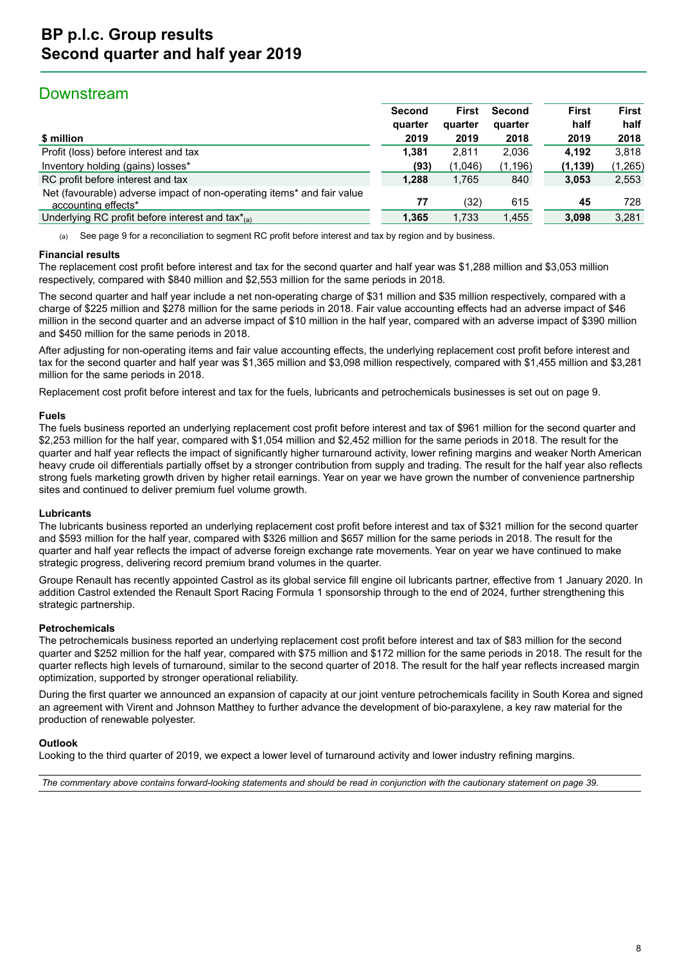# Downstream

|                                                                                               | <b>Second</b> | First   | <b>Second</b> | <b>First</b> | <b>First</b> |
|-----------------------------------------------------------------------------------------------|---------------|---------|---------------|--------------|--------------|
|                                                                                               | quarter       | quarter | quarter       | half         | half         |
| \$ million                                                                                    | 2019          | 2019    | 2018          | 2019         | 2018         |
| Profit (loss) before interest and tax                                                         | 1.381         | 2.811   | 2.036         | 4.192        | 3,818        |
| Inventory holding (gains) losses*                                                             | (93)          | (1,046) | (1, 196)      | (1, 139)     | (1, 265)     |
| RC profit before interest and tax                                                             | 1.288         | 1,765   | 840           | 3,053        | 2,553        |
| Net (favourable) adverse impact of non-operating items* and fair value<br>accounting effects* | 77            | (32)    | 615           | 45           | 728          |
| Underlying RC profit before interest and tax $\star_{(a)}$                                    | 1,365         | 1,733   | 1,455         | 3,098        | 3,281        |

(a) See page 9 for a reconciliation to segment RC profit before interest and tax by region and by business.

#### **Financial results**

The replacement cost profit before interest and tax for the second quarter and half year was \$1,288 million and \$3,053 million respectively, compared with \$840 million and \$2,553 million for the same periods in 2018.

The second quarter and half year include a net non-operating charge of \$31 million and \$35 million respectively, compared with a charge of \$225 million and \$278 million for the same periods in 2018. Fair value accounting effects had an adverse impact of \$46 million in the second quarter and an adverse impact of \$10 million in the half year, compared with an adverse impact of \$390 million and \$450 million for the same periods in 2018.

After adjusting for non-operating items and fair value accounting effects, the underlying replacement cost profit before interest and tax for the second quarter and half year was \$1,365 million and \$3,098 million respectively, compared with \$1,455 million and \$3,281 million for the same periods in 2018.

Replacement cost profit before interest and tax for the fuels, lubricants and petrochemicals businesses is set out on page 9.

#### **Fuels**

The fuels business reported an underlying replacement cost profit before interest and tax of \$961 million for the second quarter and \$2,253 million for the half year, compared with \$1,054 million and \$2,452 million for the same periods in 2018. The result for the quarter and half year reflects the impact of significantly higher turnaround activity, lower refining margins and weaker North American heavy crude oil differentials partially offset by a stronger contribution from supply and trading. The result for the half year also reflects strong fuels marketing growth driven by higher retail earnings. Year on year we have grown the number of convenience partnership sites and continued to deliver premium fuel volume growth.

#### **Lubricants**

The lubricants business reported an underlying replacement cost profit before interest and tax of \$321 million for the second quarter and \$593 million for the half year, compared with \$326 million and \$657 million for the same periods in 2018. The result for the quarter and half year reflects the impact of adverse foreign exchange rate movements. Year on year we have continued to make strategic progress, delivering record premium brand volumes in the quarter.

Groupe Renault has recently appointed Castrol as its global service fill engine oil lubricants partner, effective from 1 January 2020. In addition Castrol extended the Renault Sport Racing Formula 1 sponsorship through to the end of 2024, further strengthening this strategic partnership.

#### **Petrochemicals**

The petrochemicals business reported an underlying replacement cost profit before interest and tax of \$83 million for the second quarter and \$252 million for the half year, compared with \$75 million and \$172 million for the same periods in 2018. The result for the quarter reflects high levels of turnaround, similar to the second quarter of 2018. The result for the half year reflects increased margin optimization, supported by stronger operational reliability.

During the first quarter we announced an expansion of capacity at our joint venture petrochemicals facility in South Korea and signed an agreement with Virent and Johnson Matthey to further advance the development of bio-paraxylene, a key raw material for the production of renewable polyester.

#### **Outlook**

Looking to the third quarter of 2019, we expect a lower level of turnaround activity and lower industry refining margins.

*The commentary above contains forward-looking statements and should be read in conjunction with the cautionary statement on page 39.*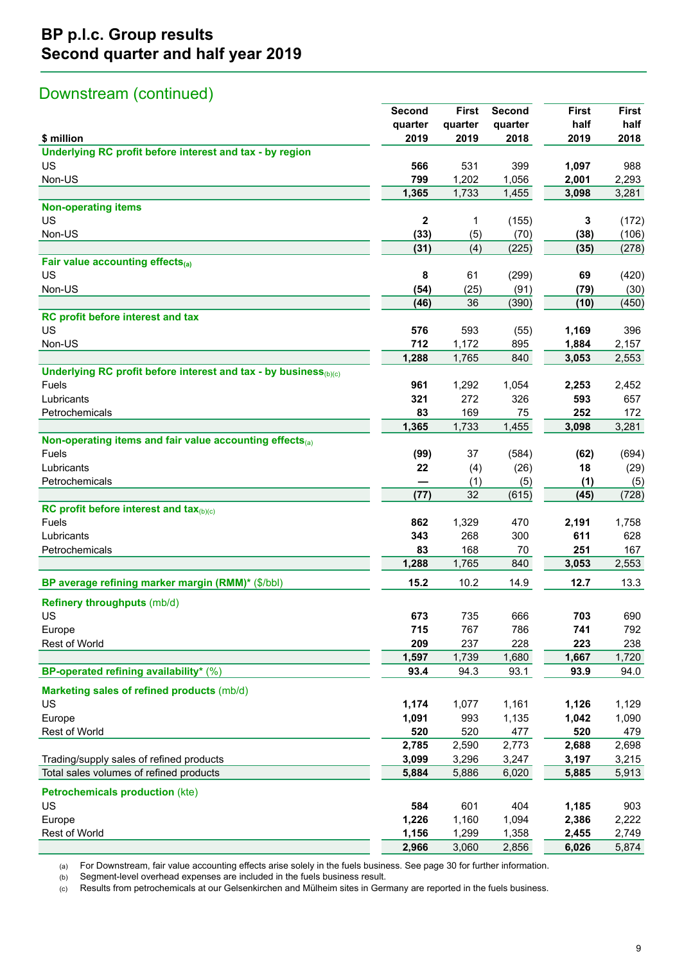# **BP p.l.c. Group results Second quarter and half year 2019**

## Downstream (continued)

|                                                                   | Second       | <b>First</b> | Second  | <b>First</b> | <b>First</b> |
|-------------------------------------------------------------------|--------------|--------------|---------|--------------|--------------|
|                                                                   | quarter      | quarter      | quarter | half         | half         |
| \$ million                                                        | 2019         | 2019         | 2018    | 2019         | 2018         |
| Underlying RC profit before interest and tax - by region          |              |              |         |              |              |
| US                                                                | 566          | 531          | 399     | 1,097        | 988          |
| Non-US                                                            | 799          | 1,202        | 1,056   | 2,001        | 2,293        |
|                                                                   | 1,365        | 1,733        | 1,455   | 3,098        | 3,281        |
| <b>Non-operating items</b>                                        |              |              |         |              |              |
| US                                                                | $\mathbf{2}$ | 1            | (155)   | 3            | (172)        |
| Non-US                                                            | (33)         | (5)          | (70)    | (38)         | (106)        |
|                                                                   | (31)         | (4)          | (225)   | (35)         | (278)        |
| Fair value accounting effects $(a)$                               |              |              |         |              |              |
| US                                                                | 8            | 61           | (299)   | 69           | (420)        |
| Non-US                                                            | (54)         | (25)         | (91)    | (79)         | (30)         |
|                                                                   | (46)         | 36           | (390)   | (10)         | (450)        |
| RC profit before interest and tax                                 |              |              |         |              |              |
| US                                                                | 576          | 593          | (55)    | 1,169        | 396          |
| Non-US                                                            | 712          | 1,172        | 895     | 1,884        |              |
|                                                                   |              |              |         |              | 2,157        |
|                                                                   | 1,288        | 1,765        | 840     | 3,053        | 2,553        |
| Underlying RC profit before interest and tax - by business (b)(c) |              |              |         |              |              |
| Fuels                                                             | 961          | 1,292        | 1,054   | 2,253        | 2,452        |
| Lubricants                                                        | 321          | 272          | 326     | 593          | 657          |
| Petrochemicals                                                    | 83           | 169          | 75      | 252          | 172          |
|                                                                   | 1,365        | 1,733        | 1,455   | 3,098        | 3,281        |
| Non-operating items and fair value accounting effects(a)          |              |              |         |              |              |
| Fuels                                                             | (99)         | 37           | (584)   | (62)         | (694)        |
| Lubricants                                                        | 22           | (4)          | (26)    | 18           | (29)         |
| Petrochemicals                                                    |              | (1)          | (5)     | (1)          | (5)          |
|                                                                   | (77)         | 32           | (615)   | (45)         | (728)        |
| RC profit before interest and $\text{tax}_{(b)(c)}$               |              |              |         |              |              |
| Fuels                                                             | 862          | 1,329        | 470     | 2,191        | 1,758        |
| Lubricants                                                        | 343          | 268          | 300     | 611          | 628          |
| Petrochemicals                                                    | 83           | 168          | 70      | 251          | 167          |
|                                                                   | 1,288        | 1,765        | 840     | 3,053        | 2,553        |
|                                                                   |              |              |         |              |              |
| BP average refining marker margin (RMM)* (\$/bbl)                 | 15.2         | 10.2         | 14.9    | 12.7         | 13.3         |
| <b>Refinery throughputs (mb/d)</b>                                |              |              |         |              |              |
| US.                                                               | 673          | 735          | 666     | 703          | 690          |
| Europe                                                            | 715          | 767          | 786     | 741          | 792          |
| Rest of World                                                     | 209          | 237          | 228     | 223          | 238          |
|                                                                   | 1,597        | 1,739        | 1,680   | 1,667        | 1,720        |
| <b>BP-operated refining availability*</b> (%)                     | 93.4         | 94.3         | 93.1    | 93.9         | 94.0         |
|                                                                   |              |              |         |              |              |
| Marketing sales of refined products (mb/d)                        |              |              |         |              |              |
| US                                                                | 1,174        | 1,077        | 1,161   | 1,126        | 1,129        |
| Europe                                                            | 1,091        | 993          | 1,135   | 1,042        | 1,090        |
| Rest of World                                                     | 520          | 520          | 477     | 520          | 479          |
|                                                                   | 2,785        | 2,590        | 2,773   | 2,688        | 2,698        |
| Trading/supply sales of refined products                          | 3,099        | 3,296        | 3,247   | 3,197        | 3,215        |
| Total sales volumes of refined products                           | 5,884        | 5,886        | 6,020   | 5,885        | 5,913        |
|                                                                   |              |              |         |              |              |
| <b>Petrochemicals production (kte)</b>                            |              |              |         |              |              |
| US                                                                | 584          | 601          | 404     | 1,185        | 903          |
| Europe                                                            | 1,226        | 1,160        | 1,094   | 2,386        | 2,222        |
| Rest of World                                                     | 1,156        | 1,299        | 1,358   | 2,455        | 2,749        |
|                                                                   | 2,966        | 3,060        | 2,856   | 6,026        | 5,874        |

(a) For Downstream, fair value accounting effects arise solely in the fuels business. See page 30 for further information.

(b) Segment-level overhead expenses are included in the fuels business result.

(c) Results from petrochemicals at our Gelsenkirchen and Mülheim sites in Germany are reported in the fuels business.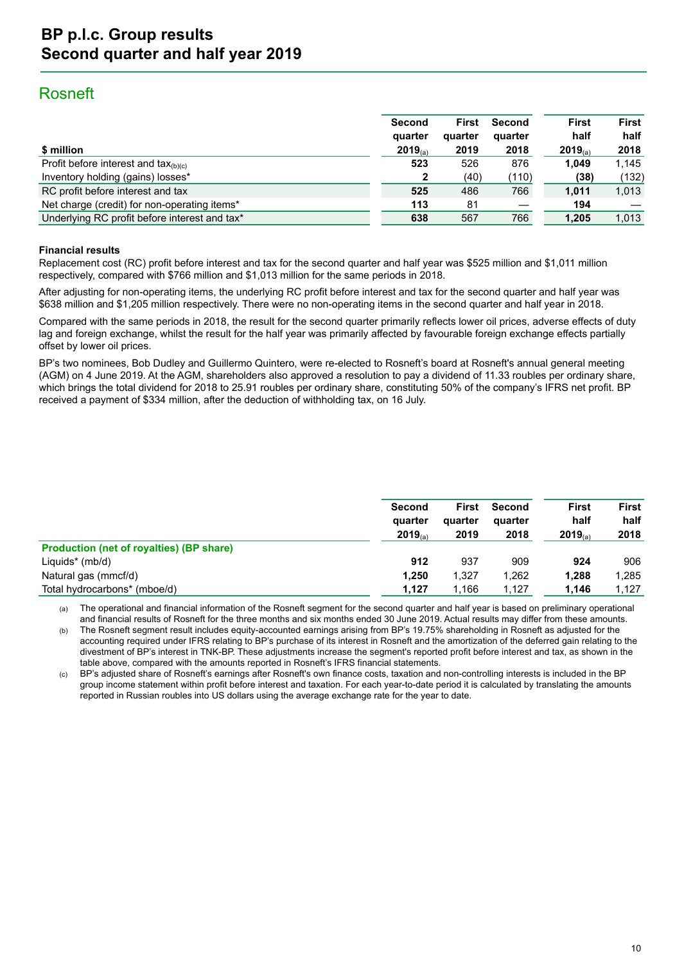### Rosneft

|                                                  | Second<br>auarter | First<br>quarter | Second<br>quarter | First<br>half | <b>First</b><br>half |
|--------------------------------------------------|-------------------|------------------|-------------------|---------------|----------------------|
| \$ million                                       | $2019_{(a)}$      | 2019             | 2018              | $2019_{(a)}$  | 2018                 |
| Profit before interest and $\text{tax}_{(b)(c)}$ | 523               | 526              | 876               | 1.049         | 1.145                |
| Inventory holding (gains) losses*                | 2                 | (40)             | (110)             | (38)          | (132)                |
| RC profit before interest and tax                | 525               | 486              | 766               | 1.011         | 1,013                |
| Net charge (credit) for non-operating items*     | 113               | 81               |                   | 194           |                      |
| Underlying RC profit before interest and tax*    | 638               | 567              | 766               | 1.205         | 1,013                |

#### **Financial results**

Replacement cost (RC) profit before interest and tax for the second quarter and half year was \$525 million and \$1,011 million respectively, compared with \$766 million and \$1,013 million for the same periods in 2018.

After adjusting for non-operating items, the underlying RC profit before interest and tax for the second quarter and half year was \$638 million and \$1,205 million respectively. There were no non-operating items in the second quarter and half year in 2018.

Compared with the same periods in 2018, the result for the second quarter primarily reflects lower oil prices, adverse effects of duty lag and foreign exchange, whilst the result for the half year was primarily affected by favourable foreign exchange effects partially offset by lower oil prices.

BP's two nominees, Bob Dudley and Guillermo Quintero, were re-elected to Rosneft's board at Rosneft's annual general meeting (AGM) on 4 June 2019. At the AGM, shareholders also approved a resolution to pay a dividend of 11.33 roubles per ordinary share, which brings the total dividend for 2018 to 25.91 roubles per ordinary share, constituting 50% of the company's IFRS net profit. BP received a payment of \$334 million, after the deduction of withholding tax, on 16 July.

|                                                 | <b>Second</b><br>quarter<br>$2019_{(a)}$ | <b>First</b><br>quarter<br>2019 | Second<br>quarter<br>2018 | First<br>half<br>$2019_{(a)}$ | <b>First</b><br>half<br>2018 |
|-------------------------------------------------|------------------------------------------|---------------------------------|---------------------------|-------------------------------|------------------------------|
| <b>Production (net of royalties) (BP share)</b> |                                          |                                 |                           |                               |                              |
| Liquids* (mb/d)                                 | 912                                      | 937                             | 909                       | 924                           | 906                          |
| Natural gas (mmcf/d)                            | 1.250                                    | 1.327                           | 1.262                     | 1.288                         | 1,285                        |
| Total hydrocarbons* (mboe/d)                    | 1.127                                    | 1.166                           | 1.127                     | 1.146                         | 1.127                        |

(a) The operational and financial information of the Rosneft segment for the second quarter and half year is based on preliminary operational and financial results of Rosneft for the three months and six months ended 30 June 2019. Actual results may differ from these amounts.

(b) The Rosneft segment result includes equity-accounted earnings arising from BP's 19.75% shareholding in Rosneft as adjusted for the accounting required under IFRS relating to BP's purchase of its interest in Rosneft and the amortization of the deferred gain relating to the divestment of BP's interest in TNK-BP. These adjustments increase the segment's reported profit before interest and tax, as shown in the table above, compared with the amounts reported in Rosneft's IFRS financial statements.

(c) BP's adjusted share of Rosneft's earnings after Rosneft's own finance costs, taxation and non-controlling interests is included in the BP group income statement within profit before interest and taxation. For each year-to-date period it is calculated by translating the amounts reported in Russian roubles into US dollars using the average exchange rate for the year to date.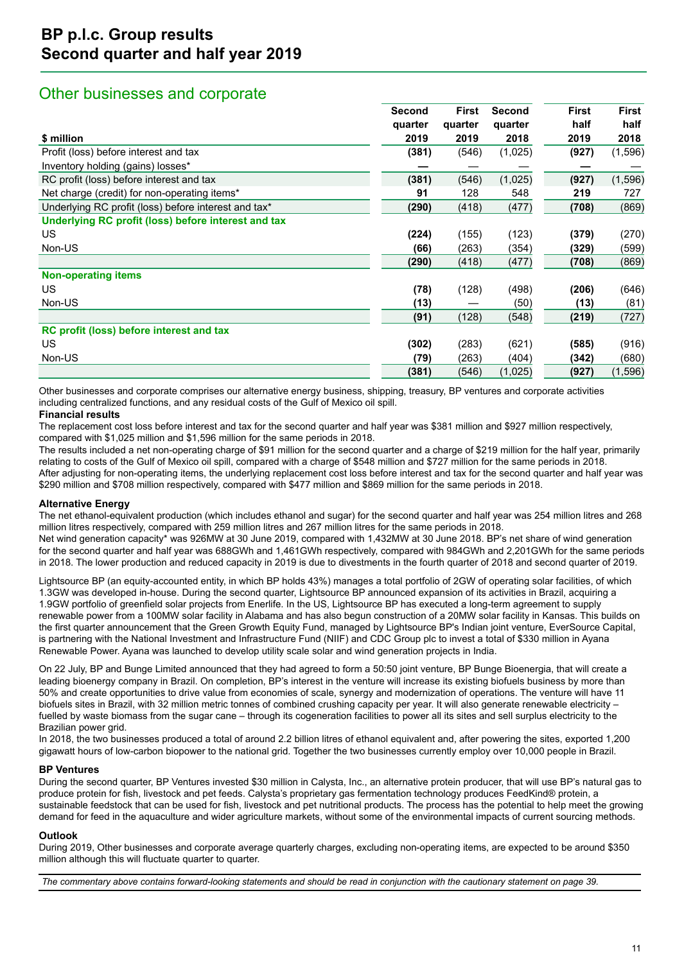### Other businesses and corporate

|                                                      | <b>Second</b> | <b>First</b> | Second  | <b>First</b> | <b>First</b> |
|------------------------------------------------------|---------------|--------------|---------|--------------|--------------|
|                                                      | quarter       | quarter      | quarter | half         | half         |
| \$ million                                           | 2019          | 2019         | 2018    | 2019         | 2018         |
| Profit (loss) before interest and tax                | (381)         | (546)        | (1,025) | (927)        | (1,596)      |
| Inventory holding (gains) losses*                    |               |              |         |              |              |
| RC profit (loss) before interest and tax             | (381)         | (546)        | (1,025) | (927)        | (1,596)      |
| Net charge (credit) for non-operating items*         | 91            | 128          | 548     | 219          | 727          |
| Underlying RC profit (loss) before interest and tax* | (290)         | (418)        | (477)   | (708)        | (869)        |
| Underlying RC profit (loss) before interest and tax  |               |              |         |              |              |
| US.                                                  | (224)         | (155)        | (123)   | (379)        | (270)        |
| Non-US                                               | (66)          | (263)        | (354)   | (329)        | (599)        |
|                                                      | (290)         | (418)        | (477)   | (708)        | (869)        |
| <b>Non-operating items</b>                           |               |              |         |              |              |
| US.                                                  | (78)          | (128)        | (498)   | (206)        | (646)        |
| Non-US                                               | (13)          |              | (50)    | (13)         | (81)         |
|                                                      | (91)          | (128)        | (548)   | (219)        | (727)        |
| RC profit (loss) before interest and tax             |               |              |         |              |              |
| US.                                                  | (302)         | (283)        | (621)   | (585)        | (916)        |
| Non-US                                               | (79)          | (263)        | (404)   | (342)        | (680)        |
|                                                      | (381)         | (546)        | (1,025) | (927)        | (1, 596)     |

Other businesses and corporate comprises our alternative energy business, shipping, treasury, BP ventures and corporate activities including centralized functions, and any residual costs of the Gulf of Mexico oil spill.

#### **Financial results**

The replacement cost loss before interest and tax for the second quarter and half year was \$381 million and \$927 million respectively, compared with \$1,025 million and \$1,596 million for the same periods in 2018.

The results included a net non-operating charge of \$91 million for the second quarter and a charge of \$219 million for the half year, primarily relating to costs of the Gulf of Mexico oil spill, compared with a charge of \$548 million and \$727 million for the same periods in 2018. After adjusting for non-operating items, the underlying replacement cost loss before interest and tax for the second quarter and half year was \$290 million and \$708 million respectively, compared with \$477 million and \$869 million for the same periods in 2018.

#### **Alternative Energy**

The net ethanol-equivalent production (which includes ethanol and sugar) for the second quarter and half year was 254 million litres and 268 million litres respectively, compared with 259 million litres and 267 million litres for the same periods in 2018.

Net wind generation capacity\* was 926MW at 30 June 2019, compared with 1,432MW at 30 June 2018. BP's net share of wind generation for the second quarter and half year was 688GWh and 1,461GWh respectively, compared with 984GWh and 2,201GWh for the same periods in 2018. The lower production and reduced capacity in 2019 is due to divestments in the fourth quarter of 2018 and second quarter of 2019.

Lightsource BP (an equity-accounted entity, in which BP holds 43%) manages a total portfolio of 2GW of operating solar facilities, of which 1.3GW was developed in-house. During the second quarter, Lightsource BP announced expansion of its activities in Brazil, acquiring a 1.9GW portfolio of greenfield solar projects from Enerlife. In the US, Lightsource BP has executed a long-term agreement to supply renewable power from a 100MW solar facility in Alabama and has also begun construction of a 20MW solar facility in Kansas. This builds on the first quarter announcement that the Green Growth Equity Fund, managed by Lightsource BP's Indian joint venture, EverSource Capital, is partnering with the National Investment and Infrastructure Fund (NIIF) and CDC Group plc to invest a total of \$330 million in Ayana Renewable Power. Ayana was launched to develop utility scale solar and wind generation projects in India.

On 22 July, BP and Bunge Limited announced that they had agreed to form a 50:50 joint venture, BP Bunge Bioenergia, that will create a leading bioenergy company in Brazil. On completion, BP's interest in the venture will increase its existing biofuels business by more than 50% and create opportunities to drive value from economies of scale, synergy and modernization of operations. The venture will have 11 biofuels sites in Brazil, with 32 million metric tonnes of combined crushing capacity per year. It will also generate renewable electricity – fuelled by waste biomass from the sugar cane – through its cogeneration facilities to power all its sites and sell surplus electricity to the Brazilian power grid.

In 2018, the two businesses produced a total of around 2.2 billion litres of ethanol equivalent and, after powering the sites, exported 1,200 gigawatt hours of low-carbon biopower to the national grid. Together the two businesses currently employ over 10,000 people in Brazil.

#### **BP Ventures**

During the second quarter, BP Ventures invested \$30 million in Calysta, Inc., an alternative protein producer, that will use BP's natural gas to produce protein for fish, livestock and pet feeds. Calysta's proprietary gas fermentation technology produces FeedKind® protein, a sustainable feedstock that can be used for fish, livestock and pet nutritional products. The process has the potential to help meet the growing demand for feed in the aquaculture and wider agriculture markets, without some of the environmental impacts of current sourcing methods.

#### **Outlook**

During 2019, Other businesses and corporate average quarterly charges, excluding non-operating items, are expected to be around \$350 million although this will fluctuate quarter to quarter.

*The commentary above contains forward-looking statements and should be read in conjunction with the cautionary statement on page 39.*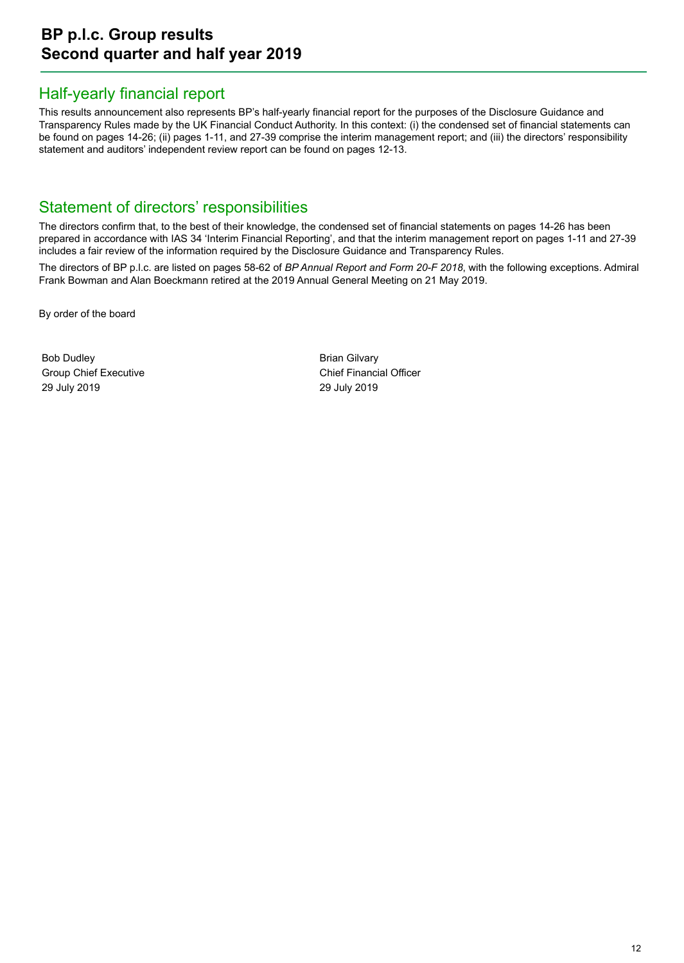## **BP p.l.c. Group results Second quarter and half year 2019**

### Half-yearly financial report

This results announcement also represents BP's half-yearly financial report for the purposes of the Disclosure Guidance and Transparency Rules made by the UK Financial Conduct Authority. In this context: (i) the condensed set of financial statements can be found on pages 14-26; (ii) pages 1-11, and 27-39 comprise the interim management report; and (iii) the directors' responsibility statement and auditors' independent review report can be found on pages 12-13.

# Statement of directors' responsibilities

The directors confirm that, to the best of their knowledge, the condensed set of financial statements on pages 14-26 has been prepared in accordance with IAS 34 'Interim Financial Reporting', and that the interim management report on pages 1-11 and 27-39 includes a fair review of the information required by the Disclosure Guidance and Transparency Rules.

The directors of BP p.l.c. are listed on pages 58-62 of *BP Annual Report and Form 20-F 2018*, with the following exceptions. Admiral Frank Bowman and Alan Boeckmann retired at the 2019 Annual General Meeting on 21 May 2019.

By order of the board

Bob Dudley **Brian Gilvary** Brian Gilvary Group Chief Executive Chief Financial Officer 29 July 2019 29 July 2019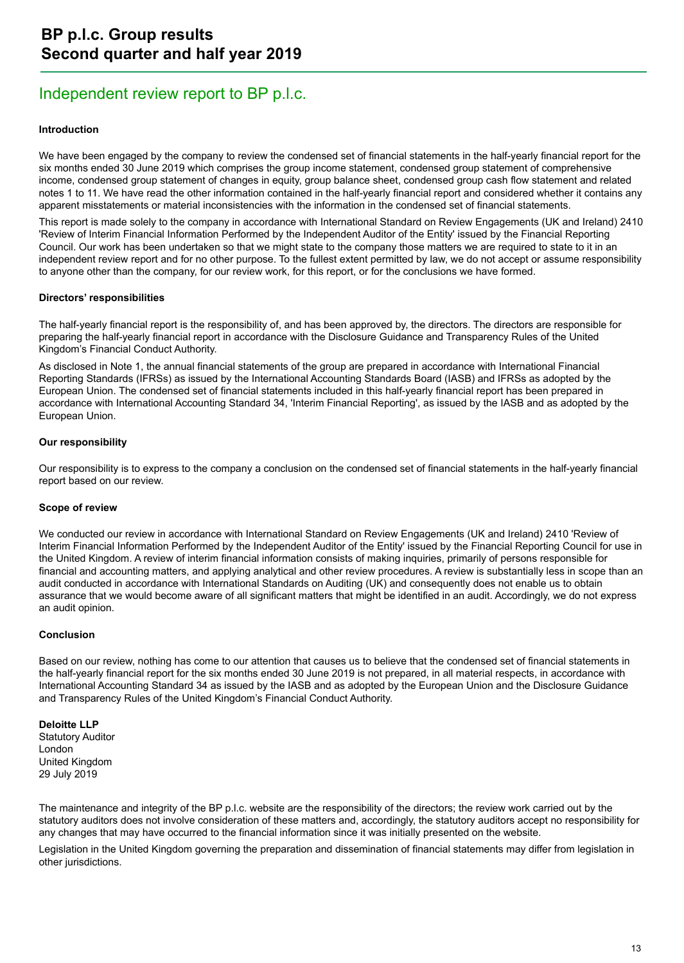# Independent review report to BP p.l.c.

#### **Introduction**

We have been engaged by the company to review the condensed set of financial statements in the half-yearly financial report for the six months ended 30 June 2019 which comprises the group income statement, condensed group statement of comprehensive income, condensed group statement of changes in equity, group balance sheet, condensed group cash flow statement and related notes 1 to 11. We have read the other information contained in the half-yearly financial report and considered whether it contains any apparent misstatements or material inconsistencies with the information in the condensed set of financial statements.

This report is made solely to the company in accordance with International Standard on Review Engagements (UK and Ireland) 2410 'Review of Interim Financial Information Performed by the Independent Auditor of the Entity' issued by the Financial Reporting Council. Our work has been undertaken so that we might state to the company those matters we are required to state to it in an independent review report and for no other purpose. To the fullest extent permitted by law, we do not accept or assume responsibility to anyone other than the company, for our review work, for this report, or for the conclusions we have formed.

#### **Directors' responsibilities**

The half-yearly financial report is the responsibility of, and has been approved by, the directors. The directors are responsible for preparing the half-yearly financial report in accordance with the Disclosure Guidance and Transparency Rules of the United Kingdom's Financial Conduct Authority.

As disclosed in Note 1, the annual financial statements of the group are prepared in accordance with International Financial Reporting Standards (IFRSs) as issued by the International Accounting Standards Board (IASB) and IFRSs as adopted by the European Union. The condensed set of financial statements included in this half-yearly financial report has been prepared in accordance with International Accounting Standard 34, 'Interim Financial Reporting', as issued by the IASB and as adopted by the European Union.

#### **Our responsibility**

Our responsibility is to express to the company a conclusion on the condensed set of financial statements in the half-yearly financial report based on our review.

#### **Scope of review**

We conducted our review in accordance with International Standard on Review Engagements (UK and Ireland) 2410 'Review of Interim Financial Information Performed by the Independent Auditor of the Entity' issued by the Financial Reporting Council for use in the United Kingdom. A review of interim financial information consists of making inquiries, primarily of persons responsible for financial and accounting matters, and applying analytical and other review procedures. A review is substantially less in scope than an audit conducted in accordance with International Standards on Auditing (UK) and consequently does not enable us to obtain assurance that we would become aware of all significant matters that might be identified in an audit. Accordingly, we do not express an audit opinion.

#### **Conclusion**

Based on our review, nothing has come to our attention that causes us to believe that the condensed set of financial statements in the half-yearly financial report for the six months ended 30 June 2019 is not prepared, in all material respects, in accordance with International Accounting Standard 34 as issued by the IASB and as adopted by the European Union and the Disclosure Guidance and Transparency Rules of the United Kingdom's Financial Conduct Authority.

#### **Deloitte LLP**

Statutory Auditor London United Kingdom 29 July 2019

The maintenance and integrity of the BP p.l.c. website are the responsibility of the directors; the review work carried out by the statutory auditors does not involve consideration of these matters and, accordingly, the statutory auditors accept no responsibility for any changes that may have occurred to the financial information since it was initially presented on the website.

Legislation in the United Kingdom governing the preparation and dissemination of financial statements may differ from legislation in other jurisdictions.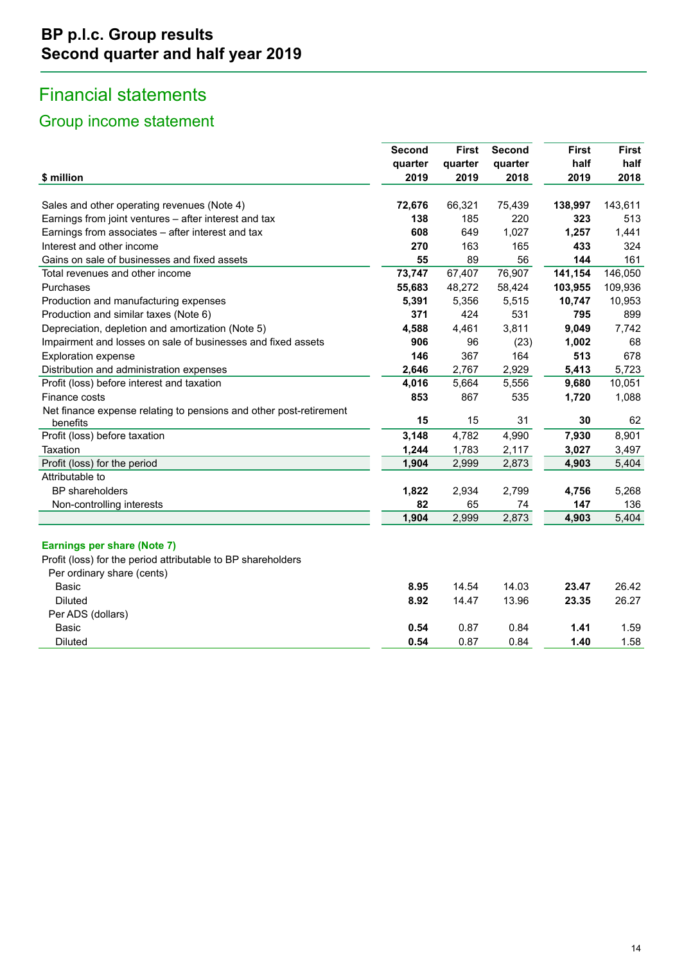# Financial statements

# Group income statement

|                                                                    | Second  | <b>First</b> | Second  | <b>First</b> | <b>First</b> |
|--------------------------------------------------------------------|---------|--------------|---------|--------------|--------------|
|                                                                    | quarter | quarter      | quarter | half         | half         |
| \$ million                                                         | 2019    | 2019         | 2018    | 2019         | 2018         |
|                                                                    |         |              |         |              |              |
| Sales and other operating revenues (Note 4)                        | 72,676  | 66,321       | 75,439  | 138,997      | 143,611      |
| Earnings from joint ventures - after interest and tax              | 138     | 185          | 220     | 323          | 513          |
| Earnings from associates - after interest and tax                  | 608     | 649          | 1,027   | 1,257        | 1,441        |
| Interest and other income                                          | 270     | 163          | 165     | 433          | 324          |
| Gains on sale of businesses and fixed assets                       | 55      | 89           | 56      | 144          | 161          |
| Total revenues and other income                                    | 73,747  | 67,407       | 76,907  | 141,154      | 146,050      |
| Purchases                                                          | 55,683  | 48,272       | 58,424  | 103,955      | 109,936      |
| Production and manufacturing expenses                              | 5,391   | 5,356        | 5,515   | 10,747       | 10,953       |
| Production and similar taxes (Note 6)                              | 371     | 424          | 531     | 795          | 899          |
| Depreciation, depletion and amortization (Note 5)                  | 4,588   | 4,461        | 3,811   | 9,049        | 7,742        |
| Impairment and losses on sale of businesses and fixed assets       | 906     | 96           | (23)    | 1,002        | 68           |
| <b>Exploration expense</b>                                         | 146     | 367          | 164     | 513          | 678          |
| Distribution and administration expenses                           | 2,646   | 2,767        | 2,929   | 5,413        | 5,723        |
| Profit (loss) before interest and taxation                         | 4,016   | 5,664        | 5,556   | 9,680        | 10,051       |
| Finance costs                                                      | 853     | 867          | 535     | 1,720        | 1,088        |
| Net finance expense relating to pensions and other post-retirement |         |              |         |              |              |
| benefits                                                           | 15      | 15           | 31      | 30           | 62           |
| Profit (loss) before taxation                                      | 3,148   | 4,782        | 4,990   | 7,930        | 8,901        |
| Taxation                                                           | 1,244   | 1,783        | 2,117   | 3,027        | 3,497        |
| Profit (loss) for the period                                       | 1,904   | 2,999        | 2,873   | 4,903        | 5,404        |
| Attributable to                                                    |         |              |         |              |              |
| <b>BP</b> shareholders                                             | 1,822   | 2,934        | 2,799   | 4,756        | 5,268        |
| Non-controlling interests                                          | 82      | 65           | 74      | 147          | 136          |
|                                                                    | 1,904   | 2,999        | 2,873   | 4,903        | 5,404        |
|                                                                    |         |              |         |              |              |
| Earnings per share (Note 7)                                        |         |              |         |              |              |
| Profit (loss) for the period attributable to BP shareholders       |         |              |         |              |              |
| Per ordinary share (cents)                                         |         |              |         |              |              |
| Basic                                                              | 8.95    | 14.54        | 14.03   | 23.47        | 26.42        |
| <b>Diluted</b>                                                     | 8.92    | 14.47        | 13.96   | 23.35        | 26.27        |
| Per ADS (dollars)                                                  |         |              |         |              |              |
| <b>Basic</b>                                                       | 0.54    | 0.87         | 0.84    | 1.41         | 1.59         |
| Diluted                                                            | 0.54    | 0.87         | 0.84    | 1.40         | 1.58         |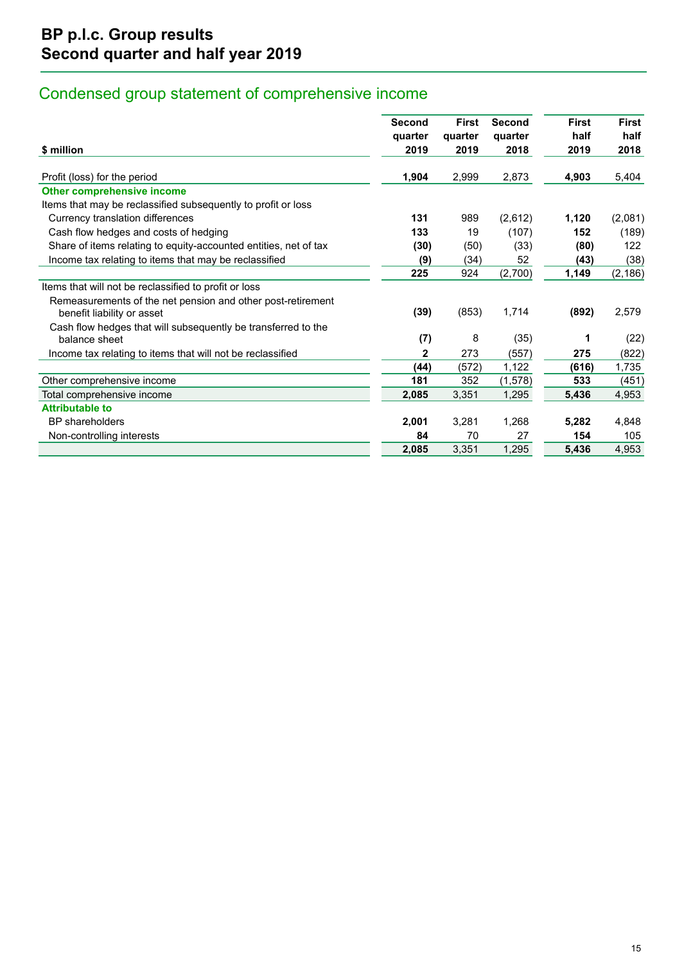# Condensed group statement of comprehensive income

| \$ million                                                                                | Second<br>quarter<br>2019 | <b>First</b><br>quarter<br>2019 | Second<br>quarter<br>2018 | <b>First</b><br>half<br>2019 | <b>First</b><br>half<br>2018 |
|-------------------------------------------------------------------------------------------|---------------------------|---------------------------------|---------------------------|------------------------------|------------------------------|
| Profit (loss) for the period                                                              | 1,904                     | 2,999                           | 2,873                     | 4,903                        | 5,404                        |
| <b>Other comprehensive income</b>                                                         |                           |                                 |                           |                              |                              |
| Items that may be reclassified subsequently to profit or loss                             |                           |                                 |                           |                              |                              |
| Currency translation differences                                                          | 131                       | 989                             | (2,612)                   | 1,120                        | (2,081)                      |
| Cash flow hedges and costs of hedging                                                     | 133                       | 19                              | (107)                     | 152                          | (189)                        |
| Share of items relating to equity-accounted entities, net of tax                          | (30)                      | (50)                            | (33)                      | (80)                         | 122                          |
| Income tax relating to items that may be reclassified                                     | (9)                       | (34)                            | 52                        | (43)                         | (38)                         |
|                                                                                           | 225                       | 924                             | (2,700)                   | 1,149                        | (2, 186)                     |
| Items that will not be reclassified to profit or loss                                     |                           |                                 |                           |                              |                              |
| Remeasurements of the net pension and other post-retirement<br>benefit liability or asset | (39)                      | (853)                           | 1,714                     | (892)                        | 2,579                        |
| Cash flow hedges that will subsequently be transferred to the<br>balance sheet            | (7)                       | 8                               | (35)                      | 1                            | (22)                         |
| Income tax relating to items that will not be reclassified                                | 2                         | 273                             | (557)                     | 275                          | (822)                        |
|                                                                                           | (44)                      | (572)                           | 1,122                     | (616)                        | 1,735                        |
| Other comprehensive income                                                                | 181                       | 352                             | (1,578)                   | 533                          | (451)                        |
| Total comprehensive income                                                                | 2,085                     | 3,351                           | 1,295                     | 5,436                        | 4,953                        |
| <b>Attributable to</b>                                                                    |                           |                                 |                           |                              |                              |
| <b>BP</b> shareholders                                                                    | 2,001                     | 3,281                           | 1,268                     | 5,282                        | 4,848                        |
| Non-controlling interests                                                                 | 84                        | 70                              | 27                        | 154                          | 105                          |
|                                                                                           | 2,085                     | 3,351                           | 1,295                     | 5,436                        | 4,953                        |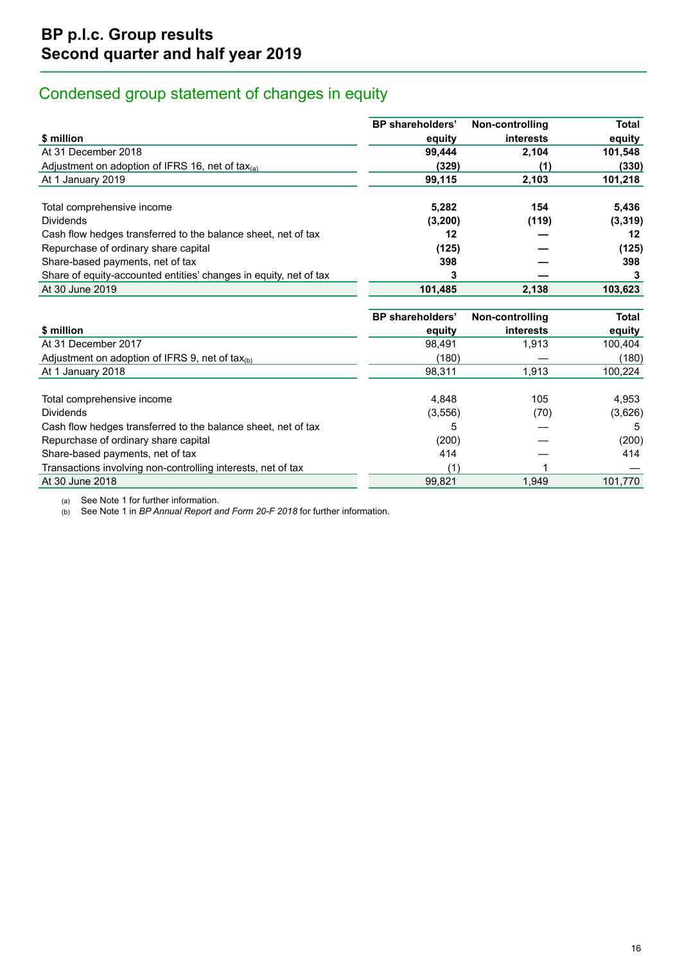# Condensed group statement of changes in equity

|                                                                   | <b>BP</b> shareholders' | Non-controlling | <b>Total</b> |
|-------------------------------------------------------------------|-------------------------|-----------------|--------------|
| \$ million                                                        | equity                  | interests       | equity       |
| At 31 December 2018                                               | 99.444                  | 2.104           | 101,548      |
| Adjustment on adoption of IFRS 16, net of tax $_{(a)}$            | (329)                   | (1)             | (330)        |
| At 1 January 2019                                                 | 99,115                  | 2,103           | 101,218      |
| Total comprehensive income                                        | 5,282                   | 154             | 5.436        |
| <b>Dividends</b>                                                  | (3,200)                 | (119)           | (3, 319)     |
| Cash flow hedges transferred to the balance sheet, net of tax     | 12                      |                 | 12           |
| Repurchase of ordinary share capital                              | (125)                   |                 | (125)        |
| Share-based payments, net of tax                                  | 398                     |                 | 398          |
| Share of equity-accounted entities' changes in equity, net of tax | 3                       |                 |              |
| At 30 June 2019                                                   | 101.485                 | 2.138           | 103.623      |

|                                                               | <b>BP</b> shareholders' | Non-controlling | <b>Total</b> |
|---------------------------------------------------------------|-------------------------|-----------------|--------------|
| \$ million                                                    | equity                  | interests       | equity       |
| At 31 December 2017                                           | 98.491                  | 1.913           | 100.404      |
| Adjustment on adoption of IFRS 9, net of tax $_{(b)}$         | (180)                   |                 | (180)        |
| At 1 January 2018                                             | 98,311                  | 1.913           | 100,224      |
|                                                               |                         |                 |              |
| Total comprehensive income                                    | 4.848                   | 105             | 4.953        |
| <b>Dividends</b>                                              | (3,556)                 | (70)            | (3,626)      |
| Cash flow hedges transferred to the balance sheet, net of tax | 5                       |                 | 5            |
| Repurchase of ordinary share capital                          | (200)                   |                 | (200)        |
| Share-based payments, net of tax                              | 414                     |                 | 414          |
| Transactions involving non-controlling interests, net of tax  | (1)                     |                 |              |
| At 30 June 2018                                               | 99.821                  | 1.949           | 101.770      |

(a) See Note 1 for further information.

(b) See Note 1 in *BP Annual Report and Form 20-F 2018* for further information.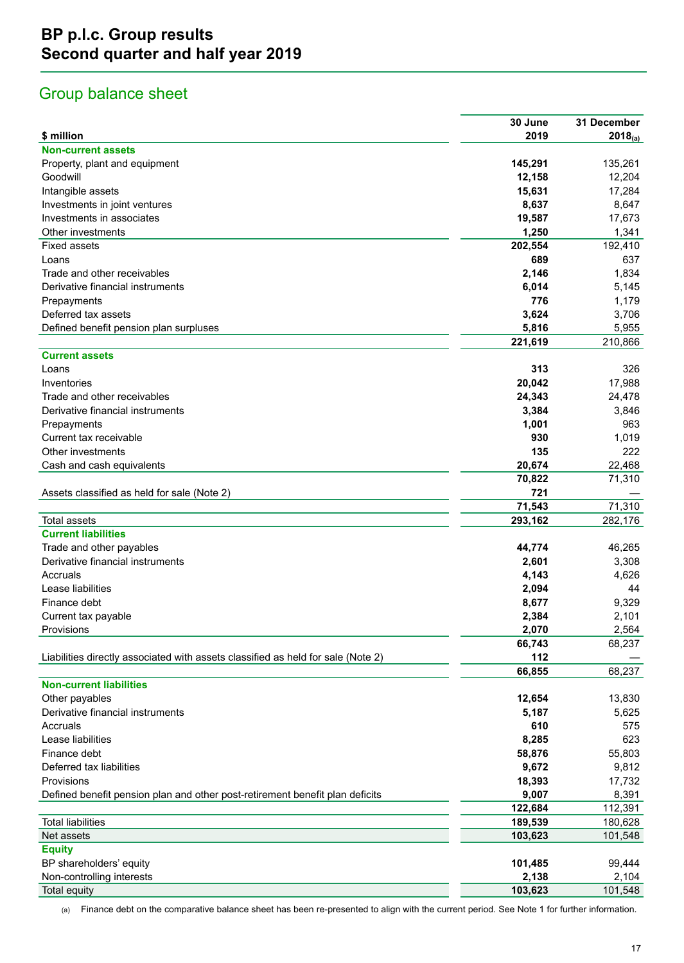# **BP p.l.c. Group results Second quarter and half year 2019**

# Group balance sheet

|                                                                                  | 30 June | 31 December  |
|----------------------------------------------------------------------------------|---------|--------------|
| \$ million                                                                       | 2019    | $2018_{(a)}$ |
| <b>Non-current assets</b>                                                        |         |              |
| Property, plant and equipment                                                    | 145,291 | 135,261      |
| Goodwill                                                                         | 12,158  | 12,204       |
| Intangible assets                                                                | 15,631  | 17,284       |
| Investments in joint ventures                                                    | 8,637   | 8,647        |
| Investments in associates                                                        | 19,587  | 17,673       |
| Other investments                                                                | 1,250   | 1,341        |
| <b>Fixed assets</b>                                                              | 202,554 | 192,410      |
| Loans                                                                            | 689     | 637          |
| Trade and other receivables                                                      | 2,146   | 1,834        |
| Derivative financial instruments                                                 | 6,014   | 5,145        |
| Prepayments                                                                      | 776     | 1,179        |
| Deferred tax assets                                                              | 3,624   | 3,706        |
| Defined benefit pension plan surpluses                                           | 5,816   | 5,955        |
|                                                                                  | 221,619 | 210,866      |
| <b>Current assets</b>                                                            |         |              |
| Loans                                                                            | 313     | 326          |
| Inventories                                                                      | 20,042  | 17,988       |
| Trade and other receivables                                                      | 24,343  | 24,478       |
| Derivative financial instruments                                                 | 3,384   | 3,846        |
| Prepayments                                                                      | 1,001   | 963          |
|                                                                                  | 930     |              |
| Current tax receivable                                                           |         | 1,019        |
| Other investments                                                                | 135     | 222          |
| Cash and cash equivalents                                                        | 20,674  | 22,468       |
|                                                                                  | 70,822  | 71,310       |
| Assets classified as held for sale (Note 2)                                      | 721     |              |
|                                                                                  | 71,543  | 71,310       |
| <b>Total assets</b>                                                              | 293,162 | 282,176      |
| <b>Current liabilities</b>                                                       |         |              |
| Trade and other payables                                                         | 44,774  | 46,265       |
| Derivative financial instruments                                                 | 2,601   | 3,308        |
| Accruals                                                                         | 4,143   | 4,626        |
| Lease liabilities                                                                | 2,094   | 44           |
| Finance debt                                                                     | 8,677   | 9,329        |
| Current tax payable                                                              | 2,384   | 2,101        |
| Provisions                                                                       | 2,070   | 2,564        |
|                                                                                  | 66,743  | 68,237       |
| Liabilities directly associated with assets classified as held for sale (Note 2) | 112     |              |
|                                                                                  | 66,855  | 68,237       |
| <b>Non-current liabilities</b>                                                   |         |              |
| Other payables                                                                   | 12,654  | 13,830       |
| Derivative financial instruments                                                 | 5,187   | 5,625        |
| Accruals                                                                         | 610     | 575          |
| Lease liabilities                                                                | 8,285   | 623          |
| Finance debt                                                                     | 58,876  | 55,803       |
| Deferred tax liabilities                                                         | 9,672   | 9,812        |
| Provisions                                                                       | 18,393  | 17,732       |
| Defined benefit pension plan and other post-retirement benefit plan deficits     | 9,007   | 8,391        |
|                                                                                  | 122,684 | 112,391      |
| <b>Total liabilities</b>                                                         | 189,539 | 180,628      |
| Net assets                                                                       | 103,623 | 101,548      |
| <b>Equity</b>                                                                    |         |              |
| BP shareholders' equity                                                          | 101,485 | 99,444       |
| Non-controlling interests                                                        | 2,138   | 2,104        |
| <b>Total equity</b>                                                              | 103,623 | 101,548      |
|                                                                                  |         |              |

(a) Finance debt on the comparative balance sheet has been re-presented to align with the current period. See Note 1 for further information.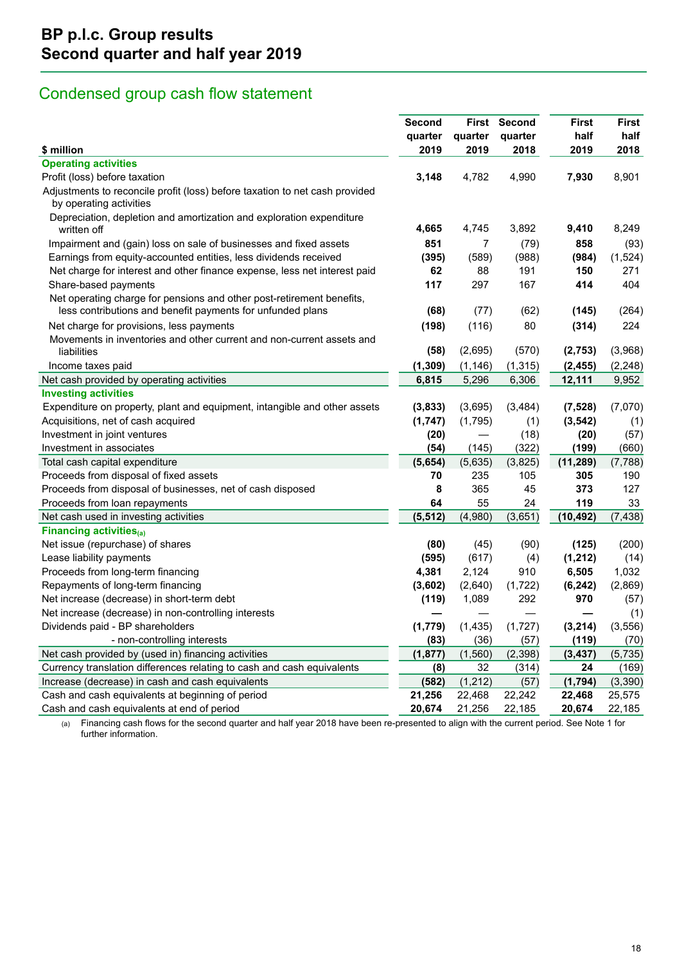# Condensed group cash flow statement

| \$ million                                                                                                                          | Second<br>quarter<br>2019 | quarter<br>2019 | <b>First Second</b><br>quarter<br>2018 | <b>First</b><br>half<br>2019 | <b>First</b><br>half<br>2018 |
|-------------------------------------------------------------------------------------------------------------------------------------|---------------------------|-----------------|----------------------------------------|------------------------------|------------------------------|
| <b>Operating activities</b>                                                                                                         |                           |                 |                                        |                              |                              |
| Profit (loss) before taxation                                                                                                       | 3,148                     | 4,782           | 4,990                                  | 7,930                        | 8,901                        |
| Adjustments to reconcile profit (loss) before taxation to net cash provided<br>by operating activities                              |                           |                 |                                        |                              |                              |
| Depreciation, depletion and amortization and exploration expenditure<br>written off                                                 | 4,665                     | 4,745           | 3,892                                  | 9,410                        | 8,249                        |
| Impairment and (gain) loss on sale of businesses and fixed assets                                                                   | 851                       | 7               | (79)                                   | 858                          | (93)                         |
| Earnings from equity-accounted entities, less dividends received                                                                    | (395)                     | (589)           | (988)                                  | (984)                        | (1,524)                      |
| Net charge for interest and other finance expense, less net interest paid                                                           | 62                        | 88              | 191                                    | 150                          | 271                          |
| Share-based payments                                                                                                                | 117                       | 297             | 167                                    | 414                          | 404                          |
| Net operating charge for pensions and other post-retirement benefits,<br>less contributions and benefit payments for unfunded plans | (68)                      | (77)            | (62)                                   | (145)                        | (264)                        |
| Net charge for provisions, less payments                                                                                            | (198)                     | (116)           | 80                                     | (314)                        | 224                          |
| Movements in inventories and other current and non-current assets and<br>liabilities                                                | (58)                      | (2,695)         | (570)                                  | (2,753)                      | (3,968)                      |
|                                                                                                                                     | (1, 309)                  | (1, 146)        | (1, 315)                               | (2, 455)                     | (2, 248)                     |
| Income taxes paid                                                                                                                   | 6,815                     | 5,296           | 6,306                                  | 12,111                       | 9,952                        |
| Net cash provided by operating activities<br><b>Investing activities</b>                                                            |                           |                 |                                        |                              |                              |
|                                                                                                                                     |                           |                 |                                        |                              |                              |
| Expenditure on property, plant and equipment, intangible and other assets<br>Acquisitions, net of cash acquired                     | (3,833)                   | (3,695)         | (3, 484)                               | (7, 528)                     | (7,070)                      |
|                                                                                                                                     | (1,747)                   | (1,795)         | (1)                                    | (3, 542)                     | (1)                          |
| Investment in joint ventures                                                                                                        | (20)                      |                 | (18)                                   | (20)                         | (57)                         |
| Investment in associates                                                                                                            | (54)                      | (145)           | (322)<br>(3,825)                       | (199)                        | (660)                        |
| Total cash capital expenditure<br>Proceeds from disposal of fixed assets                                                            | (5,654)<br>70             | (5,635)<br>235  | 105                                    | (11, 289)<br>305             | (7,788)<br>190               |
| Proceeds from disposal of businesses, net of cash disposed                                                                          | 8                         | 365             | 45                                     | 373                          | 127                          |
| Proceeds from loan repayments                                                                                                       | 64                        | 55              | 24                                     | 119                          | 33                           |
| Net cash used in investing activities                                                                                               | (5, 512)                  | (4,980)         | (3,651)                                | (10, 492)                    | (7, 438)                     |
| Financing activities $_{(a)}$                                                                                                       |                           |                 |                                        |                              |                              |
| Net issue (repurchase) of shares                                                                                                    | (80)                      | (45)            | (90)                                   | (125)                        | (200)                        |
| Lease liability payments                                                                                                            | (595)                     | (617)           | (4)                                    | (1, 212)                     | (14)                         |
| Proceeds from long-term financing                                                                                                   | 4,381                     | 2,124           | 910                                    | 6,505                        | 1,032                        |
| Repayments of long-term financing                                                                                                   | (3,602)                   | (2,640)         | (1, 722)                               | (6, 242)                     | (2,869)                      |
| Net increase (decrease) in short-term debt                                                                                          | (119)                     | 1,089           | 292                                    | 970                          | (57)                         |
| Net increase (decrease) in non-controlling interests                                                                                |                           |                 |                                        |                              | (1)                          |
| Dividends paid - BP shareholders                                                                                                    | (1,779)                   | (1, 435)        | (1,727)                                | (3, 214)                     | (3, 556)                     |
| - non-controlling interests                                                                                                         | (83)                      | (36)            | (57)                                   | (119)                        | (70)                         |
| Net cash provided by (used in) financing activities                                                                                 | (1, 877)                  | (1, 560)        | (2, 398)                               | (3, 437)                     | (5, 735)                     |
| Currency translation differences relating to cash and cash equivalents                                                              | (8)                       | 32              | (314)                                  | 24                           | (169)                        |
| Increase (decrease) in cash and cash equivalents                                                                                    | (582)                     | (1, 212)        | (57)                                   | (1, 794)                     | (3, 390)                     |
| Cash and cash equivalents at beginning of period                                                                                    | 21,256                    | 22,468          | 22,242                                 | 22,468                       | 25,575                       |
| Cash and cash equivalents at end of period                                                                                          | 20,674                    | 21,256          | 22,185                                 | 20,674                       | 22,185                       |

(a) Financing cash flows for the second quarter and half year 2018 have been re-presented to align with the current period. See Note 1 for further information.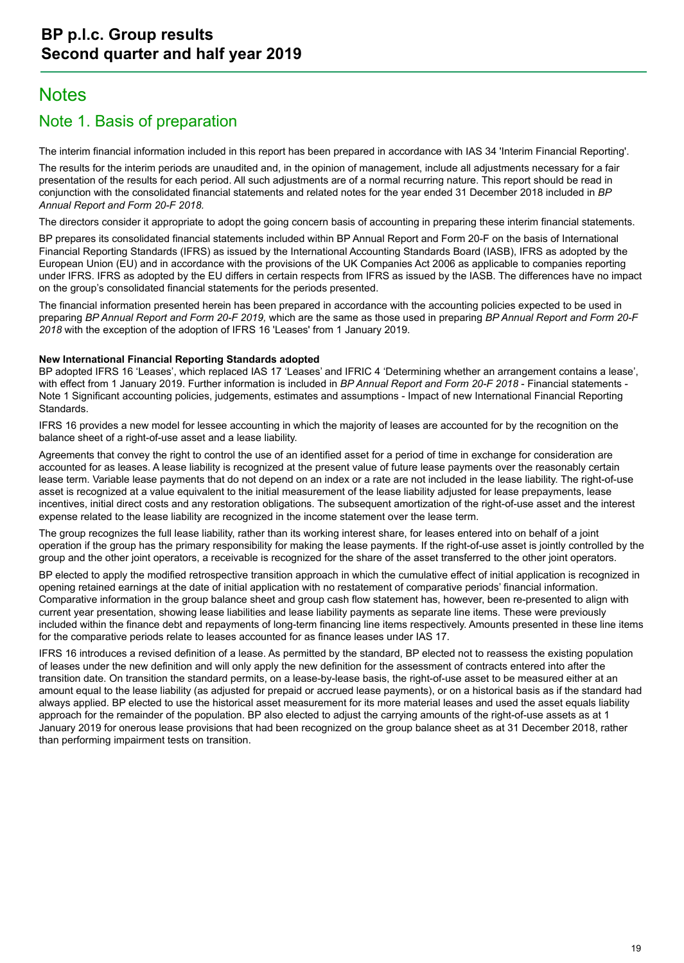# **Notes**

## Note 1. Basis of preparation

The interim financial information included in this report has been prepared in accordance with IAS 34 'Interim Financial Reporting'.

The results for the interim periods are unaudited and, in the opinion of management, include all adjustments necessary for a fair presentation of the results for each period. All such adjustments are of a normal recurring nature. This report should be read in conjunction with the consolidated financial statements and related notes for the year ended 31 December 2018 included in *BP Annual Report and Form 20-F 2018.*

The directors consider it appropriate to adopt the going concern basis of accounting in preparing these interim financial statements.

BP prepares its consolidated financial statements included within BP Annual Report and Form 20-F on the basis of International Financial Reporting Standards (IFRS) as issued by the International Accounting Standards Board (IASB), IFRS as adopted by the European Union (EU) and in accordance with the provisions of the UK Companies Act 2006 as applicable to companies reporting under IFRS. IFRS as adopted by the EU differs in certain respects from IFRS as issued by the IASB. The differences have no impact on the group's consolidated financial statements for the periods presented.

The financial information presented herein has been prepared in accordance with the accounting policies expected to be used in preparing *BP Annual Report and Form 20-F 2019,* which are the same as those used in preparing *BP Annual Report and Form 20-F 2018* with the exception of the adoption of IFRS 16 'Leases' from 1 January 2019.

### **New International Financial Reporting Standards adopted**

BP adopted IFRS 16 'Leases', which replaced IAS 17 'Leases' and IFRIC 4 'Determining whether an arrangement contains a lease', with effect from 1 January 2019. Further information is included in *BP Annual Report and Form 20-F 2018* - Financial statements - Note 1 Significant accounting policies, judgements, estimates and assumptions - Impact of new International Financial Reporting **Standards** 

IFRS 16 provides a new model for lessee accounting in which the majority of leases are accounted for by the recognition on the balance sheet of a right-of-use asset and a lease liability.

Agreements that convey the right to control the use of an identified asset for a period of time in exchange for consideration are accounted for as leases. A lease liability is recognized at the present value of future lease payments over the reasonably certain lease term. Variable lease payments that do not depend on an index or a rate are not included in the lease liability. The right-of-use asset is recognized at a value equivalent to the initial measurement of the lease liability adjusted for lease prepayments, lease incentives, initial direct costs and any restoration obligations. The subsequent amortization of the right-of-use asset and the interest expense related to the lease liability are recognized in the income statement over the lease term.

The group recognizes the full lease liability, rather than its working interest share, for leases entered into on behalf of a joint operation if the group has the primary responsibility for making the lease payments. If the right-of-use asset is jointly controlled by the group and the other joint operators, a receivable is recognized for the share of the asset transferred to the other joint operators.

BP elected to apply the modified retrospective transition approach in which the cumulative effect of initial application is recognized in opening retained earnings at the date of initial application with no restatement of comparative periods' financial information. Comparative information in the group balance sheet and group cash flow statement has, however, been re-presented to align with current year presentation, showing lease liabilities and lease liability payments as separate line items. These were previously included within the finance debt and repayments of long-term financing line items respectively. Amounts presented in these line items for the comparative periods relate to leases accounted for as finance leases under IAS 17.

IFRS 16 introduces a revised definition of a lease. As permitted by the standard, BP elected not to reassess the existing population of leases under the new definition and will only apply the new definition for the assessment of contracts entered into after the transition date. On transition the standard permits, on a lease-by-lease basis, the right-of-use asset to be measured either at an amount equal to the lease liability (as adjusted for prepaid or accrued lease payments), or on a historical basis as if the standard had always applied. BP elected to use the historical asset measurement for its more material leases and used the asset equals liability approach for the remainder of the population. BP also elected to adjust the carrying amounts of the right-of-use assets as at 1 January 2019 for onerous lease provisions that had been recognized on the group balance sheet as at 31 December 2018, rather than performing impairment tests on transition.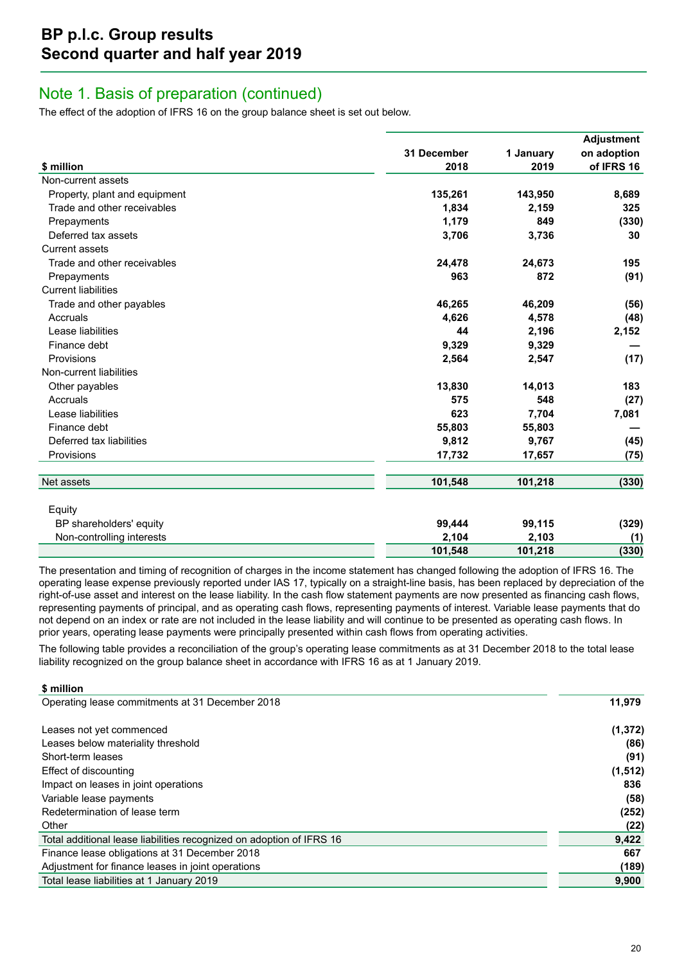## Note 1. Basis of preparation (continued)

The effect of the adoption of IFRS 16 on the group balance sheet is set out below.

|                               |             |           | <b>Adjustment</b> |
|-------------------------------|-------------|-----------|-------------------|
|                               | 31 December | 1 January | on adoption       |
| \$ million                    | 2018        | 2019      | of IFRS 16        |
| Non-current assets            |             |           |                   |
| Property, plant and equipment | 135,261     | 143,950   | 8,689             |
| Trade and other receivables   | 1,834       | 2,159     | 325               |
| Prepayments                   | 1,179       | 849       | (330)             |
| Deferred tax assets           | 3,706       | 3,736     | 30                |
| <b>Current assets</b>         |             |           |                   |
| Trade and other receivables   | 24,478      | 24,673    | 195               |
| Prepayments                   | 963         | 872       | (91)              |
| <b>Current liabilities</b>    |             |           |                   |
| Trade and other payables      | 46,265      | 46,209    | (56)              |
| Accruals                      | 4,626       | 4,578     | (48)              |
| Lease liabilities             | 44          | 2,196     | 2,152             |
| Finance debt                  | 9,329       | 9,329     |                   |
| Provisions                    | 2,564       | 2,547     | (17)              |
| Non-current liabilities       |             |           |                   |
| Other payables                | 13,830      | 14,013    | 183               |
| Accruals                      | 575         | 548       | (27)              |
| Lease liabilities             | 623         | 7,704     | 7,081             |
| Finance debt                  | 55,803      | 55,803    |                   |
| Deferred tax liabilities      | 9,812       | 9,767     | (45)              |
| Provisions                    | 17,732      | 17,657    | (75)              |
| Net assets                    | 101,548     | 101,218   | (330)             |
| Equity                        |             |           |                   |
| BP shareholders' equity       | 99,444      | 99,115    | (329)             |
| Non-controlling interests     | 2,104       | 2,103     | (1)               |
|                               | 101,548     | 101,218   | (330)             |

The presentation and timing of recognition of charges in the income statement has changed following the adoption of IFRS 16. The operating lease expense previously reported under IAS 17, typically on a straight-line basis, has been replaced by depreciation of the right-of-use asset and interest on the lease liability. In the cash flow statement payments are now presented as financing cash flows, representing payments of principal, and as operating cash flows, representing payments of interest. Variable lease payments that do not depend on an index or rate are not included in the lease liability and will continue to be presented as operating cash flows. In prior years, operating lease payments were principally presented within cash flows from operating activities.

The following table provides a reconciliation of the group's operating lease commitments as at 31 December 2018 to the total lease liability recognized on the group balance sheet in accordance with IFRS 16 as at 1 January 2019.

#### **\$ million**

| Operating lease commitments at 31 December 2018                      | 11,979   |
|----------------------------------------------------------------------|----------|
| Leases not yet commenced                                             | (1, 372) |
| Leases below materiality threshold                                   | (86)     |
| Short-term leases                                                    | (91)     |
| Effect of discounting                                                | (1, 512) |
| Impact on leases in joint operations                                 | 836      |
| Variable lease payments                                              | (58)     |
| Redetermination of lease term                                        | (252)    |
| Other                                                                | (22)     |
| Total additional lease liabilities recognized on adoption of IFRS 16 | 9,422    |
| Finance lease obligations at 31 December 2018                        | 667      |
| Adjustment for finance leases in joint operations                    | (189)    |
| Total lease liabilities at 1 January 2019                            | 9,900    |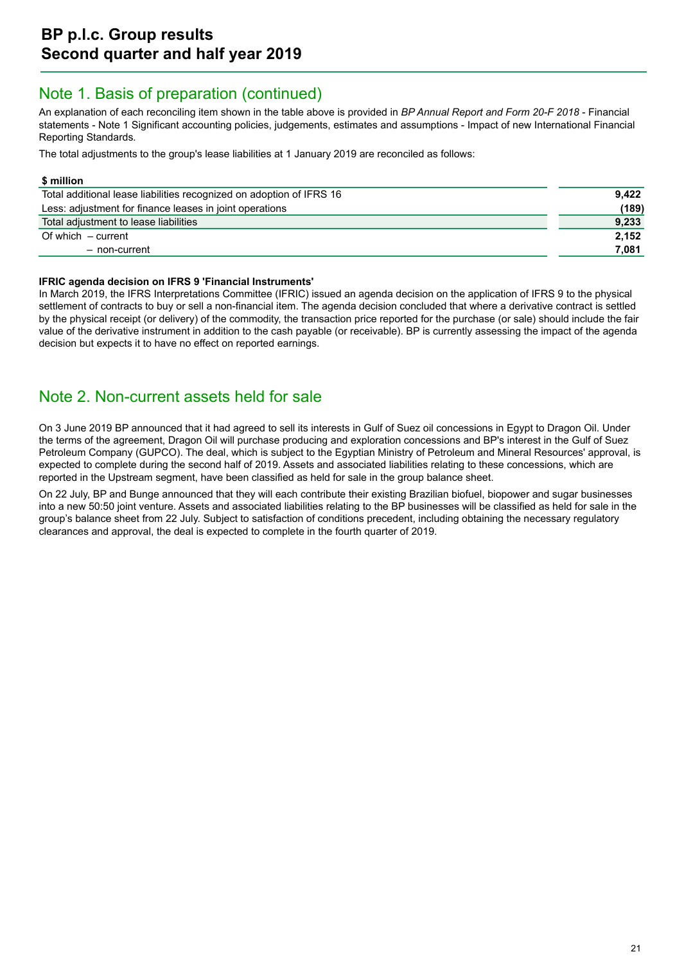## Note 1. Basis of preparation (continued)

An explanation of each reconciling item shown in the table above is provided in *BP Annual Report and Form 20-F 2018* - Financial statements - Note 1 Significant accounting policies, judgements, estimates and assumptions - Impact of new International Financial Reporting Standards*.*

The total adjustments to the group's lease liabilities at 1 January 2019 are reconciled as follows:

| \$ million                                                           |       |
|----------------------------------------------------------------------|-------|
| Total additional lease liabilities recognized on adoption of IFRS 16 | 9.422 |
| Less: adjustment for finance leases in joint operations              | (189) |
| Total adjustment to lease liabilities                                | 9,233 |
| Of which $-$ current                                                 | 2.152 |
| - non-current                                                        | 7.081 |

#### **IFRIC agenda decision on IFRS 9 'Financial Instruments'**

In March 2019, the IFRS Interpretations Committee (IFRIC) issued an agenda decision on the application of IFRS 9 to the physical settlement of contracts to buy or sell a non-financial item. The agenda decision concluded that where a derivative contract is settled by the physical receipt (or delivery) of the commodity, the transaction price reported for the purchase (or sale) should include the fair value of the derivative instrument in addition to the cash payable (or receivable). BP is currently assessing the impact of the agenda decision but expects it to have no effect on reported earnings.

## Note 2. Non-current assets held for sale

On 3 June 2019 BP announced that it had agreed to sell its interests in Gulf of Suez oil concessions in Egypt to Dragon Oil. Under the terms of the agreement, Dragon Oil will purchase producing and exploration concessions and BP's interest in the Gulf of Suez Petroleum Company (GUPCO). The deal, which is subject to the Egyptian Ministry of Petroleum and Mineral Resources' approval, is expected to complete during the second half of 2019. Assets and associated liabilities relating to these concessions, which are reported in the Upstream segment, have been classified as held for sale in the group balance sheet.

On 22 July, BP and Bunge announced that they will each contribute their existing Brazilian biofuel, biopower and sugar businesses into a new 50:50 joint venture. Assets and associated liabilities relating to the BP businesses will be classified as held for sale in the group's balance sheet from 22 July. Subject to satisfaction of conditions precedent, including obtaining the necessary regulatory clearances and approval, the deal is expected to complete in the fourth quarter of 2019.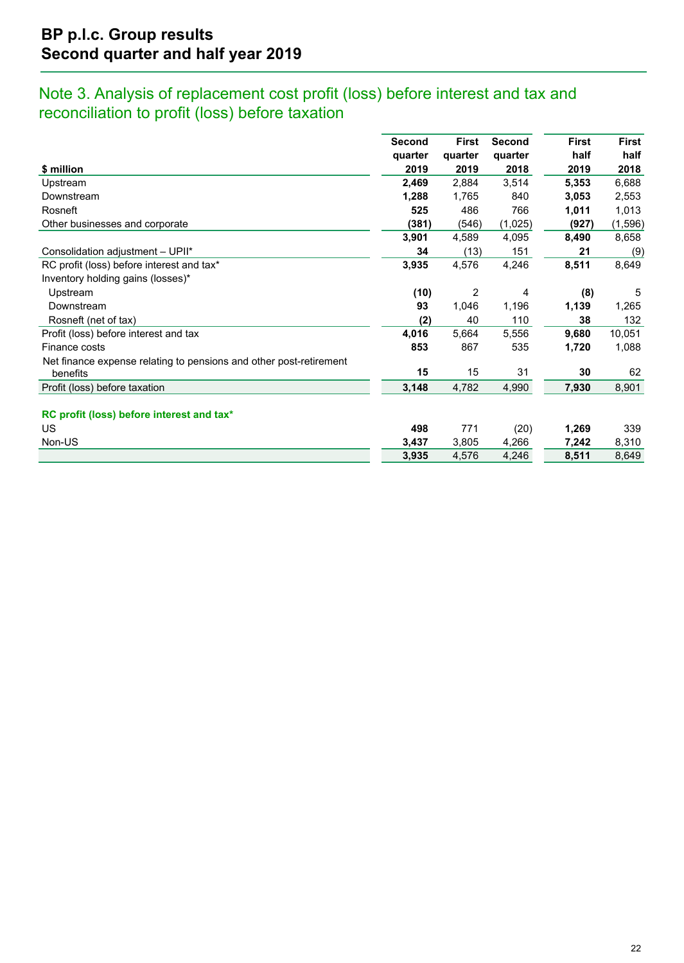# Note 3. Analysis of replacement cost profit (loss) before interest and tax and reconciliation to profit (loss) before taxation

|                                                                    | Second  | <b>First</b> | <b>Second</b> | <b>First</b> | <b>First</b> |
|--------------------------------------------------------------------|---------|--------------|---------------|--------------|--------------|
|                                                                    | quarter | quarter      | quarter       | half         | half         |
| \$ million                                                         | 2019    | 2019         | 2018          | 2019         | 2018         |
| Upstream                                                           | 2,469   | 2,884        | 3,514         | 5,353        | 6,688        |
| Downstream                                                         | 1,288   | 1,765        | 840           | 3,053        | 2,553        |
| Rosneft                                                            | 525     | 486          | 766           | 1,011        | 1,013        |
| Other businesses and corporate                                     | (381)   | (546)        | (1,025)       | (927)        | (1, 596)     |
|                                                                    | 3,901   | 4,589        | 4,095         | 8,490        | 8,658        |
| Consolidation adjustment - UPII*                                   | 34      | (13)         | 151           | 21           | (9)          |
| RC profit (loss) before interest and tax*                          | 3,935   | 4,576        | 4,246         | 8,511        | 8,649        |
| Inventory holding gains (losses)*                                  |         |              |               |              |              |
| Upstream                                                           | (10)    | 2            | 4             | (8)          | 5            |
| Downstream                                                         | 93      | 1,046        | 1,196         | 1,139        | 1,265        |
| Rosneft (net of tax)                                               | (2)     | 40           | 110           | 38           | 132          |
| Profit (loss) before interest and tax                              | 4,016   | 5,664        | 5,556         | 9,680        | 10,051       |
| Finance costs                                                      | 853     | 867          | 535           | 1,720        | 1,088        |
| Net finance expense relating to pensions and other post-retirement |         |              |               |              |              |
| benefits                                                           | 15      | 15           | 31            | 30           | 62           |
| Profit (loss) before taxation                                      | 3,148   | 4,782        | 4,990         | 7,930        | 8,901        |
|                                                                    |         |              |               |              |              |
| RC profit (loss) before interest and tax*                          |         |              |               |              |              |
| US.                                                                | 498     | 771          | (20)          | 1,269        | 339          |
| Non-US                                                             | 3,437   | 3,805        | 4,266         | 7,242        | 8,310        |
|                                                                    | 3,935   | 4,576        | 4,246         | 8,511        | 8,649        |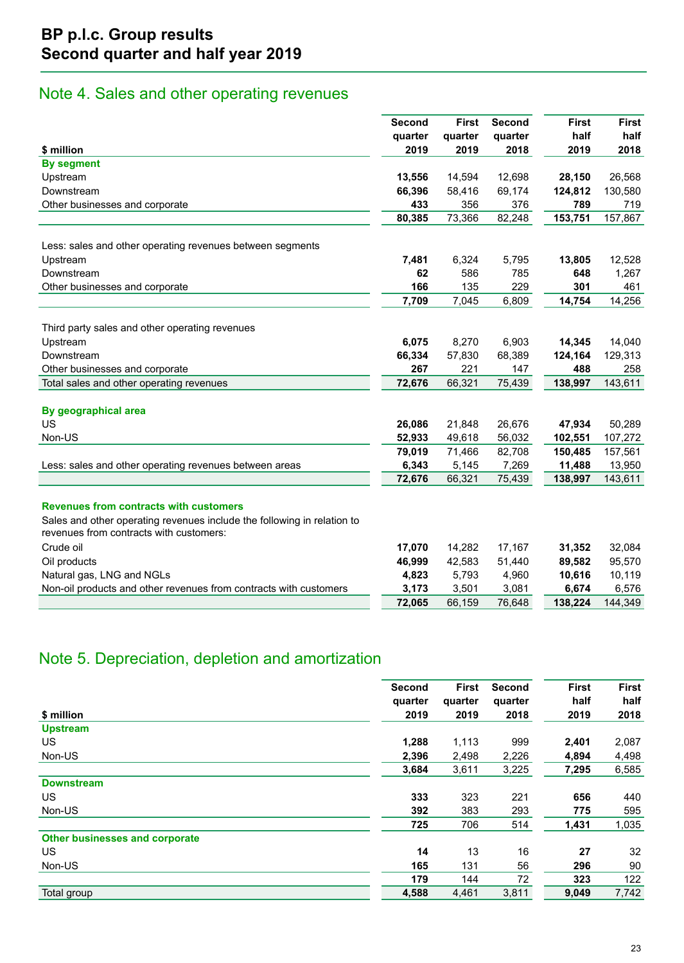# Note 4. Sales and other operating revenues

|                                                                                                                    | <b>Second</b>   | <b>First</b>    | <b>Second</b>   | <b>First</b> | <b>First</b> |
|--------------------------------------------------------------------------------------------------------------------|-----------------|-----------------|-----------------|--------------|--------------|
| \$ million                                                                                                         | quarter<br>2019 | quarter<br>2019 | quarter<br>2018 | half<br>2019 | half<br>2018 |
| <b>By segment</b>                                                                                                  |                 |                 |                 |              |              |
| Upstream                                                                                                           | 13,556          | 14,594          | 12,698          | 28,150       | 26,568       |
| Downstream                                                                                                         | 66,396          | 58,416          | 69,174          | 124,812      | 130,580      |
| Other businesses and corporate                                                                                     | 433             | 356             | 376             | 789          | 719          |
|                                                                                                                    | 80,385          | 73,366          | 82,248          | 153,751      | 157,867      |
|                                                                                                                    |                 |                 |                 |              |              |
| Less: sales and other operating revenues between segments                                                          |                 |                 |                 |              |              |
| Upstream                                                                                                           | 7,481           | 6,324           | 5,795           | 13,805       | 12,528       |
| Downstream                                                                                                         | 62              | 586             | 785             | 648          | 1,267        |
| Other businesses and corporate                                                                                     | 166             | 135             | 229             | 301          | 461          |
|                                                                                                                    | 7,709           | 7,045           | 6,809           | 14,754       | 14,256       |
| Third party sales and other operating revenues                                                                     |                 |                 |                 |              |              |
| Upstream                                                                                                           | 6,075           | 8,270           | 6,903           | 14.345       | 14,040       |
| Downstream                                                                                                         | 66,334          | 57,830          | 68,389          | 124,164      | 129,313      |
| Other businesses and corporate                                                                                     | 267             | 221             | 147             | 488          | 258          |
| Total sales and other operating revenues                                                                           | 72,676          | 66,321          | 75,439          | 138,997      | 143,611      |
|                                                                                                                    |                 |                 |                 |              |              |
| By geographical area                                                                                               |                 |                 |                 |              |              |
| <b>US</b>                                                                                                          | 26,086          | 21,848          | 26,676          | 47,934       | 50,289       |
| Non-US                                                                                                             | 52,933          | 49,618          | 56,032          | 102,551      | 107,272      |
|                                                                                                                    | 79,019          | 71,466          | 82,708          | 150,485      | 157,561      |
| Less: sales and other operating revenues between areas                                                             | 6,343           | 5,145           | 7,269           | 11,488       | 13,950       |
|                                                                                                                    | 72,676          | 66,321          | 75,439          | 138,997      | 143,611      |
| <b>Revenues from contracts with customers</b>                                                                      |                 |                 |                 |              |              |
|                                                                                                                    |                 |                 |                 |              |              |
| Sales and other operating revenues include the following in relation to<br>revenues from contracts with customers: |                 |                 |                 |              |              |
| Crude oil                                                                                                          | 17,070          | 14,282          | 17,167          | 31,352       | 32,084       |
| Oil products                                                                                                       | 46,999          | 42,583          | 51,440          | 89,582       | 95,570       |
| Natural gas, LNG and NGLs                                                                                          | 4,823           | 5,793           | 4,960           | 10,616       | 10,119       |
| Non-oil products and other revenues from contracts with customers                                                  | 3,173           | 3,501           | 3,081           | 6,674        | 6,576        |
|                                                                                                                    | 72,065          | 66,159          | 76,648          | 138,224      | 144,349      |

# Note 5. Depreciation, depletion and amortization

|                                       | <b>Second</b><br>quarter | <b>First</b><br>quarter | Second<br>quarter | <b>First</b><br>half | <b>First</b><br>half |
|---------------------------------------|--------------------------|-------------------------|-------------------|----------------------|----------------------|
| \$ million                            | 2019                     | 2019                    | 2018              | 2019                 | 2018                 |
| <b>Upstream</b>                       |                          |                         |                   |                      |                      |
| US.                                   | 1,288                    | 1,113                   | 999               | 2,401                | 2,087                |
| Non-US                                | 2,396                    | 2,498                   | 2,226             | 4,894                | 4,498                |
|                                       | 3,684                    | 3,611                   | 3,225             | 7,295                | 6,585                |
| <b>Downstream</b>                     |                          |                         |                   |                      |                      |
| US.                                   | 333                      | 323                     | 221               | 656                  | 440                  |
| Non-US                                | 392                      | 383                     | 293               | 775                  | 595                  |
|                                       | 725                      | 706                     | 514               | 1,431                | 1,035                |
| <b>Other businesses and corporate</b> |                          |                         |                   |                      |                      |
| US.                                   | 14                       | 13                      | 16                | 27                   | 32                   |
| Non-US                                | 165                      | 131                     | 56                | 296                  | 90                   |
|                                       | 179                      | 144                     | 72                | 323                  | 122                  |
| Total group                           | 4.588                    | 4.461                   | 3,811             | 9,049                | 7,742                |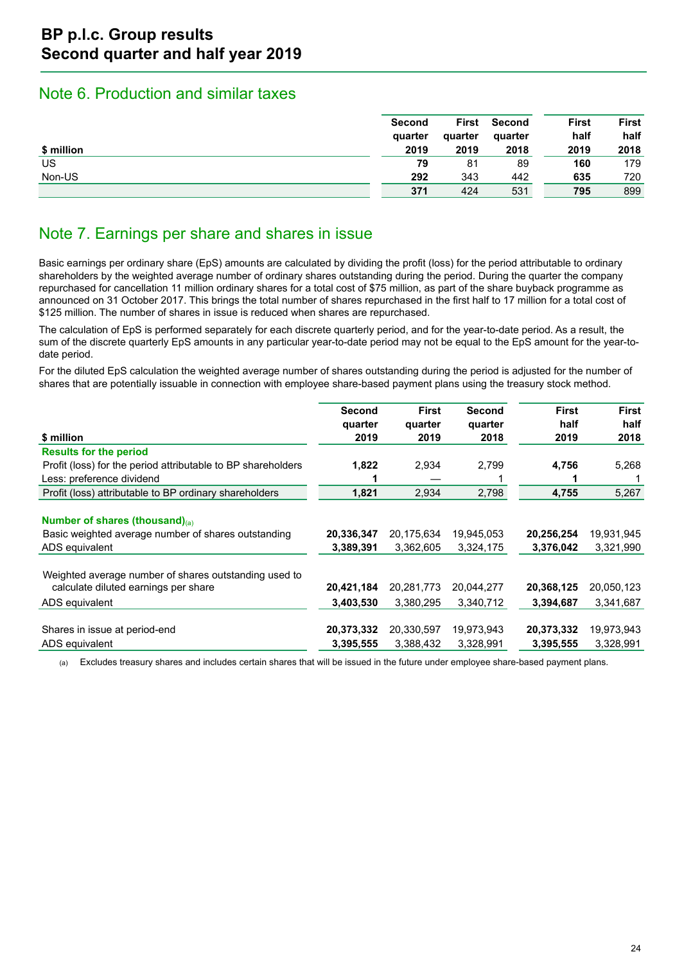### Note 6. Production and similar taxes

|            | Second  | <b>First</b> | Second  | <b>First</b> | <b>First</b> |
|------------|---------|--------------|---------|--------------|--------------|
|            | quarter | quarter      | quarter | half         | half         |
| \$ million | 2019    | 2019         | 2018    | 2019         | 2018         |
| US         | 79      | 81           | 89      | 160          | 179          |
| Non-US     | 292     | 343          | 442     | 635          | 720          |
|            | 371     | 424          | 531     | 795          | 899          |

# Note 7. Earnings per share and shares in issue

Basic earnings per ordinary share (EpS) amounts are calculated by dividing the profit (loss) for the period attributable to ordinary shareholders by the weighted average number of ordinary shares outstanding during the period. During the quarter the company repurchased for cancellation 11 million ordinary shares for a total cost of \$75 million, as part of the share buyback programme as announced on 31 October 2017. This brings the total number of shares repurchased in the first half to 17 million for a total cost of \$125 million. The number of shares in issue is reduced when shares are repurchased.

The calculation of EpS is performed separately for each discrete quarterly period, and for the year-to-date period. As a result, the sum of the discrete quarterly EpS amounts in any particular year-to-date period may not be equal to the EpS amount for the year-todate period.

For the diluted EpS calculation the weighted average number of shares outstanding during the period is adjusted for the number of shares that are potentially issuable in connection with employee share-based payment plans using the treasury stock method.

|                                                                                                                 | <b>Second</b><br>quarter | First<br>quarter        | <b>Second</b><br>quarter | First<br>half           | First<br>half           |
|-----------------------------------------------------------------------------------------------------------------|--------------------------|-------------------------|--------------------------|-------------------------|-------------------------|
| \$ million                                                                                                      | 2019                     | 2019                    | 2018                     | 2019                    | 2018                    |
| <b>Results for the period</b>                                                                                   |                          |                         |                          |                         |                         |
| Profit (loss) for the period attributable to BP shareholders                                                    | 1,822                    | 2,934                   | 2,799                    | 4,756                   | 5,268                   |
| Less: preference dividend                                                                                       |                          |                         |                          |                         |                         |
| Profit (loss) attributable to BP ordinary shareholders                                                          | 1,821                    | 2,934                   | 2,798                    | 4,755                   | 5,267                   |
| Number of shares (thousand) $_{(a)}$<br>Basic weighted average number of shares outstanding<br>ADS equivalent   | 20,336,347<br>3,389,391  | 20,175,634<br>3,362,605 | 19,945,053<br>3,324,175  | 20,256,254<br>3,376,042 | 19,931,945<br>3,321,990 |
| Weighted average number of shares outstanding used to<br>calculate diluted earnings per share<br>ADS equivalent | 20,421,184<br>3,403,530  | 20,281,773<br>3,380,295 | 20,044,277<br>3,340,712  | 20,368,125<br>3,394,687 | 20,050,123<br>3,341,687 |
|                                                                                                                 |                          |                         |                          |                         |                         |
| Shares in issue at period-end<br>ADS equivalent                                                                 | 20,373,332<br>3,395,555  | 20,330,597<br>3,388,432 | 19,973,943<br>3,328,991  | 20,373,332<br>3,395,555 | 19,973,943<br>3,328,991 |

(a) Excludes treasury shares and includes certain shares that will be issued in the future under employee share-based payment plans.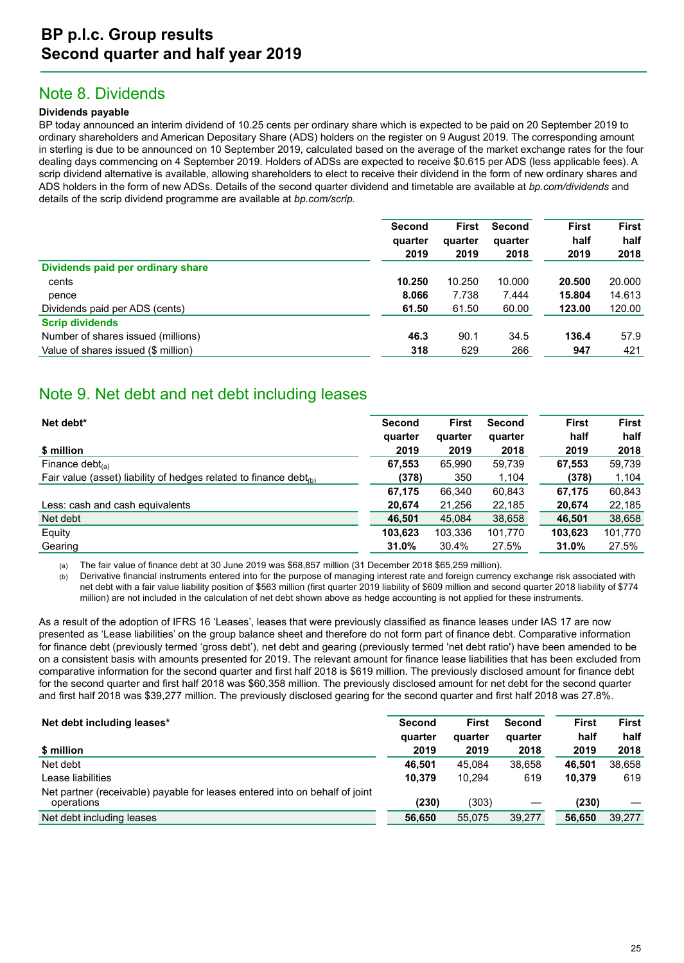## Note 8. Dividends

### **Dividends payable**

BP today announced an interim dividend of 10.25 cents per ordinary share which is expected to be paid on 20 September 2019 to ordinary shareholders and American Depositary Share (ADS) holders on the register on 9 August 2019. The corresponding amount in sterling is due to be announced on 10 September 2019, calculated based on the average of the market exchange rates for the four dealing days commencing on 4 September 2019. Holders of ADSs are expected to receive \$0.615 per ADS (less applicable fees). A scrip dividend alternative is available, allowing shareholders to elect to receive their dividend in the form of new ordinary shares and ADS holders in the form of new ADSs. Details of the second quarter dividend and timetable are available at *bp.com/dividends* and details of the scrip dividend programme are available at *bp.com/scrip.*

|                                     | <b>Second</b><br>quarter<br>2019 | <b>First</b><br>quarter<br>2019 | <b>Second</b><br>quarter<br>2018 | <b>First</b><br>half<br>2019 | <b>First</b><br>half<br>2018 |
|-------------------------------------|----------------------------------|---------------------------------|----------------------------------|------------------------------|------------------------------|
| Dividends paid per ordinary share   |                                  |                                 |                                  |                              |                              |
| cents                               | 10.250                           | 10.250                          | 10.000                           | 20.500                       | 20,000                       |
| pence                               | 8.066                            | 7.738                           | 7.444                            | 15.804                       | 14.613                       |
| Dividends paid per ADS (cents)      | 61.50                            | 61.50                           | 60.00                            | 123.00                       | 120.00                       |
| <b>Scrip dividends</b>              |                                  |                                 |                                  |                              |                              |
| Number of shares issued (millions)  | 46.3                             | 90.1                            | 34.5                             | 136.4                        | 57.9                         |
| Value of shares issued (\$ million) | 318                              | 629                             | 266                              | 947                          | 421                          |

## Note 9. Net debt and net debt including leases

| <b>Second</b><br>quarter | <b>First</b><br>quarter | <b>Second</b><br>quarter | <b>First</b><br>half | <b>First</b><br>half |
|--------------------------|-------------------------|--------------------------|----------------------|----------------------|
|                          |                         |                          |                      | 2018                 |
| 67,553                   | 65,990                  | 59,739                   | 67,553               | 59,739               |
| (378)                    | 350                     | 1,104                    | (378)                | 1,104                |
| 67,175                   | 66,340                  | 60,843                   | 67,175               | 60,843               |
| 20,674                   | 21,256                  | 22,185                   | 20,674               | 22,185               |
| 46.501                   | 45,084                  | 38,658                   | 46,501               | 38,658               |
| 103,623                  | 103,336                 | 101,770                  | 103,623              | 101,770              |
| 31.0%                    | 30.4%                   | 27.5%                    | 31.0%                | 27.5%                |
|                          | 2019                    | 2019                     | 2018                 | 2019                 |

(a) The fair value of finance debt at 30 June 2019 was \$68,857 million (31 December 2018 \$65,259 million).

(b) Derivative financial instruments entered into for the purpose of managing interest rate and foreign currency exchange risk associated with net debt with a fair value liability position of \$563 million (first quarter 2019 liability of \$609 million and second quarter 2018 liability of \$774 million) are not included in the calculation of net debt shown above as hedge accounting is not applied for these instruments.

As a result of the adoption of IFRS 16 'Leases', leases that were previously classified as finance leases under IAS 17 are now presented as 'Lease liabilities' on the group balance sheet and therefore do not form part of finance debt. Comparative information for finance debt (previously termed 'gross debt'), net debt and gearing (previously termed 'net debt ratio') have been amended to be on a consistent basis with amounts presented for 2019. The relevant amount for finance lease liabilities that has been excluded from comparative information for the second quarter and first half 2018 is \$619 million. The previously disclosed amount for finance debt for the second quarter and first half 2018 was \$60,358 million. The previously disclosed amount for net debt for the second quarter and first half 2018 was \$39,277 million. The previously disclosed gearing for the second quarter and first half 2018 was 27.8%.

| Net debt including leases*                                                                | Second<br>quarter | First<br>quarter | <b>Second</b><br>quarter | First<br>half | <b>First</b><br>half |
|-------------------------------------------------------------------------------------------|-------------------|------------------|--------------------------|---------------|----------------------|
| \$ million                                                                                | 2019              | 2019             | 2018                     | 2019          | 2018                 |
| Net debt                                                                                  | 46.501            | 45.084           | 38.658                   | 46.501        | 38,658               |
| Lease liabilities                                                                         | 10.379            | 10.294           | 619                      | 10.379        | 619                  |
| Net partner (receivable) payable for leases entered into on behalf of joint<br>operations | (230)             | (303)            |                          | (230)         |                      |
| Net debt including leases                                                                 | 56.650            | 55,075           | 39,277                   | 56.650        | 39,277               |
|                                                                                           |                   |                  |                          |               |                      |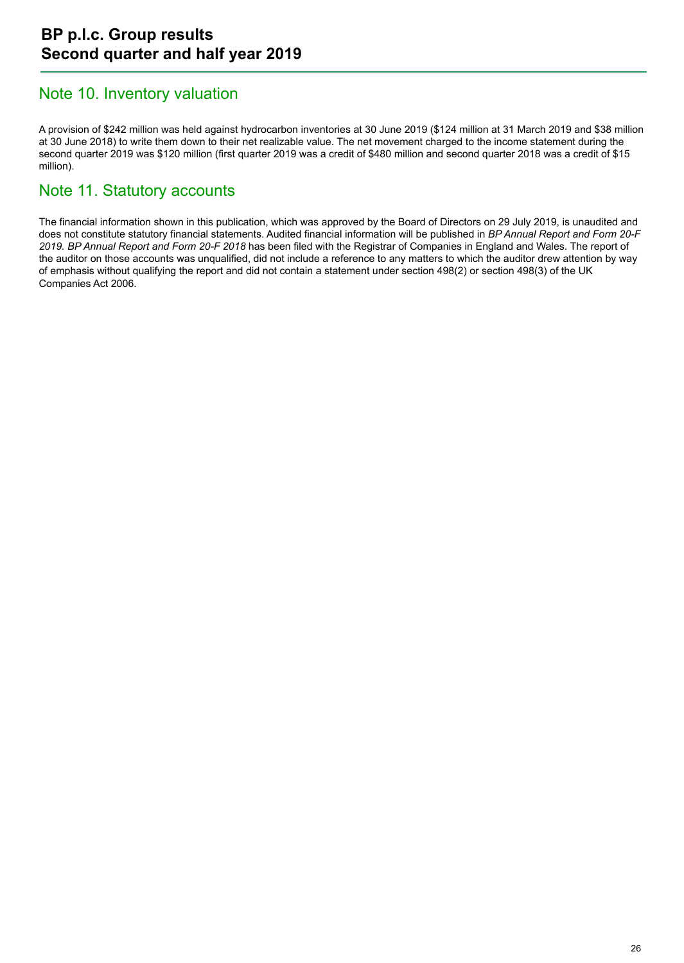# Note 10. Inventory valuation

A provision of \$242 million was held against hydrocarbon inventories at 30 June 2019 (\$124 million at 31 March 2019 and \$38 million at 30 June 2018) to write them down to their net realizable value. The net movement charged to the income statement during the second quarter 2019 was \$120 million (first quarter 2019 was a credit of \$480 million and second quarter 2018 was a credit of \$15 million).

### Note 11. Statutory accounts

The financial information shown in this publication, which was approved by the Board of Directors on 29 July 2019, is unaudited and does not constitute statutory financial statements. Audited financial information will be published in *BP Annual Report and Form 20-F 2019. BP Annual Report and Form 20-F 2018* has been filed with the Registrar of Companies in England and Wales. The report of the auditor on those accounts was unqualified, did not include a reference to any matters to which the auditor drew attention by way of emphasis without qualifying the report and did not contain a statement under section 498(2) or section 498(3) of the UK Companies Act 2006.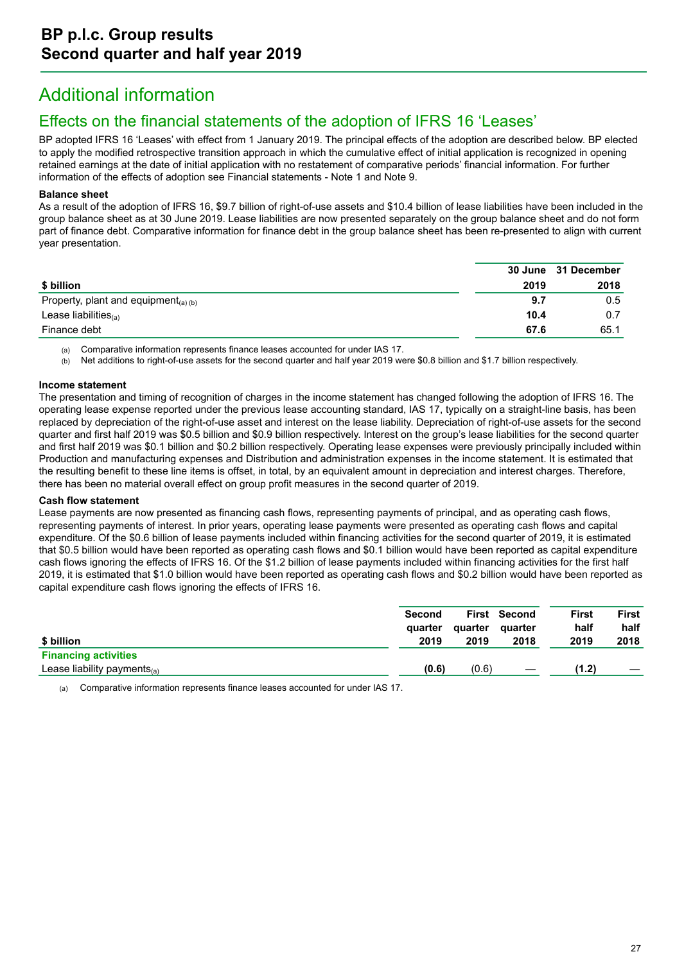# Additional information

## Effects on the financial statements of the adoption of IFRS 16 'Leases'

BP adopted IFRS 16 'Leases' with effect from 1 January 2019. The principal effects of the adoption are described below. BP elected to apply the modified retrospective transition approach in which the cumulative effect of initial application is recognized in opening retained earnings at the date of initial application with no restatement of comparative periods' financial information. For further information of the effects of adoption see Financial statements - Note 1 and Note 9.

#### **Balance sheet**

As a result of the adoption of IFRS 16, \$9.7 billion of right-of-use assets and \$10.4 billion of lease liabilities have been included in the group balance sheet as at 30 June 2019. Lease liabilities are now presented separately on the group balance sheet and do not form part of finance debt. Comparative information for finance debt in the group balance sheet has been re-presented to align with current year presentation.

|                                                  |      | 30 June 31 December |
|--------------------------------------------------|------|---------------------|
| \$ billion                                       | 2019 | 2018                |
| Property, plant and equipment <sub>(a) (b)</sub> | 9.7  | 0.5                 |
| Lease liabilities $_{(a)}$                       | 10.4 | 0.7                 |
| Finance debt                                     | 67.6 | 65.1                |

(a) Comparative information represents finance leases accounted for under IAS 17.

(b) Net additions to right-of-use assets for the second quarter and half year 2019 were \$0.8 billion and \$1.7 billion respectively.

#### **Income statement**

The presentation and timing of recognition of charges in the income statement has changed following the adoption of IFRS 16. The operating lease expense reported under the previous lease accounting standard, IAS 17, typically on a straight-line basis, has been replaced by depreciation of the right-of-use asset and interest on the lease liability. Depreciation of right-of-use assets for the second quarter and first half 2019 was \$0.5 billion and \$0.9 billion respectively. Interest on the group's lease liabilities for the second quarter and first half 2019 was \$0.1 billion and \$0.2 billion respectively. Operating lease expenses were previously principally included within Production and manufacturing expenses and Distribution and administration expenses in the income statement. It is estimated that the resulting benefit to these line items is offset, in total, by an equivalent amount in depreciation and interest charges. Therefore, there has been no material overall effect on group profit measures in the second quarter of 2019.

#### **Cash flow statement**

Lease payments are now presented as financing cash flows, representing payments of principal, and as operating cash flows, representing payments of interest. In prior years, operating lease payments were presented as operating cash flows and capital expenditure. Of the \$0.6 billion of lease payments included within financing activities for the second quarter of 2019, it is estimated that \$0.5 billion would have been reported as operating cash flows and \$0.1 billion would have been reported as capital expenditure cash flows ignoring the effects of IFRS 16. Of the \$1.2 billion of lease payments included within financing activities for the first half 2019, it is estimated that \$1.0 billion would have been reported as operating cash flows and \$0.2 billion would have been reported as capital expenditure cash flows ignoring the effects of IFRS 16.

|                                   | <b>Second</b><br>quarter | quarter | <b>First Second</b><br>quarter | <b>First</b><br>half | <b>First</b><br>half |
|-----------------------------------|--------------------------|---------|--------------------------------|----------------------|----------------------|
| \$ billion                        | 2019                     | 2019    | 2018                           | 2019                 | 2018                 |
| <b>Financing activities</b>       |                          |         |                                |                      |                      |
| Lease liability payments $_{(a)}$ | (0.6)                    | (0.6)   | $\hspace{0.05cm}$              | (1.2)                |                      |

(a) Comparative information represents finance leases accounted for under IAS 17.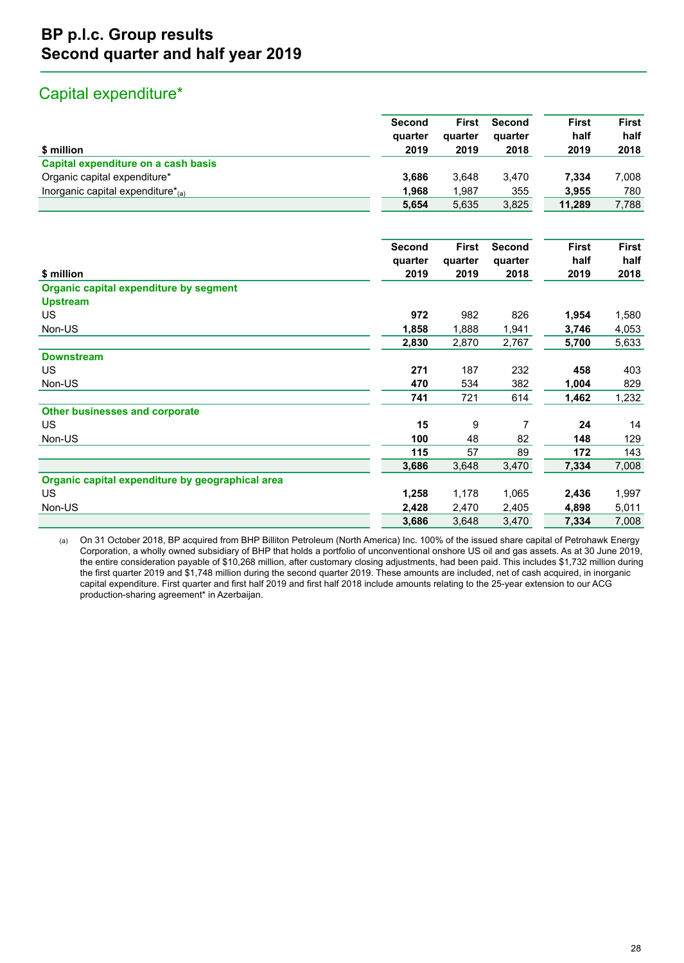# **BP p.l.c. Group results Second quarter and half year 2019**

# Capital expenditure\*

| \$ million                                                | <b>Second</b><br>quarter<br>2019 | <b>First</b><br>quarter<br>2019 | <b>Second</b><br>quarter<br>2018 | <b>First</b><br>half<br>2019 | <b>First</b><br>half<br>2018 |
|-----------------------------------------------------------|----------------------------------|---------------------------------|----------------------------------|------------------------------|------------------------------|
| Capital expenditure on a cash basis                       |                                  |                                 |                                  |                              |                              |
| Organic capital expenditure*                              | 3,686                            | 3,648                           | 3,470                            | 7,334                        | 7,008                        |
| Inorganic capital expenditure*(a)                         | 1,968                            | 1,987                           | 355                              | 3,955                        | 780                          |
|                                                           | 5,654                            | 5,635                           | 3,825                            | 11,289                       | 7,788                        |
|                                                           | <b>Second</b>                    | <b>First</b>                    | Second                           | <b>First</b>                 | <b>First</b>                 |
|                                                           | quarter                          | quarter                         | quarter                          | half                         | half                         |
| \$ million                                                | 2019                             | 2019                            | 2018                             | 2019                         | 2018                         |
| Organic capital expenditure by segment<br><b>Upstream</b> |                                  |                                 |                                  |                              |                              |
| <b>US</b>                                                 | 972                              | 982                             | 826                              | 1,954                        | 1,580                        |
| Non-US                                                    | 1,858                            | 1,888                           | 1,941                            | 3,746                        | 4,053                        |
|                                                           | 2,830                            | 2,870                           | 2,767                            | 5,700                        | 5,633                        |
| <b>Downstream</b>                                         |                                  |                                 |                                  |                              |                              |
| <b>US</b>                                                 | 271                              | 187                             | 232                              | 458                          | 403                          |
| Non-US                                                    | 470                              | 534                             | 382                              | 1,004                        | 829                          |
|                                                           | 741                              | 721                             | 614                              | 1,462                        | 1,232                        |
| Other businesses and corporate                            |                                  |                                 |                                  |                              |                              |
| <b>US</b>                                                 | 15                               | 9                               | 7                                | 24                           | 14                           |
| Non-US                                                    | 100                              | 48                              | 82                               | 148                          | 129                          |
|                                                           | 115                              | 57                              | 89                               | 172                          | 143                          |
|                                                           | 3,686                            | 3,648                           | 3,470                            | 7,334                        | 7,008                        |
| Organic capital expenditure by geographical area          |                                  |                                 |                                  |                              |                              |
| <b>US</b>                                                 | 1,258                            | 1,178                           | 1,065                            | 2,436                        | 1,997                        |
| Non-US                                                    | 2.428                            | 2,470                           | 2,405                            | 4,898                        | 5,011                        |
|                                                           | 3,686                            | 3,648                           | 3,470                            | 7,334                        | 7,008                        |

(a) On 31 October 2018, BP acquired from BHP Billiton Petroleum (North America) Inc. 100% of the issued share capital of Petrohawk Energy Corporation, a wholly owned subsidiary of BHP that holds a portfolio of unconventional onshore US oil and gas assets. As at 30 June 2019, the entire consideration payable of \$10,268 million, after customary closing adjustments, had been paid. This includes \$1,732 million during the first quarter 2019 and \$1,748 million during the second quarter 2019. These amounts are included, net of cash acquired, in inorganic capital expenditure. First quarter and first half 2019 and first half 2018 include amounts relating to the 25-year extension to our ACG production-sharing agreement\* in Azerbaijan.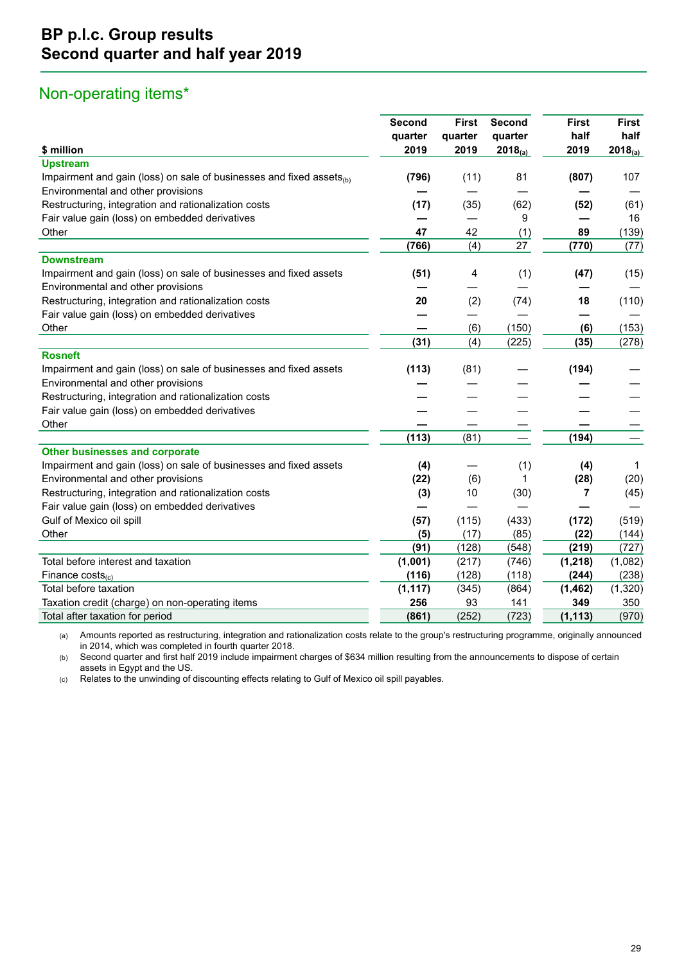# Non-operating items\*

| \$ million                                                                       | Second<br>quarter<br>2019 | <b>First</b><br>quarter<br>2019 | Second<br>quarter<br>$2018_{(a)}$ | <b>First</b><br>half<br>2019 | <b>First</b><br>half<br>$2018_{(a)}$ |
|----------------------------------------------------------------------------------|---------------------------|---------------------------------|-----------------------------------|------------------------------|--------------------------------------|
| <b>Upstream</b>                                                                  |                           |                                 |                                   |                              |                                      |
| Impairment and gain (loss) on sale of businesses and fixed assets <sub>(b)</sub> | (796)                     | (11)                            | 81                                | (807)                        | 107                                  |
| Environmental and other provisions                                               |                           |                                 |                                   |                              |                                      |
| Restructuring, integration and rationalization costs                             | (17)                      | (35)                            | (62)                              | (52)                         | (61)                                 |
| Fair value gain (loss) on embedded derivatives                                   |                           |                                 | 9                                 |                              | 16                                   |
| Other                                                                            | 47                        | 42                              | (1)                               | 89                           | (139)                                |
|                                                                                  | (766)                     | (4)                             | 27                                | (770)                        | (77)                                 |
| <b>Downstream</b>                                                                |                           |                                 |                                   |                              |                                      |
| Impairment and gain (loss) on sale of businesses and fixed assets                | (51)                      | 4                               | (1)                               | (47)                         | (15)                                 |
| Environmental and other provisions                                               |                           |                                 |                                   |                              |                                      |
| Restructuring, integration and rationalization costs                             | 20                        | (2)                             | (74)                              | 18                           | (110)                                |
| Fair value gain (loss) on embedded derivatives                                   |                           |                                 |                                   |                              |                                      |
| Other                                                                            |                           | (6)                             | (150)                             | (6)                          | (153)                                |
|                                                                                  | (31)                      | (4)                             | (225)                             | (35)                         | (278)                                |
| <b>Rosneft</b>                                                                   |                           |                                 |                                   |                              |                                      |
| Impairment and gain (loss) on sale of businesses and fixed assets                | (113)                     | (81)                            |                                   | (194)                        |                                      |
| Environmental and other provisions                                               |                           |                                 |                                   |                              |                                      |
| Restructuring, integration and rationalization costs                             |                           |                                 |                                   |                              |                                      |
| Fair value gain (loss) on embedded derivatives                                   |                           |                                 |                                   |                              |                                      |
| Other                                                                            |                           |                                 |                                   |                              |                                      |
|                                                                                  | (113)                     | (81)                            |                                   | (194)                        |                                      |
| Other businesses and corporate                                                   |                           |                                 |                                   |                              |                                      |
| Impairment and gain (loss) on sale of businesses and fixed assets                | (4)                       |                                 | (1)                               | (4)                          | 1                                    |
| Environmental and other provisions                                               | (22)                      | (6)                             | 1                                 | (28)                         | (20)                                 |
| Restructuring, integration and rationalization costs                             | (3)                       | 10                              | (30)                              | 7                            | (45)                                 |
| Fair value gain (loss) on embedded derivatives                                   |                           |                                 |                                   |                              |                                      |
| Gulf of Mexico oil spill                                                         | (57)                      | (115)                           | (433)                             | (172)                        | (519)                                |
| Other                                                                            | (5)                       | (17)                            | (85)                              | (22)                         | (144)                                |
|                                                                                  | (91)                      | (128)                           | (548)                             | (219)                        | (727)                                |
| Total before interest and taxation                                               | (1,001)                   | (217)                           | (746)                             | (1, 218)                     | (1,082)                              |
| Finance $costs_{(c)}$                                                            | (116)                     | (128)                           | (118)                             | (244)                        | (238)                                |
| Total before taxation                                                            | (1, 117)                  | (345)                           | (864)                             | (1, 462)                     | (1, 320)                             |
| Taxation credit (charge) on non-operating items                                  | 256                       | 93                              | 141                               | 349                          | 350                                  |
| Total after taxation for period                                                  | (861)                     | (252)                           | (723)                             | (1, 113)                     | (970)                                |

(a) Amounts reported as restructuring, integration and rationalization costs relate to the group's restructuring programme, originally announced in 2014, which was completed in fourth quarter 2018.

(b) Second quarter and first half 2019 include impairment charges of \$634 million resulting from the announcements to dispose of certain assets in Egypt and the US.

(c) Relates to the unwinding of discounting effects relating to Gulf of Mexico oil spill payables.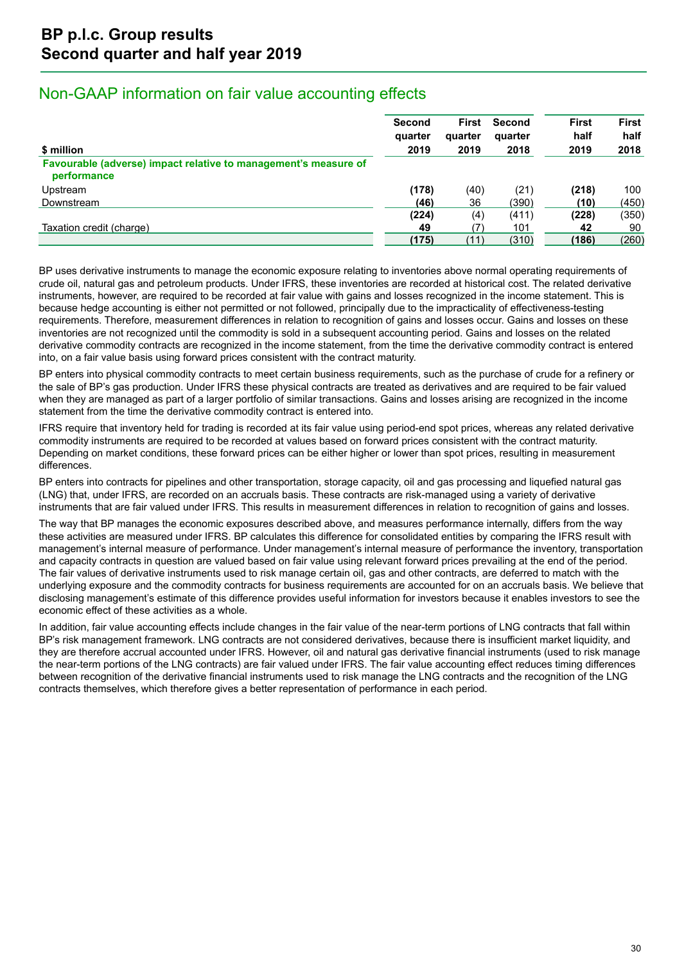### Non-GAAP information on fair value accounting effects

| \$ million                                                                     | <b>Second</b><br>quarter<br>2019 | First<br>quarter<br>2019 | Second<br>quarter<br>2018 | First<br>half<br>2019 | <b>First</b><br>half<br>2018 |
|--------------------------------------------------------------------------------|----------------------------------|--------------------------|---------------------------|-----------------------|------------------------------|
| Favourable (adverse) impact relative to management's measure of<br>performance |                                  |                          |                           |                       |                              |
| Upstream                                                                       | (178)                            | (40)                     | (21)                      | (218)                 | 100                          |
| Downstream                                                                     | (46)                             | 36                       | (390)                     | (10)                  | (450)                        |
|                                                                                | (224)                            | (4)                      | (411)                     | (228)                 | (350)                        |
| Taxation credit (charge)                                                       | 49                               | (7)                      | 101                       | 42                    | 90                           |
|                                                                                | (175)                            | (11)                     | (310)                     | (186)                 | (260)                        |

BP uses derivative instruments to manage the economic exposure relating to inventories above normal operating requirements of crude oil, natural gas and petroleum products. Under IFRS, these inventories are recorded at historical cost. The related derivative instruments, however, are required to be recorded at fair value with gains and losses recognized in the income statement. This is because hedge accounting is either not permitted or not followed, principally due to the impracticality of effectiveness-testing requirements. Therefore, measurement differences in relation to recognition of gains and losses occur. Gains and losses on these inventories are not recognized until the commodity is sold in a subsequent accounting period. Gains and losses on the related derivative commodity contracts are recognized in the income statement, from the time the derivative commodity contract is entered into, on a fair value basis using forward prices consistent with the contract maturity.

BP enters into physical commodity contracts to meet certain business requirements, such as the purchase of crude for a refinery or the sale of BP's gas production. Under IFRS these physical contracts are treated as derivatives and are required to be fair valued when they are managed as part of a larger portfolio of similar transactions. Gains and losses arising are recognized in the income statement from the time the derivative commodity contract is entered into.

IFRS require that inventory held for trading is recorded at its fair value using period-end spot prices, whereas any related derivative commodity instruments are required to be recorded at values based on forward prices consistent with the contract maturity. Depending on market conditions, these forward prices can be either higher or lower than spot prices, resulting in measurement differences.

BP enters into contracts for pipelines and other transportation, storage capacity, oil and gas processing and liquefied natural gas (LNG) that, under IFRS, are recorded on an accruals basis. These contracts are risk-managed using a variety of derivative instruments that are fair valued under IFRS. This results in measurement differences in relation to recognition of gains and losses.

The way that BP manages the economic exposures described above, and measures performance internally, differs from the way these activities are measured under IFRS. BP calculates this difference for consolidated entities by comparing the IFRS result with management's internal measure of performance. Under management's internal measure of performance the inventory, transportation and capacity contracts in question are valued based on fair value using relevant forward prices prevailing at the end of the period. The fair values of derivative instruments used to risk manage certain oil, gas and other contracts, are deferred to match with the underlying exposure and the commodity contracts for business requirements are accounted for on an accruals basis. We believe that disclosing management's estimate of this difference provides useful information for investors because it enables investors to see the economic effect of these activities as a whole.

In addition, fair value accounting effects include changes in the fair value of the near-term portions of LNG contracts that fall within BP's risk management framework. LNG contracts are not considered derivatives, because there is insufficient market liquidity, and they are therefore accrual accounted under IFRS. However, oil and natural gas derivative financial instruments (used to risk manage the near-term portions of the LNG contracts) are fair valued under IFRS. The fair value accounting effect reduces timing differences between recognition of the derivative financial instruments used to risk manage the LNG contracts and the recognition of the LNG contracts themselves, which therefore gives a better representation of performance in each period.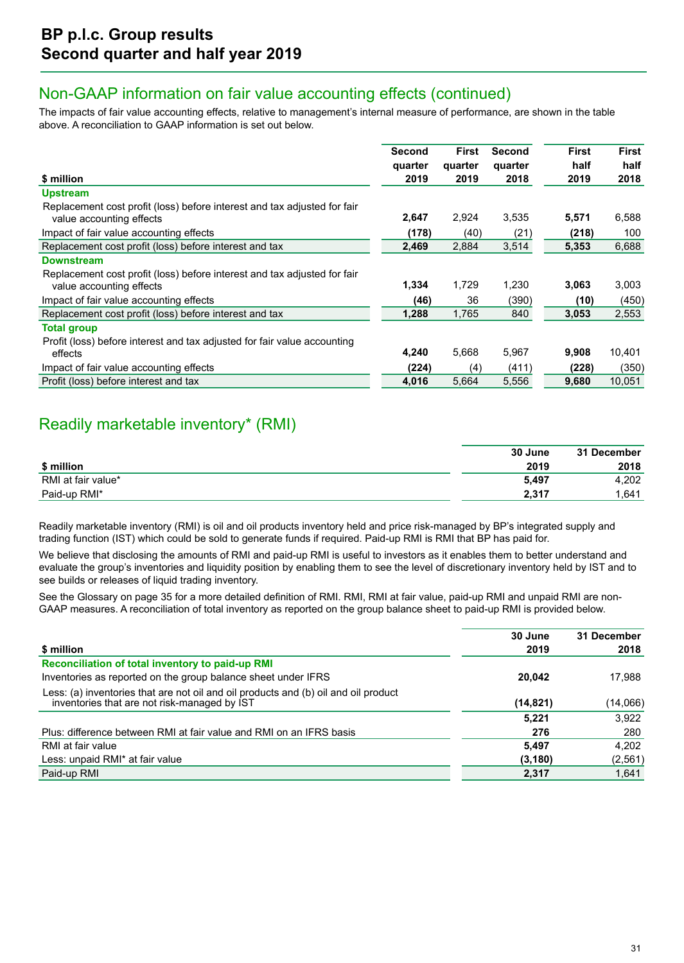# Non-GAAP information on fair value accounting effects (continued)

The impacts of fair value accounting effects, relative to management's internal measure of performance, are shown in the table above. A reconciliation to GAAP information is set out below.

|                                                                                                      | <b>Second</b> | <b>First</b> | <b>Second</b> | <b>First</b> | <b>First</b> |  |
|------------------------------------------------------------------------------------------------------|---------------|--------------|---------------|--------------|--------------|--|
|                                                                                                      | quarter       | quarter      | quarter       | half         | half         |  |
| \$ million                                                                                           | 2019          | 2019         | 2018          | 2019         | 2018         |  |
| <b>Upstream</b>                                                                                      |               |              |               |              |              |  |
| Replacement cost profit (loss) before interest and tax adjusted for fair<br>value accounting effects | 2,647         | 2,924        | 3,535         | 5,571        | 6,588        |  |
| Impact of fair value accounting effects                                                              | (178)         | (40)         | (21)          | (218)        | 100          |  |
| Replacement cost profit (loss) before interest and tax                                               | 2,469         | 2,884        | 3,514         | 5,353        | 6,688        |  |
| <b>Downstream</b>                                                                                    |               |              |               |              |              |  |
| Replacement cost profit (loss) before interest and tax adjusted for fair                             |               |              |               |              |              |  |
| value accounting effects                                                                             | 1,334         | 1,729        | 1,230         | 3,063        | 3,003        |  |
| Impact of fair value accounting effects                                                              | (46)          | 36           | (390)         | (10)         | (450)        |  |
| Replacement cost profit (loss) before interest and tax                                               | 1,288         | 1,765        | 840           | 3,053        | 2,553        |  |
| <b>Total group</b>                                                                                   |               |              |               |              |              |  |
| Profit (loss) before interest and tax adjusted for fair value accounting                             |               |              |               |              |              |  |
| effects                                                                                              | 4,240         | 5,668        | 5,967         | 9,908        | 10,401       |  |
| Impact of fair value accounting effects                                                              | (224)         | (4)          | (411)         | (228)        | (350)        |  |
| Profit (loss) before interest and tax                                                                | 4,016         | 5,664        | 5,556         | 9,680        | 10,051       |  |

# Readily marketable inventory\* (RMI)

|                    | 30 June | <b>31 December</b> |
|--------------------|---------|--------------------|
| \$ million         | 2019    | 2018               |
| RMI at fair value* | 5.497   | 4,202              |
| Paid-up RMI*       | 2,317   | 1.641              |

Readily marketable inventory (RMI) is oil and oil products inventory held and price risk-managed by BP's integrated supply and trading function (IST) which could be sold to generate funds if required. Paid-up RMI is RMI that BP has paid for.

We believe that disclosing the amounts of RMI and paid-up RMI is useful to investors as it enables them to better understand and evaluate the group's inventories and liquidity position by enabling them to see the level of discretionary inventory held by IST and to see builds or releases of liquid trading inventory.

See the Glossary on page 35 for a more detailed definition of RMI. RMI, RMI at fair value, paid-up RMI and unpaid RMI are non-GAAP measures. A reconciliation of total inventory as reported on the group balance sheet to paid-up RMI is provided below.

|                                                                                                                                     | 30 June   | 31 December |
|-------------------------------------------------------------------------------------------------------------------------------------|-----------|-------------|
| \$ million                                                                                                                          | 2019      | 2018        |
| Reconciliation of total inventory to paid-up RMI                                                                                    |           |             |
| Inventories as reported on the group balance sheet under IFRS                                                                       | 20.042    | 17,988      |
| Less: (a) inventories that are not oil and oil products and (b) oil and oil product<br>inventories that are not risk-managed by IST | (14, 821) | (14,066)    |
|                                                                                                                                     | 5.221     | 3,922       |
| Plus: difference between RMI at fair value and RMI on an IFRS basis                                                                 | 276       | 280         |
| RMI at fair value                                                                                                                   | 5,497     | 4,202       |
| Less: unpaid RMI* at fair value                                                                                                     | (3, 180)  | (2, 561)    |
| Paid-up RMI                                                                                                                         | 2,317     | 1,641       |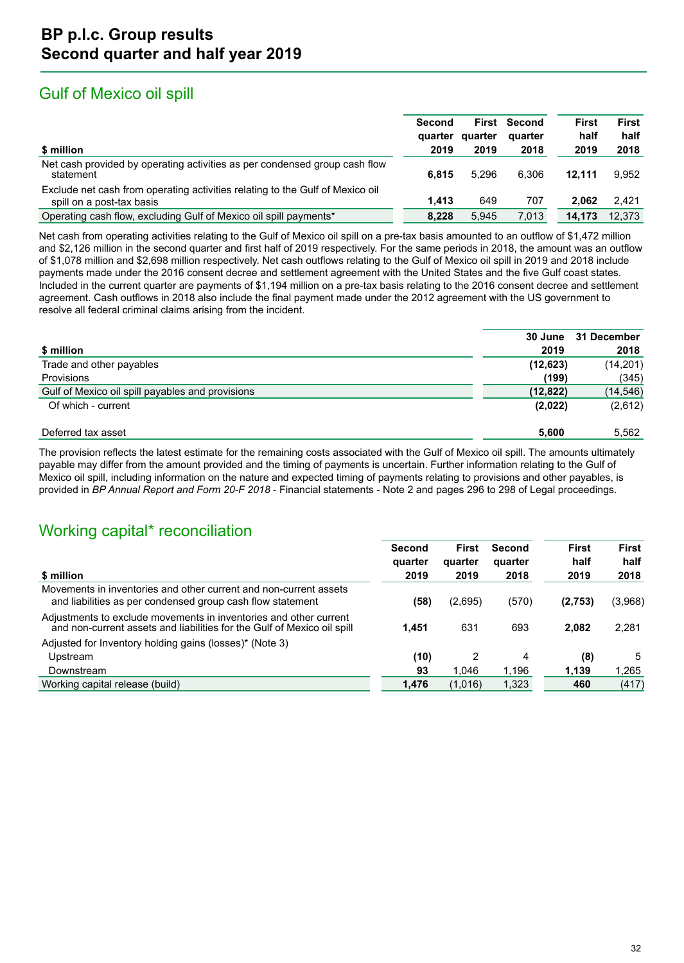# Gulf of Mexico oil spill

| \$ million                                                                                                 | Second<br>quarter<br>2019 | quarter<br>2019 | <b>First Second</b><br>quarter<br>2018 | First<br>half<br>2019 | <b>First</b><br>half<br>2018 |
|------------------------------------------------------------------------------------------------------------|---------------------------|-----------------|----------------------------------------|-----------------------|------------------------------|
| Net cash provided by operating activities as per condensed group cash flow<br>statement                    | 6.815                     | 5.296           | 6.306                                  | 12.111                | 9.952                        |
| Exclude net cash from operating activities relating to the Gulf of Mexico oil<br>spill on a post-tax basis | 1.413                     | 649             | 707                                    | 2.062                 | 2.421                        |
| Operating cash flow, excluding Gulf of Mexico oil spill payments*                                          | 8.228                     | 5.945           | 7.013                                  | 14.173                | 12.373                       |

Net cash from operating activities relating to the Gulf of Mexico oil spill on a pre-tax basis amounted to an outflow of \$1,472 million and \$2,126 million in the second quarter and first half of 2019 respectively. For the same periods in 2018, the amount was an outflow of \$1,078 million and \$2,698 million respectively. Net cash outflows relating to the Gulf of Mexico oil spill in 2019 and 2018 include payments made under the 2016 consent decree and settlement agreement with the United States and the five Gulf coast states. Included in the current quarter are payments of \$1,194 million on a pre-tax basis relating to the 2016 consent decree and settlement agreement. Cash outflows in 2018 also include the final payment made under the 2012 agreement with the US government to resolve all federal criminal claims arising from the incident.

|                                                  | 30 June   | 31 December |
|--------------------------------------------------|-----------|-------------|
| \$ million                                       | 2019      | 2018        |
| Trade and other payables                         | (12, 623) | (14,201)    |
| Provisions                                       | (199)     | (345)       |
| Gulf of Mexico oil spill payables and provisions | (12, 822) | (14, 546)   |
| Of which - current                               | (2,022)   | (2,612)     |
| Deferred tax asset                               | 5,600     | 5,562       |

The provision reflects the latest estimate for the remaining costs associated with the Gulf of Mexico oil spill. The amounts ultimately payable may differ from the amount provided and the timing of payments is uncertain. Further information relating to the Gulf of Mexico oil spill, including information on the nature and expected timing of payments relating to provisions and other payables, is provided in *BP Annual Report and Form 20-F 2018* - Financial statements - Note 2 and pages 296 to 298 of Legal proceedings.

# Working capital\* reconciliation

|                                                                                                                                              | Second<br>quarter | First<br>quarter | Second<br>quarter | <b>First</b><br>half | <b>First</b><br>half |
|----------------------------------------------------------------------------------------------------------------------------------------------|-------------------|------------------|-------------------|----------------------|----------------------|
| \$ million                                                                                                                                   | 2019              | 2019             | 2018              | 2019                 | 2018                 |
| Movements in inventories and other current and non-current assets<br>and liabilities as per condensed group cash flow statement              | (58)              | (2,695)          | (570)             | (2,753)              | (3,968)              |
| Adjustments to exclude movements in inventories and other current<br>and non-current assets and liabilities for the Gulf of Mexico oil spill | 1.451             | 631              | 693               | 2.082                | 2,281                |
| Adjusted for Inventory holding gains (losses)* (Note 3)                                                                                      |                   |                  |                   |                      |                      |
| Upstream                                                                                                                                     | (10)              | 2                | 4                 | (8)                  | 5                    |
| Downstream                                                                                                                                   | 93                | 1.046            | 1,196             | 1,139                | 1,265                |
| Working capital release (build)                                                                                                              | 1.476             | (1,016)          | 1,323             | 460                  | (417)                |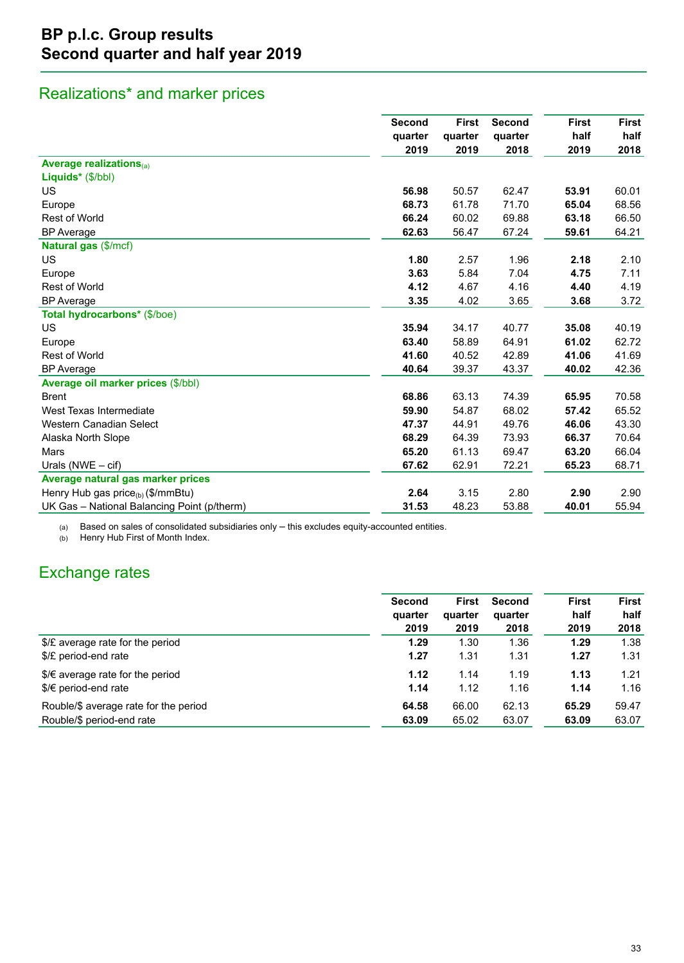# **BP p.l.c. Group results Second quarter and half year 2019**

# Realizations\* and marker prices

|                                               | Second<br>quarter<br>2019 | <b>First</b><br>quarter<br>2019 | <b>Second</b><br>quarter<br>2018 | <b>First</b><br>half<br>2019 | <b>First</b><br>half<br>2018 |
|-----------------------------------------------|---------------------------|---------------------------------|----------------------------------|------------------------------|------------------------------|
| <b>Average realizations</b> (a)               |                           |                                 |                                  |                              |                              |
| Liquids $*(\$\mathsf{bbl})$                   |                           |                                 |                                  |                              |                              |
| US                                            | 56.98                     | 50.57                           | 62.47                            | 53.91                        | 60.01                        |
| Europe                                        | 68.73                     | 61.78                           | 71.70                            | 65.04                        | 68.56                        |
| <b>Rest of World</b>                          | 66.24                     | 60.02                           | 69.88                            | 63.18                        | 66.50                        |
| <b>BP</b> Average                             | 62.63                     | 56.47                           | 67.24                            | 59.61                        | 64.21                        |
| Natural gas (\$/mcf)                          |                           |                                 |                                  |                              |                              |
| US                                            | 1.80                      | 2.57                            | 1.96                             | 2.18                         | 2.10                         |
| Europe                                        | 3.63                      | 5.84                            | 7.04                             | 4.75                         | 7.11                         |
| <b>Rest of World</b>                          | 4.12                      | 4.67                            | 4.16                             | 4.40                         | 4.19                         |
| <b>BP</b> Average                             | 3.35                      | 4.02                            | 3.65                             | 3.68                         | 3.72                         |
| Total hydrocarbons* (\$/boe)                  |                           |                                 |                                  |                              |                              |
| US                                            | 35.94                     | 34.17                           | 40.77                            | 35.08                        | 40.19                        |
| Europe                                        | 63.40                     | 58.89                           | 64.91                            | 61.02                        | 62.72                        |
| <b>Rest of World</b>                          | 41.60                     | 40.52                           | 42.89                            | 41.06                        | 41.69                        |
| <b>BP</b> Average                             | 40.64                     | 39.37                           | 43.37                            | 40.02                        | 42.36                        |
| Average oil marker prices (\$/bbl)            |                           |                                 |                                  |                              |                              |
| <b>Brent</b>                                  | 68.86                     | 63.13                           | 74.39                            | 65.95                        | 70.58                        |
| West Texas Intermediate                       | 59.90                     | 54.87                           | 68.02                            | 57.42                        | 65.52                        |
| Western Canadian Select                       | 47.37                     | 44.91                           | 49.76                            | 46.06                        | 43.30                        |
| Alaska North Slope                            | 68.29                     | 64.39                           | 73.93                            | 66.37                        | 70.64                        |
| Mars                                          | 65.20                     | 61.13                           | 69.47                            | 63.20                        | 66.04                        |
| Urals ( $NWE - \text{cif}$ )                  | 67.62                     | 62.91                           | 72.21                            | 65.23                        | 68.71                        |
| Average natural gas marker prices             |                           |                                 |                                  |                              |                              |
| Henry Hub gas price <sub>(b)</sub> (\$/mmBtu) | 2.64                      | 3.15                            | 2.80                             | 2.90                         | 2.90                         |
| UK Gas - National Balancing Point (p/therm)   | 31.53                     | 48.23                           | 53.88                            | 40.01                        | 55.94                        |

(a) Based on sales of consolidated subsidiaries only – this excludes equity-accounted entities.

(b) Henry Hub First of Month Index.

# Exchange rates

|                                           | Second  | First   | <b>Second</b> | <b>First</b> | <b>First</b> |
|-------------------------------------------|---------|---------|---------------|--------------|--------------|
|                                           | quarter | quarter | quarter       | half         | half         |
|                                           | 2019    | 2019    | 2018          | 2019         | 2018         |
| \$/£ average rate for the period          | 1.29    | 1.30    | 1.36          | 1.29         | 1.38         |
| \$/£ period-end rate                      | 1.27    | 1.31    | 1.31          | 1.27         | 1.31         |
| $\frac{1}{2}$ average rate for the period | 1.12    | 1.14    | 1.19          | 1.13         | 1.21         |
| $\frac{1}{2}$ period-end rate             | 1.14    | 1.12    | 1.16          | 1.14         | 1.16         |
| Rouble/\$ average rate for the period     | 64.58   | 66.00   | 62.13         | 65.29        | 59.47        |
| Rouble/\$ period-end rate                 | 63.09   | 65.02   | 63.07         | 63.09        | 63.07        |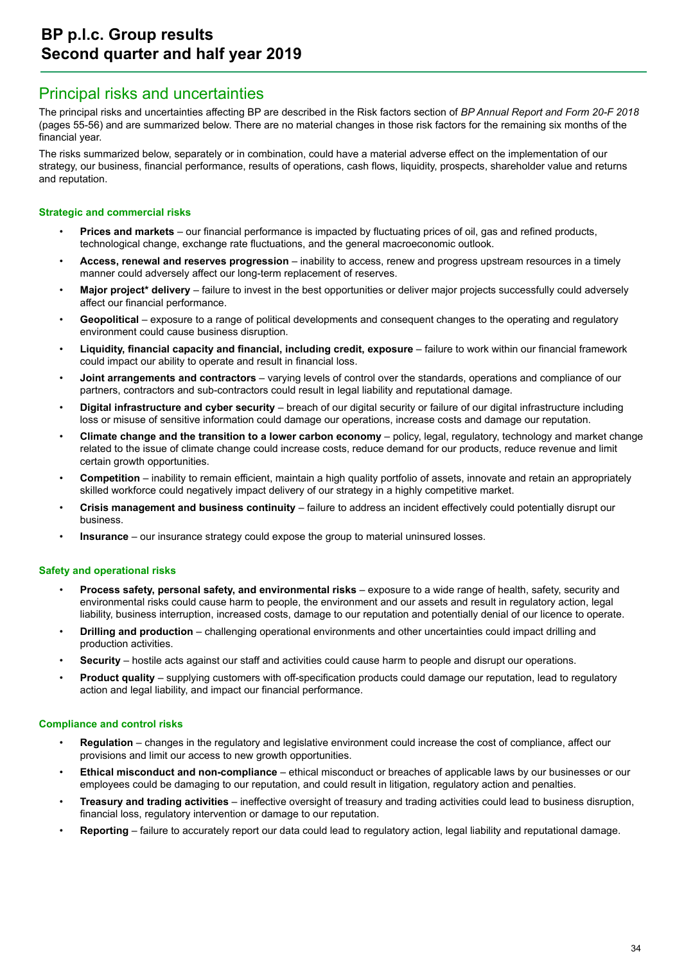### Principal risks and uncertainties

The principal risks and uncertainties affecting BP are described in the Risk factors section of *BP Annual Report and Form 20-F 2018* (pages 55-56) and are summarized below. There are no material changes in those risk factors for the remaining six months of the financial year.

The risks summarized below, separately or in combination, could have a material adverse effect on the implementation of our strategy, our business, financial performance, results of operations, cash flows, liquidity, prospects, shareholder value and returns and reputation.

### **Strategic and commercial risks**

- **Prices and markets** our financial performance is impacted by fluctuating prices of oil, gas and refined products, technological change, exchange rate fluctuations, and the general macroeconomic outlook.
- **Access, renewal and reserves progression** inability to access, renew and progress upstream resources in a timely manner could adversely affect our long-term replacement of reserves.
- **Major project\* delivery** failure to invest in the best opportunities or deliver major projects successfully could adversely affect our financial performance.
- **Geopolitical** exposure to a range of political developments and consequent changes to the operating and regulatory environment could cause business disruption.
- **Liquidity, financial capacity and financial, including credit, exposure** failure to work within our financial framework could impact our ability to operate and result in financial loss.
- **Joint arrangements and contractors** varying levels of control over the standards, operations and compliance of our partners, contractors and sub-contractors could result in legal liability and reputational damage.
- **Digital infrastructure and cyber security** breach of our digital security or failure of our digital infrastructure including loss or misuse of sensitive information could damage our operations, increase costs and damage our reputation.
- **Climate change and the transition to a lower carbon economy** policy, legal, regulatory, technology and market change related to the issue of climate change could increase costs, reduce demand for our products, reduce revenue and limit certain growth opportunities.
- **Competition** inability to remain efficient, maintain a high quality portfolio of assets, innovate and retain an appropriately skilled workforce could negatively impact delivery of our strategy in a highly competitive market.
- **Crisis management and business continuity** failure to address an incident effectively could potentially disrupt our business.
- **Insurance** our insurance strategy could expose the group to material uninsured losses.

#### **Safety and operational risks**

- **Process safety, personal safety, and environmental risks** exposure to a wide range of health, safety, security and environmental risks could cause harm to people, the environment and our assets and result in regulatory action, legal liability, business interruption, increased costs, damage to our reputation and potentially denial of our licence to operate.
- **Drilling and production** challenging operational environments and other uncertainties could impact drilling and production activities.
- **Security** hostile acts against our staff and activities could cause harm to people and disrupt our operations.
- **Product quality** supplying customers with off-specification products could damage our reputation, lead to regulatory action and legal liability, and impact our financial performance.

#### **Compliance and control risks**

- **Regulation** changes in the regulatory and legislative environment could increase the cost of compliance, affect our provisions and limit our access to new growth opportunities.
- **Ethical misconduct and non-compliance** ethical misconduct or breaches of applicable laws by our businesses or our employees could be damaging to our reputation, and could result in litigation, regulatory action and penalties.
- **Treasury and trading activities** ineffective oversight of treasury and trading activities could lead to business disruption, financial loss, regulatory intervention or damage to our reputation.
- **Reporting** failure to accurately report our data could lead to regulatory action, legal liability and reputational damage.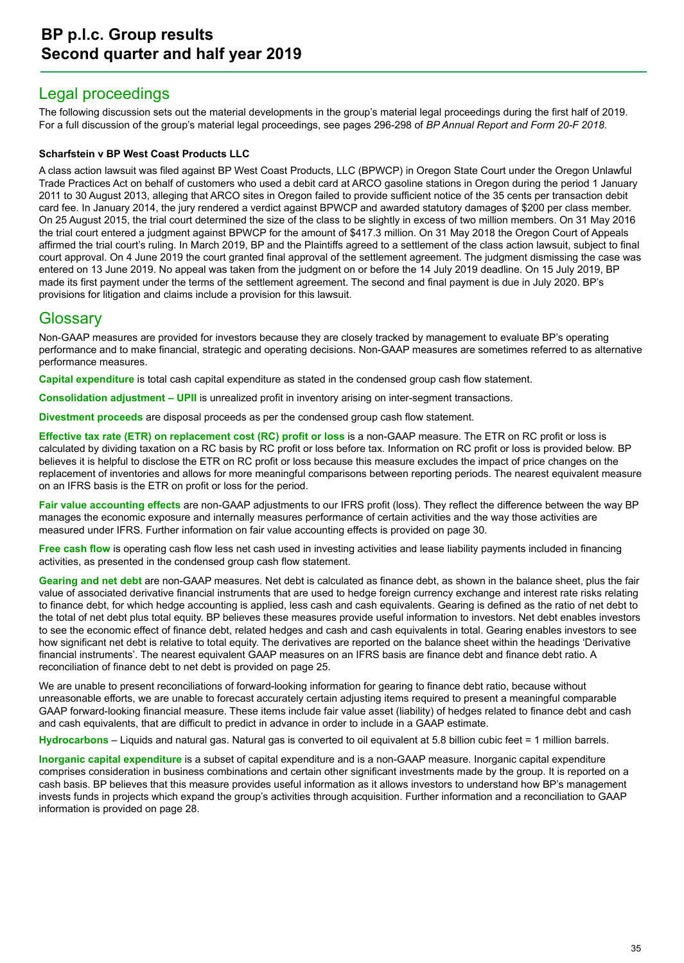### Legal proceedings

The following discussion sets out the material developments in the group's material legal proceedings during the first half of 2019. For a full discussion of the group's material legal proceedings, see pages 296-298 of *BP Annual Report and Form 20-F 2018*.

### **Scharfstein v BP West Coast Products LLC**

A class action lawsuit was filed against BP West Coast Products, LLC (BPWCP) in Oregon State Court under the Oregon Unlawful Trade Practices Act on behalf of customers who used a debit card at ARCO gasoline stations in Oregon during the period 1 January 2011 to 30 August 2013, alleging that ARCO sites in Oregon failed to provide sufficient notice of the 35 cents per transaction debit card fee. In January 2014, the jury rendered a verdict against BPWCP and awarded statutory damages of \$200 per class member. On 25 August 2015, the trial court determined the size of the class to be slightly in excess of two million members. On 31 May 2016 the trial court entered a judgment against BPWCP for the amount of \$417.3 million. On 31 May 2018 the Oregon Court of Appeals affirmed the trial court's ruling. In March 2019, BP and the Plaintiffs agreed to a settlement of the class action lawsuit, subject to final court approval. On 4 June 2019 the court granted final approval of the settlement agreement. The judgment dismissing the case was entered on 13 June 2019. No appeal was taken from the judgment on or before the 14 July 2019 deadline. On 15 July 2019, BP made its first payment under the terms of the settlement agreement. The second and final payment is due in July 2020. BP's provisions for litigation and claims include a provision for this lawsuit.

### **Glossary**

Non-GAAP measures are provided for investors because they are closely tracked by management to evaluate BP's operating performance and to make financial, strategic and operating decisions. Non-GAAP measures are sometimes referred to as alternative performance measures.

**Capital expenditure** is total cash capital expenditure as stated in the condensed group cash flow statement.

**Consolidation adjustment – UPII** is unrealized profit in inventory arising on inter-segment transactions.

**Divestment proceeds** are disposal proceeds as per the condensed group cash flow statement.

**Effective tax rate (ETR) on replacement cost (RC) profit or loss** is a non-GAAP measure. The ETR on RC profit or loss is calculated by dividing taxation on a RC basis by RC profit or loss before tax. Information on RC profit or loss is provided below. BP believes it is helpful to disclose the ETR on RC profit or loss because this measure excludes the impact of price changes on the replacement of inventories and allows for more meaningful comparisons between reporting periods. The nearest equivalent measure on an IFRS basis is the ETR on profit or loss for the period.

**Fair value accounting effects** are non-GAAP adjustments to our IFRS profit (loss). They reflect the difference between the way BP manages the economic exposure and internally measures performance of certain activities and the way those activities are measured under IFRS. Further information on fair value accounting effects is provided on page 30.

**Free cash flow** is operating cash flow less net cash used in investing activities and lease liability payments included in financing activities, as presented in the condensed group cash flow statement.

**Gearing and net debt** are non-GAAP measures. Net debt is calculated as finance debt, as shown in the balance sheet, plus the fair value of associated derivative financial instruments that are used to hedge foreign currency exchange and interest rate risks relating to finance debt, for which hedge accounting is applied, less cash and cash equivalents. Gearing is defined as the ratio of net debt to the total of net debt plus total equity. BP believes these measures provide useful information to investors. Net debt enables investors to see the economic effect of finance debt, related hedges and cash and cash equivalents in total. Gearing enables investors to see how significant net debt is relative to total equity. The derivatives are reported on the balance sheet within the headings 'Derivative financial instruments'. The nearest equivalent GAAP measures on an IFRS basis are finance debt and finance debt ratio. A reconciliation of finance debt to net debt is provided on page 25.

We are unable to present reconciliations of forward-looking information for gearing to finance debt ratio, because without unreasonable efforts, we are unable to forecast accurately certain adjusting items required to present a meaningful comparable GAAP forward-looking financial measure. These items include fair value asset (liability) of hedges related to finance debt and cash and cash equivalents, that are difficult to predict in advance in order to include in a GAAP estimate.

**Hydrocarbons** – Liquids and natural gas. Natural gas is converted to oil equivalent at 5.8 billion cubic feet = 1 million barrels.

**Inorganic capital expenditure** is a subset of capital expenditure and is a non-GAAP measure. Inorganic capital expenditure comprises consideration in business combinations and certain other significant investments made by the group. It is reported on a cash basis. BP believes that this measure provides useful information as it allows investors to understand how BP's management invests funds in projects which expand the group's activities through acquisition. Further information and a reconciliation to GAAP information is provided on page 28.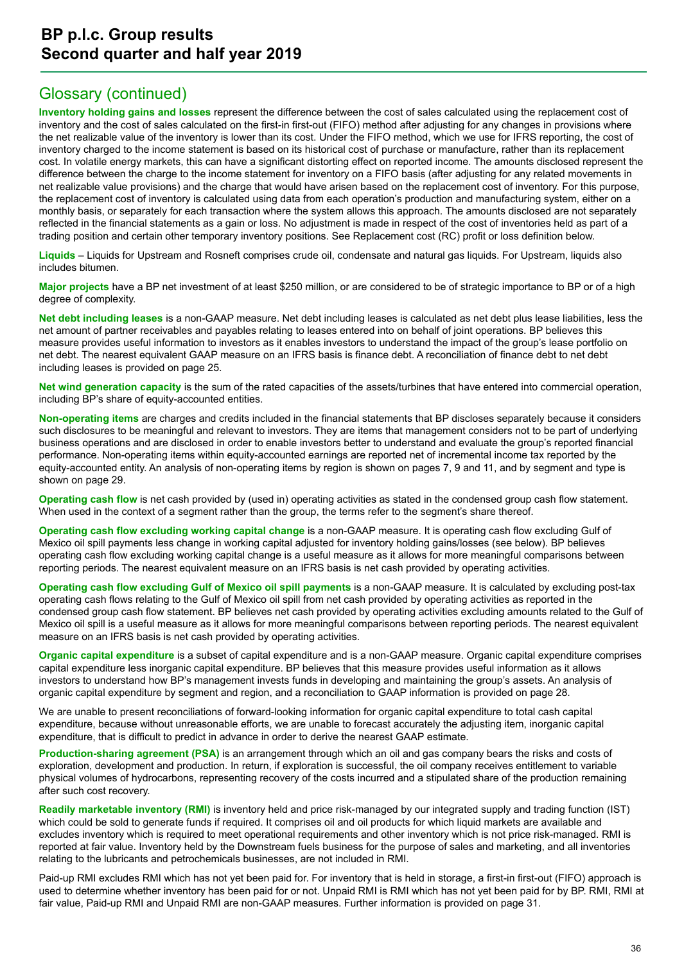# Glossary (continued)

**Inventory holding gains and losses** represent the difference between the cost of sales calculated using the replacement cost of inventory and the cost of sales calculated on the first-in first-out (FIFO) method after adjusting for any changes in provisions where the net realizable value of the inventory is lower than its cost. Under the FIFO method, which we use for IFRS reporting, the cost of inventory charged to the income statement is based on its historical cost of purchase or manufacture, rather than its replacement cost. In volatile energy markets, this can have a significant distorting effect on reported income. The amounts disclosed represent the difference between the charge to the income statement for inventory on a FIFO basis (after adjusting for any related movements in net realizable value provisions) and the charge that would have arisen based on the replacement cost of inventory. For this purpose, the replacement cost of inventory is calculated using data from each operation's production and manufacturing system, either on a monthly basis, or separately for each transaction where the system allows this approach. The amounts disclosed are not separately reflected in the financial statements as a gain or loss. No adjustment is made in respect of the cost of inventories held as part of a trading position and certain other temporary inventory positions. See Replacement cost (RC) profit or loss definition below.

**Liquids** – Liquids for Upstream and Rosneft comprises crude oil, condensate and natural gas liquids. For Upstream, liquids also includes bitumen.

**Major projects** have a BP net investment of at least \$250 million, or are considered to be of strategic importance to BP or of a high degree of complexity.

**Net debt including leases** is a non-GAAP measure. Net debt including leases is calculated as net debt plus lease liabilities, less the net amount of partner receivables and payables relating to leases entered into on behalf of joint operations. BP believes this measure provides useful information to investors as it enables investors to understand the impact of the group's lease portfolio on net debt. The nearest equivalent GAAP measure on an IFRS basis is finance debt. A reconciliation of finance debt to net debt including leases is provided on page 25.

**Net wind generation capacity** is the sum of the rated capacities of the assets/turbines that have entered into commercial operation, including BP's share of equity-accounted entities.

**Non-operating items** are charges and credits included in the financial statements that BP discloses separately because it considers such disclosures to be meaningful and relevant to investors. They are items that management considers not to be part of underlying business operations and are disclosed in order to enable investors better to understand and evaluate the group's reported financial performance. Non-operating items within equity-accounted earnings are reported net of incremental income tax reported by the equity-accounted entity. An analysis of non-operating items by region is shown on pages 7, 9 and 11, and by segment and type is shown on page 29.

**Operating cash flow** is net cash provided by (used in) operating activities as stated in the condensed group cash flow statement. When used in the context of a segment rather than the group, the terms refer to the segment's share thereof.

**Operating cash flow excluding working capital change** is a non-GAAP measure. It is operating cash flow excluding Gulf of Mexico oil spill payments less change in working capital adjusted for inventory holding gains/losses (see below). BP believes operating cash flow excluding working capital change is a useful measure as it allows for more meaningful comparisons between reporting periods. The nearest equivalent measure on an IFRS basis is net cash provided by operating activities.

**Operating cash flow excluding Gulf of Mexico oil spill payments** is a non-GAAP measure. It is calculated by excluding post-tax operating cash flows relating to the Gulf of Mexico oil spill from net cash provided by operating activities as reported in the condensed group cash flow statement. BP believes net cash provided by operating activities excluding amounts related to the Gulf of Mexico oil spill is a useful measure as it allows for more meaningful comparisons between reporting periods. The nearest equivalent measure on an IFRS basis is net cash provided by operating activities.

**Organic capital expenditure** is a subset of capital expenditure and is a non-GAAP measure. Organic capital expenditure comprises capital expenditure less inorganic capital expenditure. BP believes that this measure provides useful information as it allows investors to understand how BP's management invests funds in developing and maintaining the group's assets. An analysis of organic capital expenditure by segment and region, and a reconciliation to GAAP information is provided on page 28.

We are unable to present reconciliations of forward-looking information for organic capital expenditure to total cash capital expenditure, because without unreasonable efforts, we are unable to forecast accurately the adjusting item, inorganic capital expenditure, that is difficult to predict in advance in order to derive the nearest GAAP estimate.

**Production-sharing agreement (PSA)** is an arrangement through which an oil and gas company bears the risks and costs of exploration, development and production. In return, if exploration is successful, the oil company receives entitlement to variable physical volumes of hydrocarbons, representing recovery of the costs incurred and a stipulated share of the production remaining after such cost recovery.

**Readily marketable inventory (RMI)** is inventory held and price risk-managed by our integrated supply and trading function (IST) which could be sold to generate funds if required. It comprises oil and oil products for which liquid markets are available and excludes inventory which is required to meet operational requirements and other inventory which is not price risk-managed. RMI is reported at fair value. Inventory held by the Downstream fuels business for the purpose of sales and marketing, and all inventories relating to the lubricants and petrochemicals businesses, are not included in RMI.

Paid-up RMI excludes RMI which has not yet been paid for. For inventory that is held in storage, a first-in first-out (FIFO) approach is used to determine whether inventory has been paid for or not. Unpaid RMI is RMI which has not yet been paid for by BP. RMI, RMI at fair value, Paid-up RMI and Unpaid RMI are non-GAAP measures. Further information is provided on page 31.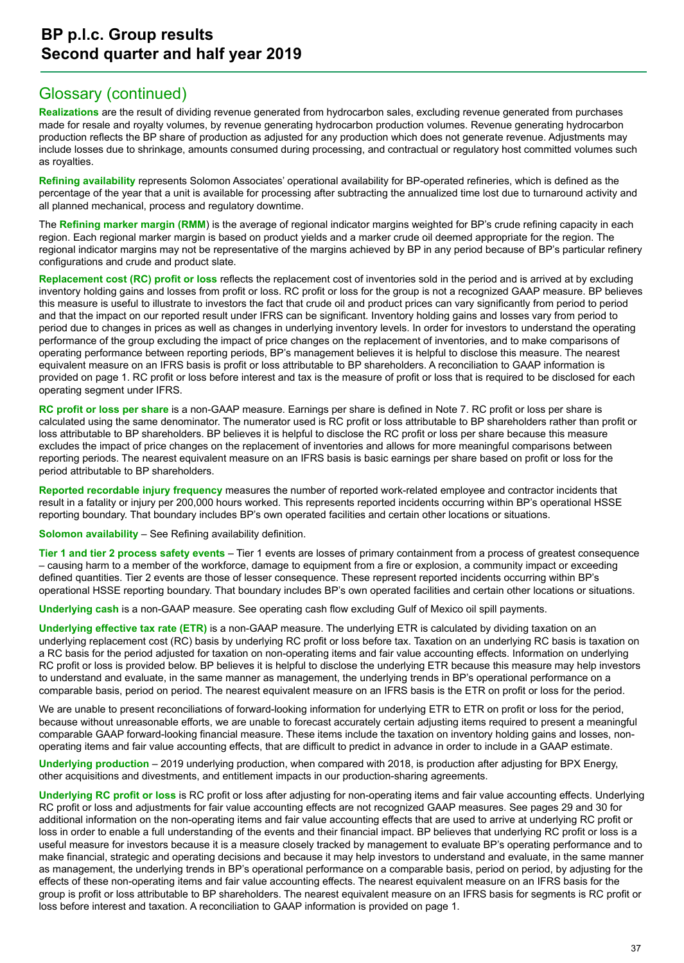# Glossary (continued)

**Realizations** are the result of dividing revenue generated from hydrocarbon sales, excluding revenue generated from purchases made for resale and royalty volumes, by revenue generating hydrocarbon production volumes. Revenue generating hydrocarbon production reflects the BP share of production as adjusted for any production which does not generate revenue. Adjustments may include losses due to shrinkage, amounts consumed during processing, and contractual or regulatory host committed volumes such as royalties.

**Refining availability** represents Solomon Associates' operational availability for BP-operated refineries, which is defined as the percentage of the year that a unit is available for processing after subtracting the annualized time lost due to turnaround activity and all planned mechanical, process and regulatory downtime.

The **Refining marker margin (RMM**) is the average of regional indicator margins weighted for BP's crude refining capacity in each region. Each regional marker margin is based on product yields and a marker crude oil deemed appropriate for the region. The regional indicator margins may not be representative of the margins achieved by BP in any period because of BP's particular refinery configurations and crude and product slate.

**Replacement cost (RC) profit or loss** reflects the replacement cost of inventories sold in the period and is arrived at by excluding inventory holding gains and losses from profit or loss. RC profit or loss for the group is not a recognized GAAP measure. BP believes this measure is useful to illustrate to investors the fact that crude oil and product prices can vary significantly from period to period and that the impact on our reported result under IFRS can be significant. Inventory holding gains and losses vary from period to period due to changes in prices as well as changes in underlying inventory levels. In order for investors to understand the operating performance of the group excluding the impact of price changes on the replacement of inventories, and to make comparisons of operating performance between reporting periods, BP's management believes it is helpful to disclose this measure. The nearest equivalent measure on an IFRS basis is profit or loss attributable to BP shareholders. A reconciliation to GAAP information is provided on page 1. RC profit or loss before interest and tax is the measure of profit or loss that is required to be disclosed for each operating segment under IFRS.

**RC profit or loss per share** is a non-GAAP measure. Earnings per share is defined in Note 7. RC profit or loss per share is calculated using the same denominator. The numerator used is RC profit or loss attributable to BP shareholders rather than profit or loss attributable to BP shareholders. BP believes it is helpful to disclose the RC profit or loss per share because this measure excludes the impact of price changes on the replacement of inventories and allows for more meaningful comparisons between reporting periods. The nearest equivalent measure on an IFRS basis is basic earnings per share based on profit or loss for the period attributable to BP shareholders.

**Reported recordable injury frequency** measures the number of reported work-related employee and contractor incidents that result in a fatality or injury per 200,000 hours worked. This represents reported incidents occurring within BP's operational HSSE reporting boundary. That boundary includes BP's own operated facilities and certain other locations or situations.

**Solomon availability** – See Refining availability definition.

**Tier 1 and tier 2 process safety events** – Tier 1 events are losses of primary containment from a process of greatest consequence – causing harm to a member of the workforce, damage to equipment from a fire or explosion, a community impact or exceeding defined quantities. Tier 2 events are those of lesser consequence. These represent reported incidents occurring within BP's operational HSSE reporting boundary. That boundary includes BP's own operated facilities and certain other locations or situations.

**Underlying cash** is a non-GAAP measure. See operating cash flow excluding Gulf of Mexico oil spill payments.

**Underlying effective tax rate (ETR)** is a non-GAAP measure. The underlying ETR is calculated by dividing taxation on an underlying replacement cost (RC) basis by underlying RC profit or loss before tax. Taxation on an underlying RC basis is taxation on a RC basis for the period adjusted for taxation on non-operating items and fair value accounting effects. Information on underlying RC profit or loss is provided below. BP believes it is helpful to disclose the underlying ETR because this measure may help investors to understand and evaluate, in the same manner as management, the underlying trends in BP's operational performance on a comparable basis, period on period. The nearest equivalent measure on an IFRS basis is the ETR on profit or loss for the period.

We are unable to present reconciliations of forward-looking information for underlying ETR to ETR on profit or loss for the period, because without unreasonable efforts, we are unable to forecast accurately certain adjusting items required to present a meaningful comparable GAAP forward-looking financial measure. These items include the taxation on inventory holding gains and losses, nonoperating items and fair value accounting effects, that are difficult to predict in advance in order to include in a GAAP estimate.

**Underlying production** – 2019 underlying production, when compared with 2018, is production after adjusting for BPX Energy, other acquisitions and divestments, and entitlement impacts in our production-sharing agreements.

**Underlying RC profit or loss** is RC profit or loss after adjusting for non-operating items and fair value accounting effects. Underlying RC profit or loss and adjustments for fair value accounting effects are not recognized GAAP measures. See pages 29 and 30 for additional information on the non-operating items and fair value accounting effects that are used to arrive at underlying RC profit or loss in order to enable a full understanding of the events and their financial impact. BP believes that underlying RC profit or loss is a useful measure for investors because it is a measure closely tracked by management to evaluate BP's operating performance and to make financial, strategic and operating decisions and because it may help investors to understand and evaluate, in the same manner as management, the underlying trends in BP's operational performance on a comparable basis, period on period, by adjusting for the effects of these non-operating items and fair value accounting effects. The nearest equivalent measure on an IFRS basis for the group is profit or loss attributable to BP shareholders. The nearest equivalent measure on an IFRS basis for segments is RC profit or loss before interest and taxation. A reconciliation to GAAP information is provided on page 1.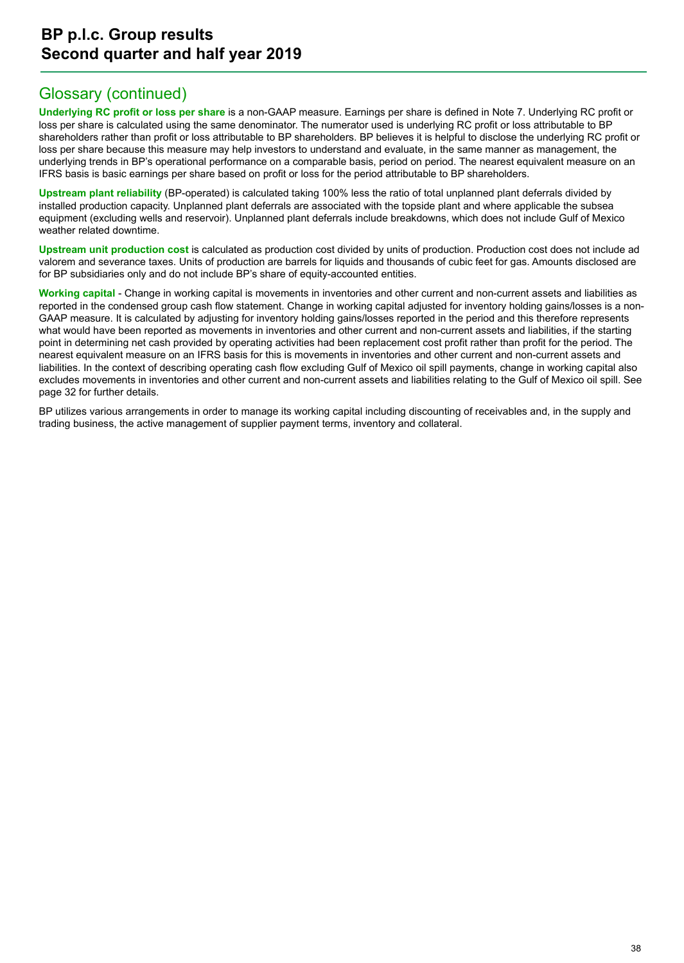# Glossary (continued)

**Underlying RC profit or loss per share** is a non-GAAP measure. Earnings per share is defined in Note 7. Underlying RC profit or loss per share is calculated using the same denominator. The numerator used is underlying RC profit or loss attributable to BP shareholders rather than profit or loss attributable to BP shareholders. BP believes it is helpful to disclose the underlying RC profit or loss per share because this measure may help investors to understand and evaluate, in the same manner as management, the underlying trends in BP's operational performance on a comparable basis, period on period. The nearest equivalent measure on an IFRS basis is basic earnings per share based on profit or loss for the period attributable to BP shareholders.

**Upstream plant reliability** (BP-operated) is calculated taking 100% less the ratio of total unplanned plant deferrals divided by installed production capacity. Unplanned plant deferrals are associated with the topside plant and where applicable the subsea equipment (excluding wells and reservoir). Unplanned plant deferrals include breakdowns, which does not include Gulf of Mexico weather related downtime.

**Upstream unit production cost** is calculated as production cost divided by units of production. Production cost does not include ad valorem and severance taxes. Units of production are barrels for liquids and thousands of cubic feet for gas. Amounts disclosed are for BP subsidiaries only and do not include BP's share of equity-accounted entities.

**Working capital** - Change in working capital is movements in inventories and other current and non-current assets and liabilities as reported in the condensed group cash flow statement. Change in working capital adjusted for inventory holding gains/losses is a non-GAAP measure. It is calculated by adjusting for inventory holding gains/losses reported in the period and this therefore represents what would have been reported as movements in inventories and other current and non-current assets and liabilities, if the starting point in determining net cash provided by operating activities had been replacement cost profit rather than profit for the period. The nearest equivalent measure on an IFRS basis for this is movements in inventories and other current and non-current assets and liabilities. In the context of describing operating cash flow excluding Gulf of Mexico oil spill payments, change in working capital also excludes movements in inventories and other current and non-current assets and liabilities relating to the Gulf of Mexico oil spill. See page 32 for further details.

BP utilizes various arrangements in order to manage its working capital including discounting of receivables and, in the supply and trading business, the active management of supplier payment terms, inventory and collateral.